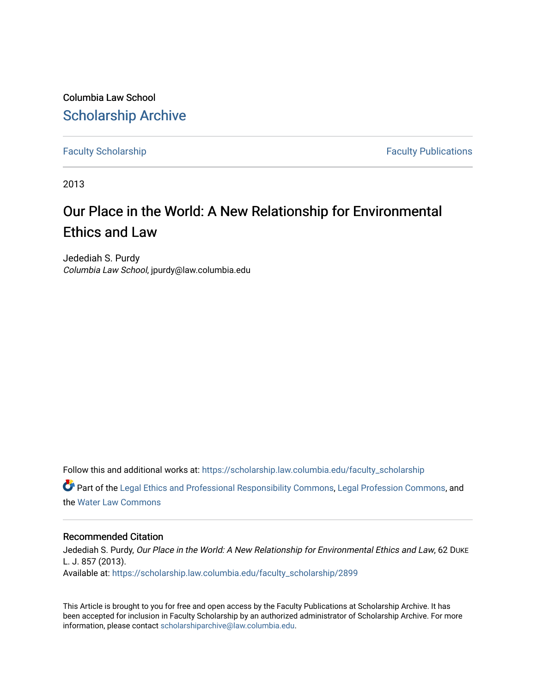Columbia Law School [Scholarship Archive](https://scholarship.law.columbia.edu/) 

[Faculty Scholarship](https://scholarship.law.columbia.edu/faculty_scholarship) **Faculty Scholarship Faculty Publications** 

2013

# Our Place in the World: A New Relationship for Environmental Ethics and Law

Jedediah S. Purdy Columbia Law School, jpurdy@law.columbia.edu

Follow this and additional works at: [https://scholarship.law.columbia.edu/faculty\\_scholarship](https://scholarship.law.columbia.edu/faculty_scholarship?utm_source=scholarship.law.columbia.edu%2Ffaculty_scholarship%2F2899&utm_medium=PDF&utm_campaign=PDFCoverPages) Part of the [Legal Ethics and Professional Responsibility Commons](http://network.bepress.com/hgg/discipline/895?utm_source=scholarship.law.columbia.edu%2Ffaculty_scholarship%2F2899&utm_medium=PDF&utm_campaign=PDFCoverPages), [Legal Profession Commons](http://network.bepress.com/hgg/discipline/1075?utm_source=scholarship.law.columbia.edu%2Ffaculty_scholarship%2F2899&utm_medium=PDF&utm_campaign=PDFCoverPages), and

the [Water Law Commons](http://network.bepress.com/hgg/discipline/887?utm_source=scholarship.law.columbia.edu%2Ffaculty_scholarship%2F2899&utm_medium=PDF&utm_campaign=PDFCoverPages) 

### Recommended Citation

Jedediah S. Purdy, Our Place in the World: A New Relationship for Environmental Ethics and Law, 62 DUKE L. J. 857 (2013).

Available at: [https://scholarship.law.columbia.edu/faculty\\_scholarship/2899](https://scholarship.law.columbia.edu/faculty_scholarship/2899?utm_source=scholarship.law.columbia.edu%2Ffaculty_scholarship%2F2899&utm_medium=PDF&utm_campaign=PDFCoverPages)

This Article is brought to you for free and open access by the Faculty Publications at Scholarship Archive. It has been accepted for inclusion in Faculty Scholarship by an authorized administrator of Scholarship Archive. For more information, please contact [scholarshiparchive@law.columbia.edu.](mailto:scholarshiparchive@law.columbia.edu)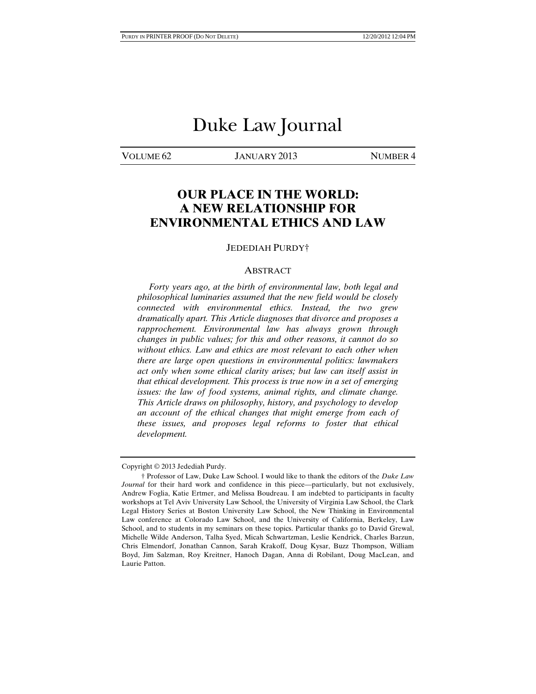# Duke Law Journal

VOLUME 62 JANUARY 2013 NUMBER 4

## **OUR PLACE IN THE WORLD: A NEW RELATIONSHIP FOR ENVIRONMENTAL ETHICS AND LAW**

#### JEDEDIAH PURDY†

#### ABSTRACT

 *Forty years ago, at the birth of environmental law, both legal and philosophical luminaries assumed that the new field would be closely connected with environmental ethics. Instead, the two grew dramatically apart. This Article diagnoses that divorce and proposes a rapprochement. Environmental law has always grown through changes in public values; for this and other reasons, it cannot do so without ethics. Law and ethics are most relevant to each other when there are large open questions in environmental politics: lawmakers act only when some ethical clarity arises; but law can itself assist in that ethical development. This process is true now in a set of emerging issues: the law of food systems, animal rights, and climate change. This Article draws on philosophy, history, and psychology to develop an account of the ethical changes that might emerge from each of these issues, and proposes legal reforms to foster that ethical development.* 

Copyright © 2013 Jedediah Purdy.

 <sup>†</sup> Professor of Law, Duke Law School. I would like to thank the editors of the *Duke Law Journal* for their hard work and confidence in this piece—particularly, but not exclusively, Andrew Foglia, Katie Ertmer, and Melissa Boudreau. I am indebted to participants in faculty workshops at Tel Aviv University Law School, the University of Virginia Law School, the Clark Legal History Series at Boston University Law School, the New Thinking in Environmental Law conference at Colorado Law School, and the University of California, Berkeley, Law School, and to students in my seminars on these topics. Particular thanks go to David Grewal, Michelle Wilde Anderson, Talha Syed, Micah Schwartzman, Leslie Kendrick, Charles Barzun, Chris Elmendorf, Jonathan Cannon, Sarah Krakoff, Doug Kysar, Buzz Thompson, William Boyd, Jim Salzman, Roy Kreitner, Hanoch Dagan, Anna di Robilant, Doug MacLean, and Laurie Patton.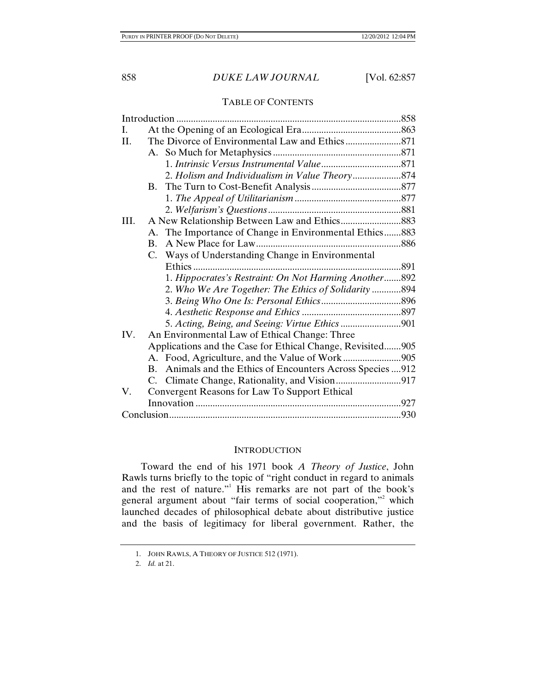### TABLE OF CONTENTS

| L.   |                                                             |  |
|------|-------------------------------------------------------------|--|
| II.  |                                                             |  |
|      |                                                             |  |
|      |                                                             |  |
|      |                                                             |  |
|      |                                                             |  |
|      |                                                             |  |
|      |                                                             |  |
| III. |                                                             |  |
|      | A. The Importance of Change in Environmental Ethics883      |  |
|      | $\mathbf{B}$ .                                              |  |
|      | C. Ways of Understanding Change in Environmental            |  |
|      |                                                             |  |
|      | 1. Hippocrates's Restraint: On Not Harming Another892       |  |
|      | 2. Who We Are Together: The Ethics of Solidarity 894        |  |
|      |                                                             |  |
|      |                                                             |  |
|      | 5. Acting, Being, and Seeing: Virtue Ethics 901             |  |
| IV.  | An Environmental Law of Ethical Change: Three               |  |
|      | Applications and the Case for Ethical Change, Revisited905  |  |
|      |                                                             |  |
|      | B. Animals and the Ethics of Encounters Across Species  912 |  |
|      |                                                             |  |
| V.   | Convergent Reasons for Law To Support Ethical               |  |
|      |                                                             |  |
|      |                                                             |  |
|      |                                                             |  |

### **INTRODUCTION**

 Toward the end of his 1971 book *A Theory of Justice*, John Rawls turns briefly to the topic of "right conduct in regard to animals and the rest of nature."<sup>1</sup> His remarks are not part of the book's general argument about "fair terms of social cooperation," which launched decades of philosophical debate about distributive justice and the basis of legitimacy for liberal government. Rather, the

 <sup>1.</sup> JOHN RAWLS, A THEORY OF JUSTICE 512 (1971).

 <sup>2.</sup> *Id.* at 21.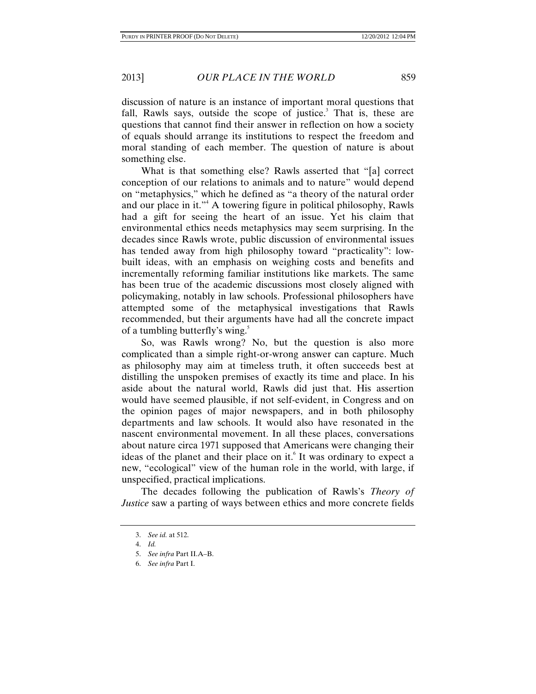discussion of nature is an instance of important moral questions that fall, Rawls says, outside the scope of justice.<sup>3</sup> That is, these are questions that cannot find their answer in reflection on how a society of equals should arrange its institutions to respect the freedom and moral standing of each member. The question of nature is about something else.

What is that something else? Rawls asserted that "[a] correct conception of our relations to animals and to nature" would depend on "metaphysics," which he defined as "a theory of the natural order and our place in it."<sup>4</sup> A towering figure in political philosophy, Rawls had a gift for seeing the heart of an issue. Yet his claim that environmental ethics needs metaphysics may seem surprising. In the decades since Rawls wrote, public discussion of environmental issues has tended away from high philosophy toward "practicality": lowbuilt ideas, with an emphasis on weighing costs and benefits and incrementally reforming familiar institutions like markets. The same has been true of the academic discussions most closely aligned with policymaking, notably in law schools. Professional philosophers have attempted some of the metaphysical investigations that Rawls recommended, but their arguments have had all the concrete impact of a tumbling butterfly's wing.<sup>5</sup>

So, was Rawls wrong? No, but the question is also more complicated than a simple right-or-wrong answer can capture. Much as philosophy may aim at timeless truth, it often succeeds best at distilling the unspoken premises of exactly its time and place. In his aside about the natural world, Rawls did just that. His assertion would have seemed plausible, if not self-evident, in Congress and on the opinion pages of major newspapers, and in both philosophy departments and law schools. It would also have resonated in the nascent environmental movement. In all these places, conversations about nature circa 1971 supposed that Americans were changing their ideas of the planet and their place on it.<sup>6</sup> It was ordinary to expect a new, "ecological" view of the human role in the world, with large, if unspecified, practical implications.

The decades following the publication of Rawls's *Theory of Justice* saw a parting of ways between ethics and more concrete fields

 <sup>3.</sup> *See id.* at 512.

 <sup>4.</sup> *Id.*

 <sup>5.</sup> *See infra* Part II.A–B.

 <sup>6.</sup> *See infra* Part I.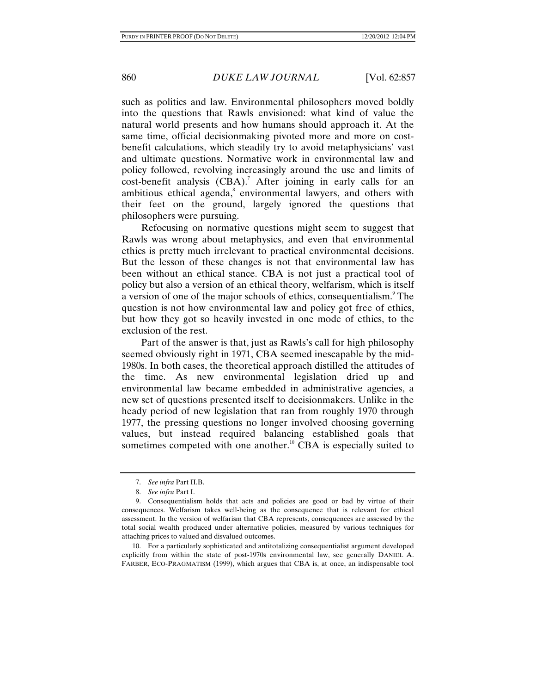such as politics and law. Environmental philosophers moved boldly into the questions that Rawls envisioned: what kind of value the natural world presents and how humans should approach it. At the same time, official decisionmaking pivoted more and more on costbenefit calculations, which steadily try to avoid metaphysicians' vast and ultimate questions. Normative work in environmental law and policy followed, revolving increasingly around the use and limits of  $cost\text{-}benefit$  analysis  $(CBA)$ .<sup>7</sup> After joining in early calls for an ambitious ethical agenda,<sup>8</sup> environmental lawyers, and others with their feet on the ground, largely ignored the questions that philosophers were pursuing.

Refocusing on normative questions might seem to suggest that Rawls was wrong about metaphysics, and even that environmental ethics is pretty much irrelevant to practical environmental decisions. But the lesson of these changes is not that environmental law has been without an ethical stance. CBA is not just a practical tool of policy but also a version of an ethical theory, welfarism, which is itself a version of one of the major schools of ethics, consequentialism.<sup>9</sup> The question is not how environmental law and policy got free of ethics, but how they got so heavily invested in one mode of ethics, to the exclusion of the rest.

Part of the answer is that, just as Rawls's call for high philosophy seemed obviously right in 1971, CBA seemed inescapable by the mid-1980s. In both cases, the theoretical approach distilled the attitudes of the time. As new environmental legislation dried up and environmental law became embedded in administrative agencies, a new set of questions presented itself to decisionmakers. Unlike in the heady period of new legislation that ran from roughly 1970 through 1977, the pressing questions no longer involved choosing governing values, but instead required balancing established goals that sometimes competed with one another.<sup>10</sup> CBA is especially suited to

 10. For a particularly sophisticated and antitotalizing consequentialist argument developed explicitly from within the state of post-1970s environmental law, see generally DANIEL A. FARBER, ECO-PRAGMATISM (1999), which argues that CBA is, at once, an indispensable tool

 <sup>7.</sup> *See infra* Part II.B.

 <sup>8.</sup> *See infra* Part I.

 <sup>9.</sup> Consequentialism holds that acts and policies are good or bad by virtue of their consequences. Welfarism takes well-being as the consequence that is relevant for ethical assessment. In the version of welfarism that CBA represents, consequences are assessed by the total social wealth produced under alternative policies, measured by various techniques for attaching prices to valued and disvalued outcomes.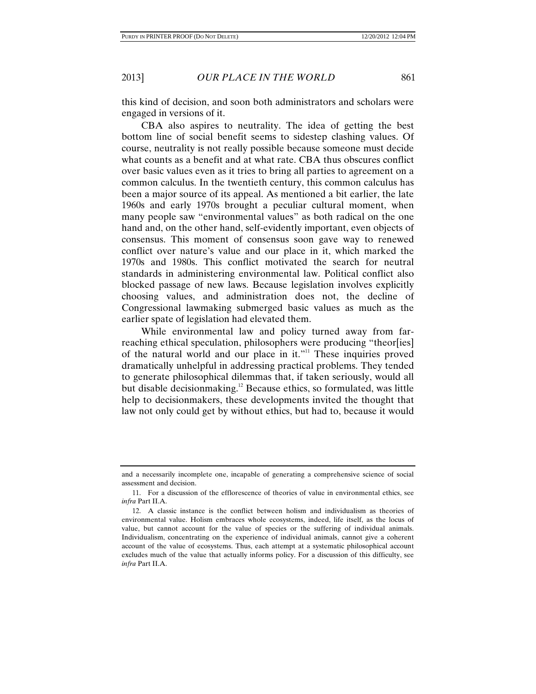this kind of decision, and soon both administrators and scholars were engaged in versions of it.

CBA also aspires to neutrality. The idea of getting the best bottom line of social benefit seems to sidestep clashing values. Of course, neutrality is not really possible because someone must decide what counts as a benefit and at what rate. CBA thus obscures conflict over basic values even as it tries to bring all parties to agreement on a common calculus. In the twentieth century, this common calculus has been a major source of its appeal. As mentioned a bit earlier, the late 1960s and early 1970s brought a peculiar cultural moment, when many people saw "environmental values" as both radical on the one hand and, on the other hand, self-evidently important, even objects of consensus. This moment of consensus soon gave way to renewed conflict over nature's value and our place in it, which marked the 1970s and 1980s. This conflict motivated the search for neutral standards in administering environmental law. Political conflict also blocked passage of new laws. Because legislation involves explicitly choosing values, and administration does not, the decline of Congressional lawmaking submerged basic values as much as the earlier spate of legislation had elevated them.

While environmental law and policy turned away from farreaching ethical speculation, philosophers were producing "theor[ies] of the natural world and our place in it."<sup>11</sup> These inquiries proved dramatically unhelpful in addressing practical problems. They tended to generate philosophical dilemmas that, if taken seriously, would all but disable decision making.<sup>12</sup> Because ethics, so formulated, was little help to decisionmakers, these developments invited the thought that law not only could get by without ethics, but had to, because it would

and a necessarily incomplete one, incapable of generating a comprehensive science of social assessment and decision.

 <sup>11.</sup> For a discussion of the efflorescence of theories of value in environmental ethics, see *infra* Part II.A.

 <sup>12.</sup> A classic instance is the conflict between holism and individualism as theories of environmental value. Holism embraces whole ecosystems, indeed, life itself, as the locus of value, but cannot account for the value of species or the suffering of individual animals. Individualism, concentrating on the experience of individual animals, cannot give a coherent account of the value of ecosystems. Thus, each attempt at a systematic philosophical account excludes much of the value that actually informs policy. For a discussion of this difficulty, see *infra* Part II.A.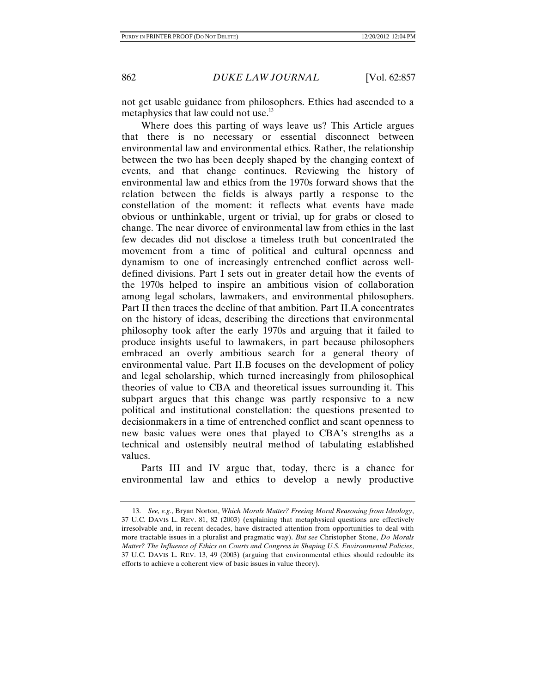not get usable guidance from philosophers. Ethics had ascended to a metaphysics that law could not use.<sup>13</sup>

Where does this parting of ways leave us? This Article argues that there is no necessary or essential disconnect between environmental law and environmental ethics. Rather, the relationship between the two has been deeply shaped by the changing context of events, and that change continues. Reviewing the history of environmental law and ethics from the 1970s forward shows that the relation between the fields is always partly a response to the constellation of the moment: it reflects what events have made obvious or unthinkable, urgent or trivial, up for grabs or closed to change. The near divorce of environmental law from ethics in the last few decades did not disclose a timeless truth but concentrated the movement from a time of political and cultural openness and dynamism to one of increasingly entrenched conflict across welldefined divisions. Part I sets out in greater detail how the events of the 1970s helped to inspire an ambitious vision of collaboration among legal scholars, lawmakers, and environmental philosophers. Part II then traces the decline of that ambition. Part II.A concentrates on the history of ideas, describing the directions that environmental philosophy took after the early 1970s and arguing that it failed to produce insights useful to lawmakers, in part because philosophers embraced an overly ambitious search for a general theory of environmental value. Part II.B focuses on the development of policy and legal scholarship, which turned increasingly from philosophical theories of value to CBA and theoretical issues surrounding it. This subpart argues that this change was partly responsive to a new political and institutional constellation: the questions presented to decisionmakers in a time of entrenched conflict and scant openness to new basic values were ones that played to CBA's strengths as a technical and ostensibly neutral method of tabulating established values.

Parts III and IV argue that, today, there is a chance for environmental law and ethics to develop a newly productive

 <sup>13.</sup> *See, e.g.*, Bryan Norton, *Which Morals Matter? Freeing Moral Reasoning from Ideology*, 37 U.C. DAVIS L. REV. 81, 82 (2003) (explaining that metaphysical questions are effectively irresolvable and, in recent decades, have distracted attention from opportunities to deal with more tractable issues in a pluralist and pragmatic way). *But see* Christopher Stone, *Do Morals Matter? The Influence of Ethics on Courts and Congress in Shaping U.S. Environmental Policies*, 37 U.C. DAVIS L. REV. 13, 49 (2003) (arguing that environmental ethics should redouble its efforts to achieve a coherent view of basic issues in value theory).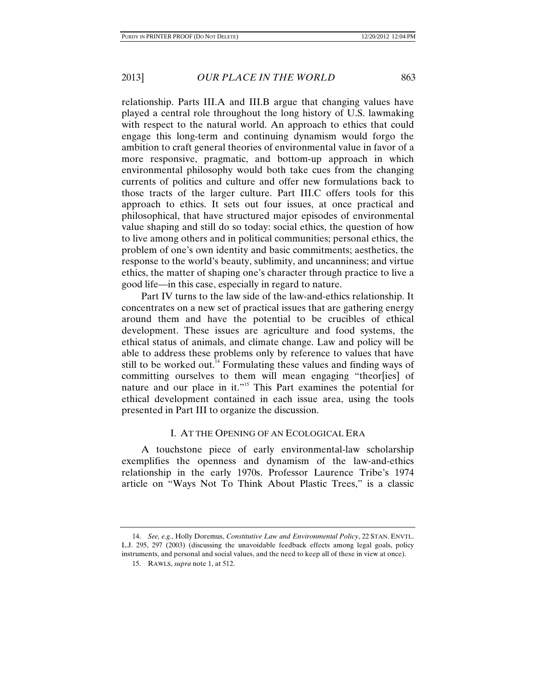relationship. Parts III.A and III.B argue that changing values have played a central role throughout the long history of U.S. lawmaking with respect to the natural world. An approach to ethics that could engage this long-term and continuing dynamism would forgo the ambition to craft general theories of environmental value in favor of a more responsive, pragmatic, and bottom-up approach in which environmental philosophy would both take cues from the changing currents of politics and culture and offer new formulations back to those tracts of the larger culture. Part III.C offers tools for this approach to ethics. It sets out four issues, at once practical and philosophical, that have structured major episodes of environmental value shaping and still do so today: social ethics, the question of how to live among others and in political communities; personal ethics, the problem of one's own identity and basic commitments; aesthetics, the response to the world's beauty, sublimity, and uncanniness; and virtue ethics, the matter of shaping one's character through practice to live a good life—in this case, especially in regard to nature.

Part IV turns to the law side of the law-and-ethics relationship. It concentrates on a new set of practical issues that are gathering energy around them and have the potential to be crucibles of ethical development. These issues are agriculture and food systems, the ethical status of animals, and climate change. Law and policy will be able to address these problems only by reference to values that have still to be worked out.<sup>14</sup> Formulating these values and finding ways of committing ourselves to them will mean engaging "theor[ies] of nature and our place in it."15 This Part examines the potential for ethical development contained in each issue area, using the tools presented in Part III to organize the discussion.

#### I. AT THE OPENING OF AN ECOLOGICAL ERA

A touchstone piece of early environmental-law scholarship exemplifies the openness and dynamism of the law-and-ethics relationship in the early 1970s. Professor Laurence Tribe's 1974 article on "Ways Not To Think About Plastic Trees," is a classic

 <sup>14.</sup> *See, e.g.*, Holly Doremus, *Constitutive Law and Environmental Policy*, 22 STAN. ENVTL. L.J. 295, 297 (2003) (discussing the unavoidable feedback effects among legal goals, policy instruments, and personal and social values, and the need to keep all of these in view at once).

 <sup>15.</sup> RAWLS, *supra* note 1, at 512.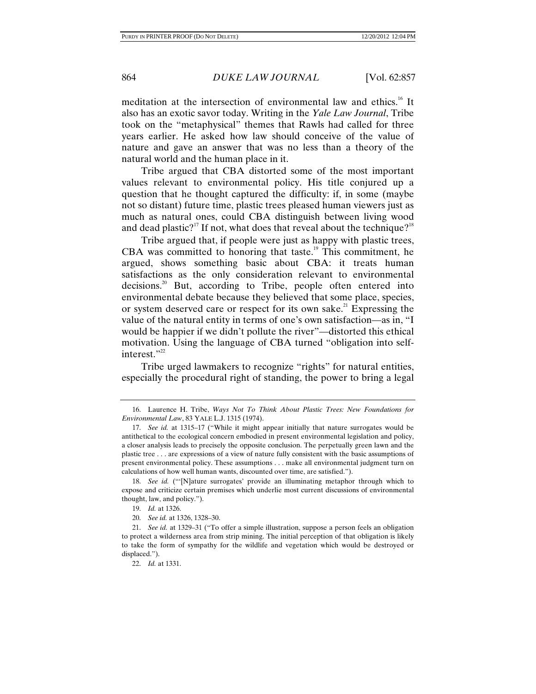meditation at the intersection of environmental law and ethics.<sup>16</sup> It also has an exotic savor today. Writing in the *Yale Law Journal*, Tribe took on the "metaphysical" themes that Rawls had called for three years earlier. He asked how law should conceive of the value of nature and gave an answer that was no less than a theory of the natural world and the human place in it.

Tribe argued that CBA distorted some of the most important values relevant to environmental policy. His title conjured up a question that he thought captured the difficulty: if, in some (maybe not so distant) future time, plastic trees pleased human viewers just as much as natural ones, could CBA distinguish between living wood and dead plastic?<sup>17</sup> If not, what does that reveal about the technique?<sup>18</sup>

Tribe argued that, if people were just as happy with plastic trees, CBA was committed to honoring that taste.<sup>19</sup> This commitment, he argued, shows something basic about CBA: it treats human satisfactions as the only consideration relevant to environmental decisions.<sup>20</sup> But, according to Tribe, people often entered into environmental debate because they believed that some place, species, or system deserved care or respect for its own sake.<sup>21</sup> Expressing the value of the natural entity in terms of one's own satisfaction—as in, "I would be happier if we didn't pollute the river"—distorted this ethical motivation. Using the language of CBA turned "obligation into selfinterest."<sup>22</sup>

Tribe urged lawmakers to recognize "rights" for natural entities, especially the procedural right of standing, the power to bring a legal

 <sup>16.</sup> Laurence H. Tribe, *Ways Not To Think About Plastic Trees: New Foundations for Environmental Law*, 83 YALE L.J. 1315 (1974).

 <sup>17.</sup> *See id.* at 1315–17 ("While it might appear initially that nature surrogates would be antithetical to the ecological concern embodied in present environmental legislation and policy, a closer analysis leads to precisely the opposite conclusion. The perpetually green lawn and the plastic tree . . . are expressions of a view of nature fully consistent with the basic assumptions of present environmental policy. These assumptions . . . make all environmental judgment turn on calculations of how well human wants, discounted over time, are satisfied.").

 <sup>18.</sup> *See id.* ("'[N]ature surrogates' provide an illuminating metaphor through which to expose and criticize certain premises which underlie most current discussions of environmental thought, law, and policy.").

 <sup>19.</sup> *Id.* at 1326.

 <sup>20.</sup> *See id.* at 1326, 1328–30.

 <sup>21.</sup> *See id.* at 1329–31 ("To offer a simple illustration, suppose a person feels an obligation to protect a wilderness area from strip mining. The initial perception of that obligation is likely to take the form of sympathy for the wildlife and vegetation which would be destroyed or displaced.").

 <sup>22.</sup> *Id.* at 1331.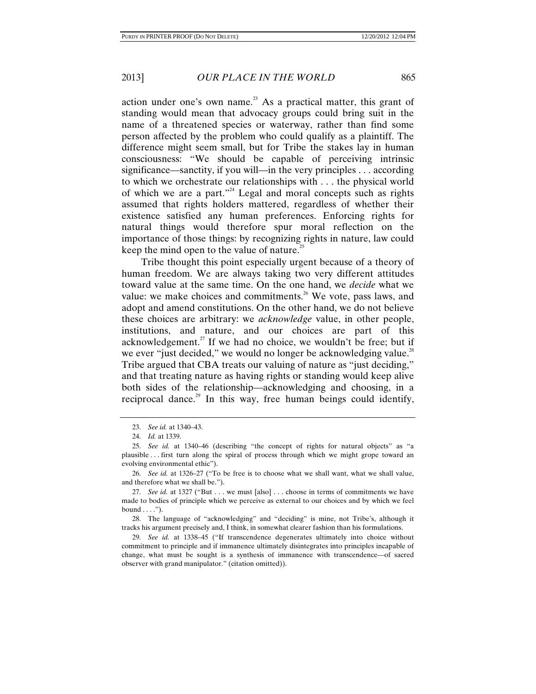action under one's own name.<sup>23</sup> As a practical matter, this grant of standing would mean that advocacy groups could bring suit in the name of a threatened species or waterway, rather than find some person affected by the problem who could qualify as a plaintiff. The difference might seem small, but for Tribe the stakes lay in human consciousness: "We should be capable of perceiving intrinsic significance—sanctity, if you will—in the very principles . . . according to which we orchestrate our relationships with . . . the physical world of which we are a part."<sup>24</sup> Legal and moral concepts such as rights assumed that rights holders mattered, regardless of whether their existence satisfied any human preferences. Enforcing rights for natural things would therefore spur moral reflection on the importance of those things: by recognizing rights in nature, law could keep the mind open to the value of nature.<sup>25</sup>

Tribe thought this point especially urgent because of a theory of human freedom. We are always taking two very different attitudes toward value at the same time. On the one hand, we *decide* what we value: we make choices and commitments.<sup>26</sup> We vote, pass laws, and adopt and amend constitutions. On the other hand, we do not believe these choices are arbitrary: we *acknowledge* value, in other people, institutions, and nature, and our choices are part of this acknowledgement.<sup>27</sup> If we had no choice, we wouldn't be free; but if we ever "just decided," we would no longer be acknowledging value.<sup>28</sup> Tribe argued that CBA treats our valuing of nature as "just deciding," and that treating nature as having rights or standing would keep alive both sides of the relationship—acknowledging and choosing, in a reciprocal dance.<sup>29</sup> In this way, free human beings could identify,

 28. The language of "acknowledging" and "deciding" is mine, not Tribe's, although it tracks his argument precisely and, I think, in somewhat clearer fashion than his formulations.

 29. *See id.* at 1338–45 ("If transcendence degenerates ultimately into choice without commitment to principle and if immanence ultimately disintegrates into principles incapable of change, what must be sought is a synthesis of immanence with transcendence—of sacred observer with grand manipulator." (citation omitted)).

 <sup>23.</sup> *See id.* at 1340–43.

 <sup>24.</sup> *Id.* at 1339.

 <sup>25.</sup> *See id.* at 1340–46 (describing "the concept of rights for natural objects" as "a plausible . . . first turn along the spiral of process through which we might grope toward an evolving environmental ethic").

 <sup>26.</sup> *See id.* at 1326–27 ("To be free is to choose what we shall want, what we shall value, and therefore what we shall be.").

 <sup>27.</sup> *See id.* at 1327 ("But . . . we must [also] . . . choose in terms of commitments we have made to bodies of principle which we perceive as external to our choices and by which we feel bound  $\dots$ .").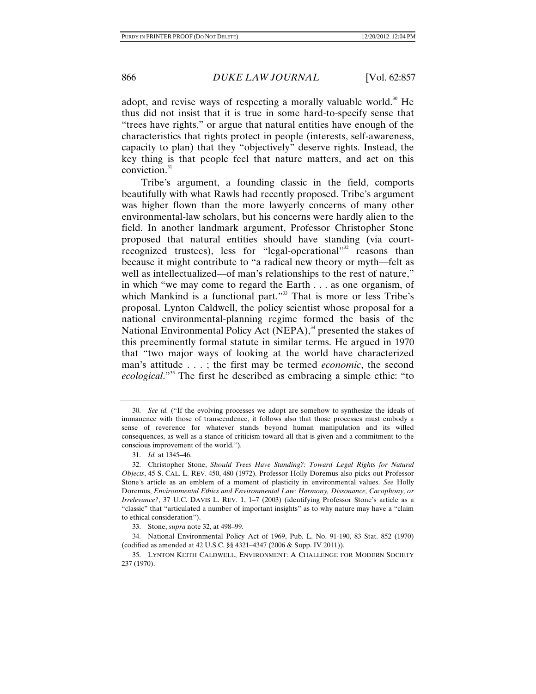adopt, and revise ways of respecting a morally valuable world.<sup>30</sup> He thus did not insist that it is true in some hard-to-specify sense that "trees have rights," or argue that natural entities have enough of the characteristics that rights protect in people (interests, self-awareness, capacity to plan) that they "objectively" deserve rights. Instead, the key thing is that people feel that nature matters, and act on this conviction. $31$ 

Tribe's argument, a founding classic in the field, comports beautifully with what Rawls had recently proposed. Tribe's argument was higher flown than the more lawyerly concerns of many other environmental-law scholars, but his concerns were hardly alien to the field. In another landmark argument, Professor Christopher Stone proposed that natural entities should have standing (via courtrecognized trustees), less for "legal-operational"<sup>32</sup> reasons than because it might contribute to "a radical new theory or myth—felt as well as intellectualized—of man's relationships to the rest of nature," in which "we may come to regard the Earth . . . as one organism, of which Mankind is a functional part."<sup>33</sup> That is more or less Tribe's proposal. Lynton Caldwell, the policy scientist whose proposal for a national environmental-planning regime formed the basis of the National Environmental Policy Act (NEPA), $34$  presented the stakes of this preeminently formal statute in similar terms. He argued in 1970 that "two major ways of looking at the world have characterized man's attitude . . . ; the first may be termed *economic*, the second *ecological*."35 The first he described as embracing a simple ethic: "to

 34. National Environmental Policy Act of 1969, Pub. L. No. 91-190, 83 Stat. 852 (1970) (codified as amended at 42 U.S.C. §§ 4321–4347 (2006 & Supp. IV 2011)).

 <sup>30.</sup> *See id.* ("If the evolving processes we adopt are somehow to synthesize the ideals of immanence with those of transcendence, it follows also that those processes must embody a sense of reverence for whatever stands beyond human manipulation and its willed consequences, as well as a stance of criticism toward all that is given and a commitment to the conscious improvement of the world.").

 <sup>31.</sup> *Id.* at 1345–46.

 <sup>32.</sup> Christopher Stone, *Should Trees Have Standing?: Toward Legal Rights for Natural Objects*, 45 S. CAL. L. REV. 450, 480 (1972). Professor Holly Doremus also picks out Professor Stone's article as an emblem of a moment of plasticity in environmental values. *See* Holly Doremus, *Environmental Ethics and Environmental Law: Harmony, Dissonance, Cacophony, or Irrelevance?*, 37 U.C. DAVIS L. REV. 1, 1–7 (2003) (identifying Professor Stone's article as a "classic" that "articulated a number of important insights" as to why nature may have a "claim to ethical consideration").

 <sup>33.</sup> Stone, *supra* note 32, at 498–99.

 <sup>35.</sup> LYNTON KEITH CALDWELL, ENVIRONMENT: A CHALLENGE FOR MODERN SOCIETY 237 (1970).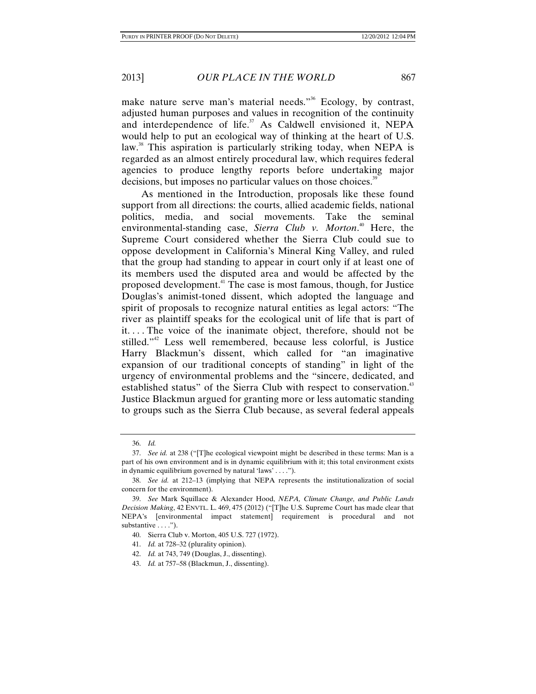make nature serve man's material needs."<sup>36</sup> Ecology, by contrast, adjusted human purposes and values in recognition of the continuity and interdependence of life. $37$  As Caldwell envisioned it, NEPA would help to put an ecological way of thinking at the heart of U.S. law.<sup>38</sup> This aspiration is particularly striking today, when NEPA is regarded as an almost entirely procedural law, which requires federal agencies to produce lengthy reports before undertaking major decisions, but imposes no particular values on those choices.<sup>39</sup>

As mentioned in the Introduction, proposals like these found support from all directions: the courts, allied academic fields, national politics, media, and social movements. Take the seminal environmental-standing case, *Sierra Club v. Morton*. 40 Here, the Supreme Court considered whether the Sierra Club could sue to oppose development in California's Mineral King Valley, and ruled that the group had standing to appear in court only if at least one of its members used the disputed area and would be affected by the proposed development.41 The case is most famous, though, for Justice Douglas's animist-toned dissent, which adopted the language and spirit of proposals to recognize natural entities as legal actors: "The river as plaintiff speaks for the ecological unit of life that is part of it. . . . The voice of the inanimate object, therefore, should not be stilled."42 Less well remembered, because less colorful, is Justice Harry Blackmun's dissent, which called for "an imaginative expansion of our traditional concepts of standing" in light of the urgency of environmental problems and the "sincere, dedicated, and established status" of the Sierra Club with respect to conservation.<sup>43</sup> Justice Blackmun argued for granting more or less automatic standing to groups such as the Sierra Club because, as several federal appeals

 <sup>36.</sup> *Id.*

 <sup>37.</sup> *See id.* at 238 ("[T]he ecological viewpoint might be described in these terms: Man is a part of his own environment and is in dynamic equilibrium with it; this total environment exists in dynamic equilibrium governed by natural 'laws' . . . .").

 <sup>38.</sup> *See id.* at 212–13 (implying that NEPA represents the institutionalization of social concern for the environment).

 <sup>39.</sup> *See* Mark Squillace & Alexander Hood, *NEPA, Climate Change, and Public Lands Decision Making*, 42 ENVTL. L. 469, 475 (2012) ("[T]he U.S. Supreme Court has made clear that NEPA's [environmental impact statement] requirement is procedural and not substantive . . . .").

 <sup>40.</sup> Sierra Club v. Morton, 405 U.S. 727 (1972).

 <sup>41.</sup> *Id.* at 728–32 (plurality opinion).

 <sup>42.</sup> *Id.* at 743, 749 (Douglas, J., dissenting).

 <sup>43.</sup> *Id.* at 757–58 (Blackmun, J., dissenting).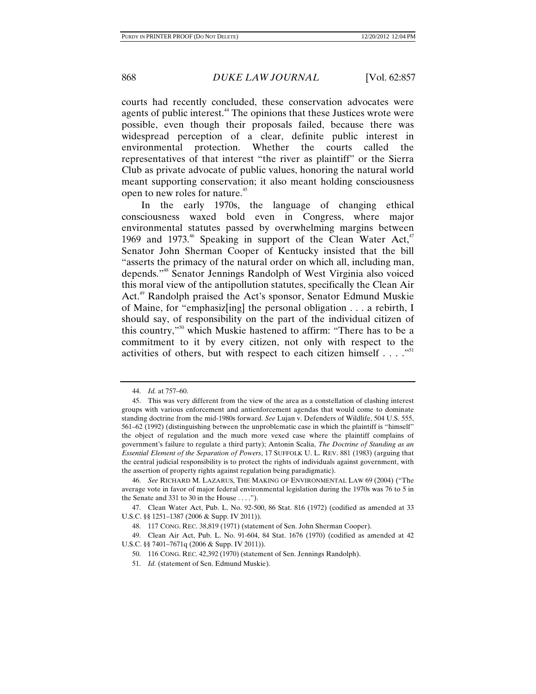courts had recently concluded, these conservation advocates were agents of public interest.<sup>44</sup> The opinions that these Justices wrote were possible, even though their proposals failed, because there was widespread perception of a clear, definite public interest in environmental protection. Whether the courts called the representatives of that interest "the river as plaintiff" or the Sierra Club as private advocate of public values, honoring the natural world meant supporting conservation; it also meant holding consciousness open to new roles for nature.<sup>45</sup>

In the early 1970s, the language of changing ethical consciousness waxed bold even in Congress, where major environmental statutes passed by overwhelming margins between 1969 and 1973.<sup>46</sup> Speaking in support of the Clean Water Act,<sup>47</sup> Senator John Sherman Cooper of Kentucky insisted that the bill "asserts the primacy of the natural order on which all, including man, depends."48 Senator Jennings Randolph of West Virginia also voiced this moral view of the antipollution statutes, specifically the Clean Air Act.<sup>49</sup> Randolph praised the Act's sponsor, Senator Edmund Muskie of Maine, for "emphasiz[ing] the personal obligation . . . a rebirth, I should say, of responsibility on the part of the individual citizen of this country,"50 which Muskie hastened to affirm: "There has to be a commitment to it by every citizen, not only with respect to the activities of others, but with respect to each citizen himself  $\dots$ ."<sup>51</sup>

 <sup>44.</sup> *Id.* at 757–60.

 <sup>45.</sup> This was very different from the view of the area as a constellation of clashing interest groups with various enforcement and antienforcement agendas that would come to dominate standing doctrine from the mid-1980s forward. *See* Lujan v. Defenders of Wildlife, 504 U.S. 555, 561–62 (1992) (distinguishing between the unproblematic case in which the plaintiff is "himself" the object of regulation and the much more vexed case where the plaintiff complains of government's failure to regulate a third party); Antonin Scalia, *The Doctrine of Standing as an Essential Element of the Separation of Powers*, 17 SUFFOLK U. L. REV. 881 (1983) (arguing that the central judicial responsibility is to protect the rights of individuals against government, with the assertion of property rights against regulation being paradigmatic).

 <sup>46.</sup> *See* RICHARD M. LAZARUS, THE MAKING OF ENVIRONMENTAL LAW 69 (2004) ("The average vote in favor of major federal environmental legislation during the 1970s was 76 to 5 in the Senate and 331 to 30 in the House  $\dots$ .").

 <sup>47.</sup> Clean Water Act, Pub. L. No. 92-500, 86 Stat. 816 (1972) (codified as amended at 33 U.S.C. §§ 1251–1387 (2006 & Supp. IV 2011)).

 <sup>48. 117</sup> CONG. REC. 38,819 (1971) (statement of Sen. John Sherman Cooper).

 <sup>49.</sup> Clean Air Act, Pub. L. No. 91-604, 84 Stat. 1676 (1970) (codified as amended at 42 U.S.C. §§ 7401–7671q (2006 & Supp. IV 2011)).

 <sup>50. 116</sup> CONG. REC. 42,392 (1970) (statement of Sen. Jennings Randolph).

 <sup>51.</sup> *Id.* (statement of Sen. Edmund Muskie).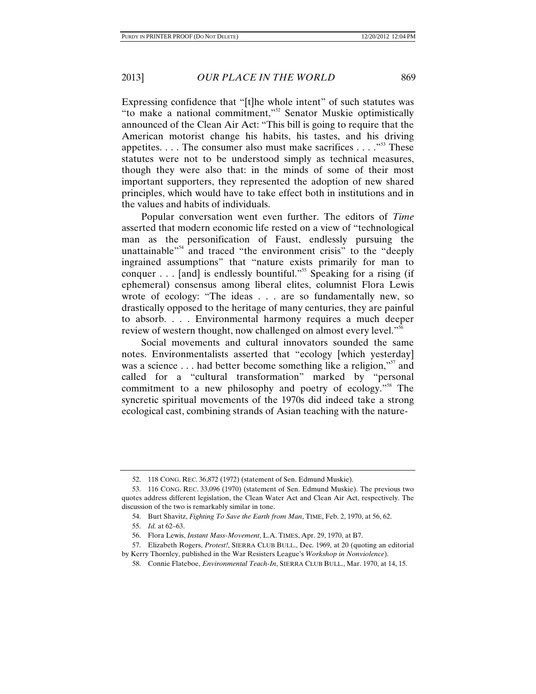Expressing confidence that "[t]he whole intent" of such statutes was "to make a national commitment,"52 Senator Muskie optimistically announced of the Clean Air Act: "This bill is going to require that the American motorist change his habits, his tastes, and his driving appetites.  $\ldots$  The consumer also must make sacrifices  $\ldots$  . . ...<sup>553</sup> These statutes were not to be understood simply as technical measures, though they were also that: in the minds of some of their most important supporters, they represented the adoption of new shared principles, which would have to take effect both in institutions and in the values and habits of individuals.

Popular conversation went even further. The editors of *Time* asserted that modern economic life rested on a view of "technological man as the personification of Faust, endlessly pursuing the unattainable<sup>"54</sup> and traced "the environment crisis" to the "deeply ingrained assumptions" that "nature exists primarily for man to conquer  $\dots$  [and] is endlessly bountiful."<sup>55</sup> Speaking for a rising (if ephemeral) consensus among liberal elites, columnist Flora Lewis wrote of ecology: "The ideas . . . are so fundamentally new, so drastically opposed to the heritage of many centuries, they are painful to absorb. . . . Environmental harmony requires a much deeper review of western thought, now challenged on almost every level."<sup>56</sup>

Social movements and cultural innovators sounded the same notes. Environmentalists asserted that "ecology [which yesterday] was a science  $\dots$  had better become something like a religion,"<sup>57</sup> and called for a "cultural transformation" marked by "personal commitment to a new philosophy and poetry of ecology."58 The syncretic spiritual movements of the 1970s did indeed take a strong ecological cast, combining strands of Asian teaching with the nature-

 <sup>52. 118</sup> CONG. REC. 36,872 (1972) (statement of Sen. Edmund Muskie).

 <sup>53. 116</sup> CONG. REC. 33,096 (1970) (statement of Sen. Edmund Muskie). The previous two quotes address different legislation, the Clean Water Act and Clean Air Act, respectively. The discussion of the two is remarkably similar in tone.

 <sup>54.</sup> Burt Shavitz, *Fighting To Save the Earth from Man*, TIME, Feb. 2, 1970, at 56, 62.

 <sup>55.</sup> *Id.* at 62–63.

 <sup>56.</sup> Flora Lewis, *Instant Mass-Movement*, L.A. TIMES, Apr. 29, 1970, at B7.

 <sup>57.</sup> Elizabeth Rogers, *Protest!*, SIERRA CLUB BULL., Dec. 1969, at 20 (quoting an editorial by Kerry Thornley, published in the War Resisters League's *Workshop in Nonviolence*).

 <sup>58.</sup> Connie Flateboe, *Environmental Teach-In*, SIERRA CLUB BULL., Mar. 1970, at 14, 15.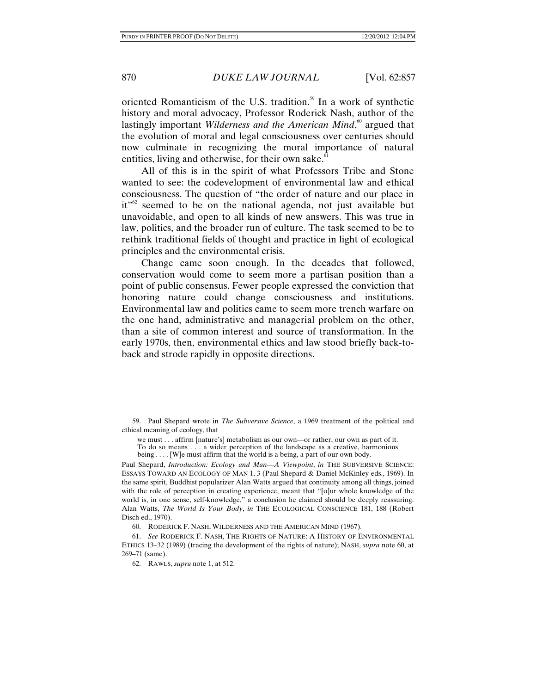oriented Romanticism of the U.S. tradition.<sup>59</sup> In a work of synthetic history and moral advocacy, Professor Roderick Nash, author of the lastingly important *Wilderness and the American Mind*,<sup>60</sup> argued that the evolution of moral and legal consciousness over centuries should now culminate in recognizing the moral importance of natural entities, living and otherwise, for their own sake. $61$ 

All of this is in the spirit of what Professors Tribe and Stone wanted to see: the codevelopment of environmental law and ethical consciousness. The question of "the order of nature and our place in  $it^{\gamma62}$  seemed to be on the national agenda, not just available but unavoidable, and open to all kinds of new answers. This was true in law, politics, and the broader run of culture. The task seemed to be to rethink traditional fields of thought and practice in light of ecological principles and the environmental crisis.

Change came soon enough. In the decades that followed, conservation would come to seem more a partisan position than a point of public consensus. Fewer people expressed the conviction that honoring nature could change consciousness and institutions. Environmental law and politics came to seem more trench warfare on the one hand, administrative and managerial problem on the other, than a site of common interest and source of transformation. In the early 1970s, then, environmental ethics and law stood briefly back-toback and strode rapidly in opposite directions.

 <sup>59.</sup> Paul Shepard wrote in *The Subversive Science*, a 1969 treatment of the political and ethical meaning of ecology, that

we must . . . affirm [nature's] metabolism as our own—or rather, our own as part of it. To do so means . . . a wider perception of the landscape as a creative, harmonious being . . . . [W]e must affirm that the world is a being, a part of our own body.

Paul Shepard, *Introduction: Ecology and Man—A Viewpoint*, *in* THE SUBVERSIVE SCIENCE: ESSAYS TOWARD AN ECOLOGY OF MAN 1, 3 (Paul Shepard & Daniel McKinley eds., 1969). In the same spirit, Buddhist popularizer Alan Watts argued that continuity among all things, joined with the role of perception in creating experience, meant that "[o]ur whole knowledge of the world is, in one sense, self-knowledge," a conclusion he claimed should be deeply reassuring. Alan Watts, *The World Is Your Body*, *in* THE ECOLOGICAL CONSCIENCE 181, 188 (Robert Disch ed., 1970).

 <sup>60.</sup> RODERICK F. NASH, WILDERNESS AND THE AMERICAN MIND (1967).

 <sup>61.</sup> *See* RODERICK F. NASH, THE RIGHTS OF NATURE: A HISTORY OF ENVIRONMENTAL ETHICS 13–32 (1989) (tracing the development of the rights of nature); NASH, *supra* note 60, at 269–71 (same).

 <sup>62.</sup> RAWLS, *supra* note 1, at 512.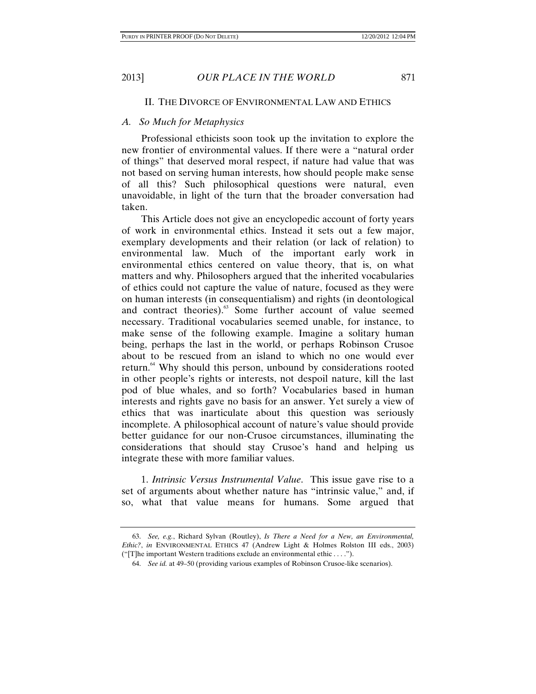#### II. THE DIVORCE OF ENVIRONMENTAL LAW AND ETHICS

#### *A. So Much for Metaphysics*

Professional ethicists soon took up the invitation to explore the new frontier of environmental values. If there were a "natural order of things" that deserved moral respect, if nature had value that was not based on serving human interests, how should people make sense of all this? Such philosophical questions were natural, even unavoidable, in light of the turn that the broader conversation had taken.

This Article does not give an encyclopedic account of forty years of work in environmental ethics. Instead it sets out a few major, exemplary developments and their relation (or lack of relation) to environmental law. Much of the important early work in environmental ethics centered on value theory, that is, on what matters and why. Philosophers argued that the inherited vocabularies of ethics could not capture the value of nature, focused as they were on human interests (in consequentialism) and rights (in deontological and contract theories).<sup>63</sup> Some further account of value seemed necessary. Traditional vocabularies seemed unable, for instance, to make sense of the following example. Imagine a solitary human being, perhaps the last in the world, or perhaps Robinson Crusoe about to be rescued from an island to which no one would ever return.<sup>64</sup> Why should this person, unbound by considerations rooted in other people's rights or interests, not despoil nature, kill the last pod of blue whales, and so forth? Vocabularies based in human interests and rights gave no basis for an answer. Yet surely a view of ethics that was inarticulate about this question was seriously incomplete. A philosophical account of nature's value should provide better guidance for our non-Crusoe circumstances, illuminating the considerations that should stay Crusoe's hand and helping us integrate these with more familiar values.

1. *Intrinsic Versus Instrumental Value*. This issue gave rise to a set of arguments about whether nature has "intrinsic value," and, if so, what that value means for humans. Some argued that

 <sup>63.</sup> *See, e.g.*, Richard Sylvan (Routley), *Is There a Need for a New, an Environmental, Ethic?*, *in* ENVIRONMENTAL ETHICS 47 (Andrew Light & Holmes Rolston III eds., 2003) ("[T]he important Western traditions exclude an environmental ethic . . . .").

 <sup>64.</sup> *See id.* at 49–50 (providing various examples of Robinson Crusoe-like scenarios).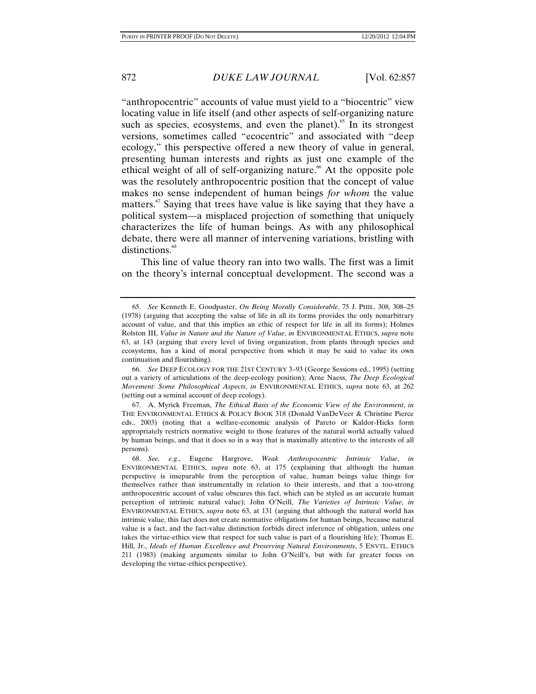"anthropocentric" accounts of value must yield to a "biocentric" view locating value in life itself (and other aspects of self-organizing nature such as species, ecosystems, and even the planet).<sup>65</sup> In its strongest versions, sometimes called "ecocentric" and associated with "deep ecology," this perspective offered a new theory of value in general, presenting human interests and rights as just one example of the ethical weight of all of self-organizing nature.<sup> $66$ </sup> At the opposite pole was the resolutely anthropocentric position that the concept of value makes no sense independent of human beings *for whom* the value matters.<sup>67</sup> Saying that trees have value is like saying that they have a political system—a misplaced projection of something that uniquely characterizes the life of human beings. As with any philosophical debate, there were all manner of intervening variations, bristling with distinctions.<sup>68</sup>

This line of value theory ran into two walls. The first was a limit on the theory's internal conceptual development. The second was a

 <sup>65.</sup> *See* Kenneth E. Goodpaster, *On Being Morally Considerable*, 75 J. PHIL. 308, 308–25 (1978) (arguing that accepting the value of life in all its forms provides the only nonarbitrary account of value, and that this implies an ethic of respect for life in all its forms); Holmes Rolston III, *Value in Nature and the Nature of Value*, *in* ENVIRONMENTAL ETHICS, *supra* note 63, at 143 (arguing that every level of living organization, from plants through species and ecosystems, has a kind of moral perspective from which it may be said to value its own continuation and flourishing).

 <sup>66.</sup> *See* DEEP ECOLOGY FOR THE 21ST CENTURY 3–93 (George Sessions ed., 1995) (setting out a variety of articulations of the deep-ecology position); Arne Naess, *The Deep Ecological Movement: Some Philosophical Aspects*, *in* ENVIRONMENTAL ETHICS, *supra* note 63, at 262 (setting out a seminal account of deep ecology).

 <sup>67.</sup> A. Myrick Freeman, *The Ethical Basis of the Economic View of the Environment*, *in* THE ENVIRONMENTAL ETHICS & POLICY BOOK 318 (Donald VanDeVeer & Christine Pierce eds., 2003) (noting that a welfare-economic analysis of Pareto or Kaldor-Hicks form appropriately restricts normative weight to those features of the natural world actually valued by human beings, and that it does so in a way that is maximally attentive to the interests of all persons).

 <sup>68.</sup> *See, e.g.*, Eugene Hargrove, *Weak Anthropocentric Intrinsic Value*, *in* ENVIRONMENTAL ETHICS, *supra* note 63, at 175 (explaining that although the human perspective is inseparable from the perception of value, human beings value things for themselves rather than instrumentally in relation to their interests, and that a too-strong anthropocentric account of value obscures this fact, which can be styled as an accurate human perception of intrinsic natural value); John O'Neill, *The Varieties of Intrinsic Value*, *in* ENVIRONMENTAL ETHICS, *supra* note 63, at 131 (arguing that although the natural world has intrinsic value, this fact does not create normative obligations for human beings, because natural value is a fact, and the fact-value distinction forbids direct inference of obligation, unless one takes the virtue-ethics view that respect for such value is part of a flourishing life); Thomas E. Hill, Jr., *Ideals of Human Excellence and Preserving Natural Environments*, 5 ENVTL. ETHICS 211 (1983) (making arguments similar to John O'Neill's, but with far greater focus on developing the virtue-ethics perspective).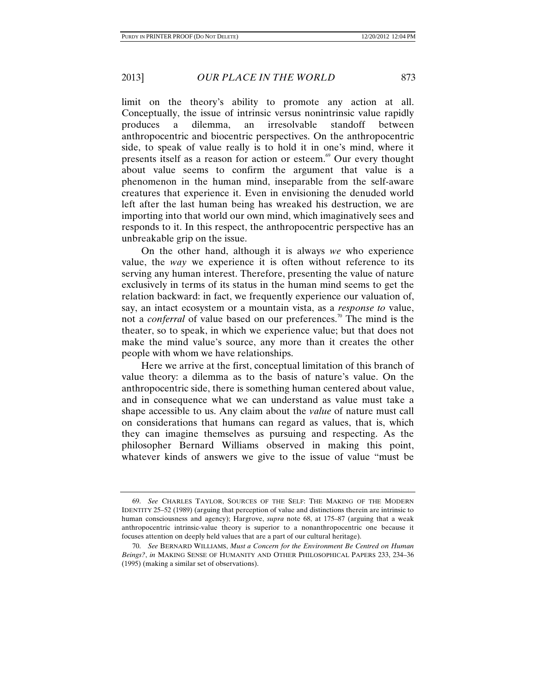limit on the theory's ability to promote any action at all. Conceptually, the issue of intrinsic versus nonintrinsic value rapidly produces a dilemma, an irresolvable standoff between anthropocentric and biocentric perspectives. On the anthropocentric side, to speak of value really is to hold it in one's mind, where it presents itself as a reason for action or esteem.<sup>69</sup> Our every thought about value seems to confirm the argument that value is a phenomenon in the human mind, inseparable from the self-aware creatures that experience it. Even in envisioning the denuded world left after the last human being has wreaked his destruction, we are importing into that world our own mind, which imaginatively sees and responds to it. In this respect, the anthropocentric perspective has an unbreakable grip on the issue.

On the other hand, although it is always *we* who experience value, the *way* we experience it is often without reference to its serving any human interest. Therefore, presenting the value of nature exclusively in terms of its status in the human mind seems to get the relation backward: in fact, we frequently experience our valuation of, say, an intact ecosystem or a mountain vista, as a *response to* value, not a *conferral* of value based on our preferences.<sup>70</sup> The mind is the theater, so to speak, in which we experience value; but that does not make the mind value's source, any more than it creates the other people with whom we have relationships.

Here we arrive at the first, conceptual limitation of this branch of value theory: a dilemma as to the basis of nature's value. On the anthropocentric side, there is something human centered about value, and in consequence what we can understand as value must take a shape accessible to us. Any claim about the *value* of nature must call on considerations that humans can regard as values, that is, which they can imagine themselves as pursuing and respecting. As the philosopher Bernard Williams observed in making this point, whatever kinds of answers we give to the issue of value "must be

 <sup>69.</sup> *See* CHARLES TAYLOR, SOURCES OF THE SELF: THE MAKING OF THE MODERN IDENTITY 25–52 (1989) (arguing that perception of value and distinctions therein are intrinsic to human consciousness and agency); Hargrove, *supra* note 68, at 175–87 (arguing that a weak anthropocentric intrinsic-value theory is superior to a nonanthropocentric one because it focuses attention on deeply held values that are a part of our cultural heritage).

 <sup>70.</sup> *See* BERNARD WILLIAMS, *Must a Concern for the Environment Be Centred on Human Beings?*, *in* MAKING SENSE OF HUMANITY AND OTHER PHILOSOPHICAL PAPERS 233, 234–36 (1995) (making a similar set of observations).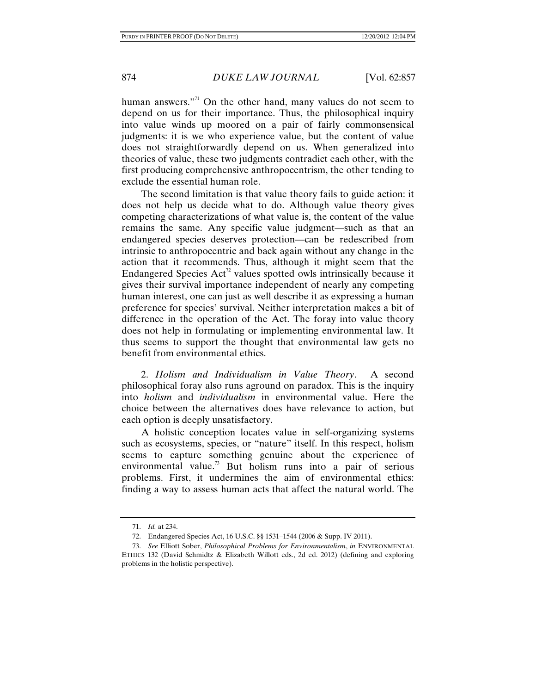human answers."<sup>11</sup> On the other hand, many values do not seem to depend on us for their importance. Thus, the philosophical inquiry into value winds up moored on a pair of fairly commonsensical judgments: it is we who experience value, but the content of value does not straightforwardly depend on us. When generalized into theories of value, these two judgments contradict each other, with the first producing comprehensive anthropocentrism, the other tending to exclude the essential human role.

The second limitation is that value theory fails to guide action: it does not help us decide what to do. Although value theory gives competing characterizations of what value is, the content of the value remains the same. Any specific value judgment—such as that an endangered species deserves protection—can be redescribed from intrinsic to anthropocentric and back again without any change in the action that it recommends. Thus, although it might seem that the Endangered Species  $Act<sup>2</sup>$  values spotted owls intrinsically because it gives their survival importance independent of nearly any competing human interest, one can just as well describe it as expressing a human preference for species' survival. Neither interpretation makes a bit of difference in the operation of the Act. The foray into value theory does not help in formulating or implementing environmental law. It thus seems to support the thought that environmental law gets no benefit from environmental ethics.

2. *Holism and Individualism in Value Theory*. A second philosophical foray also runs aground on paradox. This is the inquiry into *holism* and *individualism* in environmental value. Here the choice between the alternatives does have relevance to action, but each option is deeply unsatisfactory.

A holistic conception locates value in self-organizing systems such as ecosystems, species, or "nature" itself. In this respect, holism seems to capture something genuine about the experience of environmental value.<sup>73</sup> But holism runs into a pair of serious problems. First, it undermines the aim of environmental ethics: finding a way to assess human acts that affect the natural world. The

 <sup>71.</sup> *Id.* at 234.

 <sup>72.</sup> Endangered Species Act, 16 U.S.C. §§ 1531–1544 (2006 & Supp. IV 2011).

 <sup>73.</sup> *See* Elliott Sober, *Philosophical Problems for Environmentalism*, *in* ENVIRONMENTAL ETHICS 132 (David Schmidtz & Elizabeth Willott eds., 2d ed. 2012) (defining and exploring problems in the holistic perspective).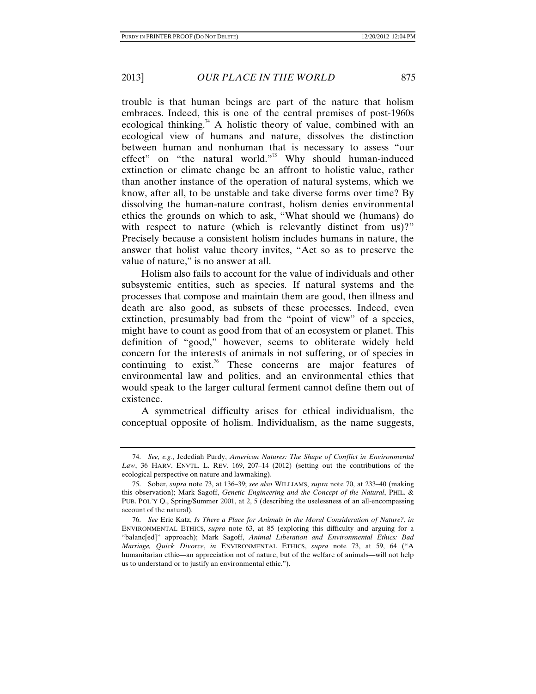trouble is that human beings are part of the nature that holism embraces. Indeed, this is one of the central premises of post-1960s ecological thinking.<sup>74</sup> A holistic theory of value, combined with an ecological view of humans and nature, dissolves the distinction between human and nonhuman that is necessary to assess "our effect" on "the natural world."<sup>75</sup> Why should human-induced extinction or climate change be an affront to holistic value, rather than another instance of the operation of natural systems, which we know, after all, to be unstable and take diverse forms over time? By dissolving the human-nature contrast, holism denies environmental ethics the grounds on which to ask, "What should we (humans) do with respect to nature (which is relevantly distinct from us)?" Precisely because a consistent holism includes humans in nature, the answer that holist value theory invites, "Act so as to preserve the value of nature," is no answer at all.

Holism also fails to account for the value of individuals and other subsystemic entities, such as species. If natural systems and the processes that compose and maintain them are good, then illness and death are also good, as subsets of these processes. Indeed, even extinction, presumably bad from the "point of view" of a species, might have to count as good from that of an ecosystem or planet. This definition of "good," however, seems to obliterate widely held concern for the interests of animals in not suffering, or of species in continuing to exist.<sup>76</sup> These concerns are major features of environmental law and politics, and an environmental ethics that would speak to the larger cultural ferment cannot define them out of existence.

A symmetrical difficulty arises for ethical individualism, the conceptual opposite of holism. Individualism, as the name suggests,

 <sup>74.</sup> *See, e.g.*, Jedediah Purdy, *American Natures: The Shape of Conflict in Environmental Law*, 36 HARV. ENVTL. L. REV. 169, 207–14 (2012) (setting out the contributions of the ecological perspective on nature and lawmaking).

 <sup>75.</sup> Sober, *supra* note 73, at 136–39; *see also* WILLIAMS, *supra* note 70, at 233–40 (making this observation); Mark Sagoff, *Genetic Engineering and the Concept of the Natural*, PHIL. & PUB. POL'Y Q., Spring/Summer 2001, at 2, 5 (describing the uselessness of an all-encompassing account of the natural).

 <sup>76.</sup> *See* Eric Katz, *Is There a Place for Animals in the Moral Consideration of Nature?*, *in* ENVIRONMENTAL ETHICS, *supra* note 63, at 85 (exploring this difficulty and arguing for a "balanc[ed]" approach); Mark Sagoff, *Animal Liberation and Environmental Ethics: Bad Marriage, Quick Divorce*, *in* ENVIRONMENTAL ETHICS, *supra* note 73, at 59, 64 ("A humanitarian ethic—an appreciation not of nature, but of the welfare of animals—will not help us to understand or to justify an environmental ethic.").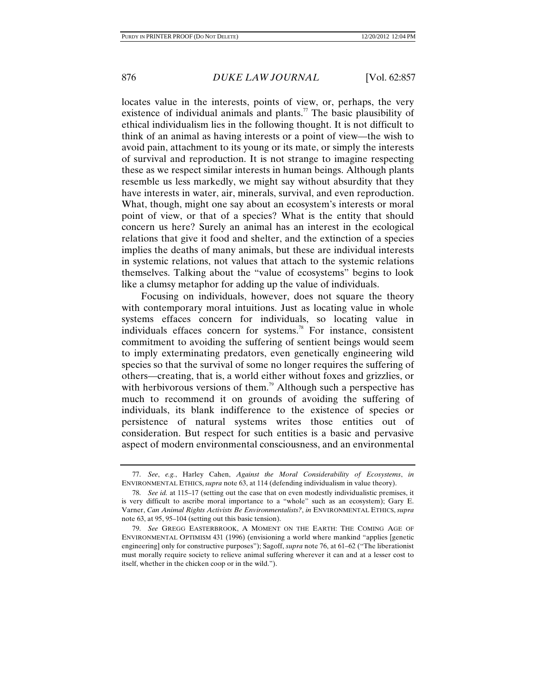locates value in the interests, points of view, or, perhaps, the very existence of individual animals and plants.<sup>77</sup> The basic plausibility of ethical individualism lies in the following thought. It is not difficult to think of an animal as having interests or a point of view—the wish to avoid pain, attachment to its young or its mate, or simply the interests of survival and reproduction. It is not strange to imagine respecting these as we respect similar interests in human beings. Although plants resemble us less markedly, we might say without absurdity that they have interests in water, air, minerals, survival, and even reproduction. What, though, might one say about an ecosystem's interests or moral point of view, or that of a species? What is the entity that should concern us here? Surely an animal has an interest in the ecological relations that give it food and shelter, and the extinction of a species implies the deaths of many animals, but these are individual interests in systemic relations, not values that attach to the systemic relations themselves. Talking about the "value of ecosystems" begins to look like a clumsy metaphor for adding up the value of individuals.

Focusing on individuals, however, does not square the theory with contemporary moral intuitions. Just as locating value in whole systems effaces concern for individuals, so locating value in individuals effaces concern for systems.<sup>78</sup> For instance, consistent commitment to avoiding the suffering of sentient beings would seem to imply exterminating predators, even genetically engineering wild species so that the survival of some no longer requires the suffering of others—creating, that is, a world either without foxes and grizzlies, or with herbivorous versions of them.<sup>79</sup> Although such a perspective has much to recommend it on grounds of avoiding the suffering of individuals, its blank indifference to the existence of species or persistence of natural systems writes those entities out of consideration. But respect for such entities is a basic and pervasive aspect of modern environmental consciousness, and an environmental

 <sup>77.</sup> *See*, *e.g.*, Harley Cahen, *Against the Moral Considerability of Ecosystems*, *in* ENVIRONMENTAL ETHICS, *supra* note 63, at 114 (defending individualism in value theory).

 <sup>78.</sup> *See id.* at 115–17 (setting out the case that on even modestly individualistic premises, it is very difficult to ascribe moral importance to a "whole" such as an ecosystem); Gary E. Varner, *Can Animal Rights Activists Be Environmentalists?*, *in* ENVIRONMENTAL ETHICS, *supra* note 63, at 95, 95–104 (setting out this basic tension).

 <sup>79.</sup> *See* GREGG EASTERBROOK, A MOMENT ON THE EARTH: THE COMING AGE OF ENVIRONMENTAL OPTIMISM 431 (1996) (envisioning a world where mankind "applies [genetic engineering] only for constructive purposes"); Sagoff, *supra* note 76, at 61–62 ("The liberationist must morally require society to relieve animal suffering wherever it can and at a lesser cost to itself, whether in the chicken coop or in the wild.").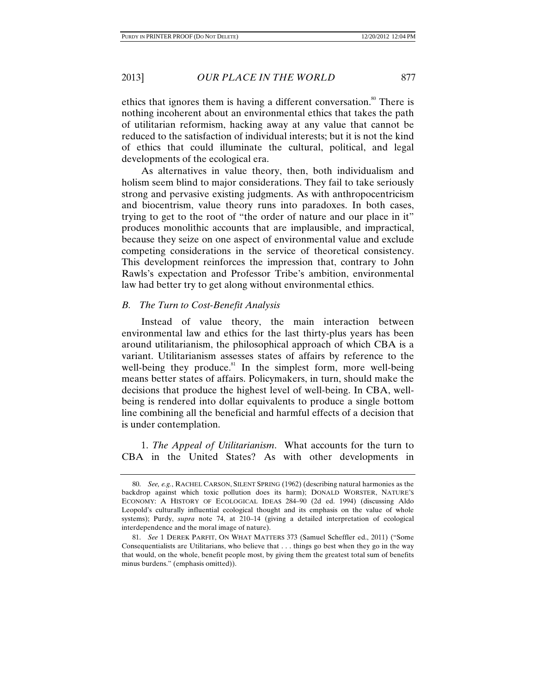ethics that ignores them is having a different conversation.<sup>80</sup> There is nothing incoherent about an environmental ethics that takes the path of utilitarian reformism, hacking away at any value that cannot be reduced to the satisfaction of individual interests; but it is not the kind of ethics that could illuminate the cultural, political, and legal developments of the ecological era.

As alternatives in value theory, then, both individualism and holism seem blind to major considerations. They fail to take seriously strong and pervasive existing judgments. As with anthropocentricism and biocentrism, value theory runs into paradoxes. In both cases, trying to get to the root of "the order of nature and our place in it" produces monolithic accounts that are implausible, and impractical, because they seize on one aspect of environmental value and exclude competing considerations in the service of theoretical consistency. This development reinforces the impression that, contrary to John Rawls's expectation and Professor Tribe's ambition, environmental law had better try to get along without environmental ethics.

#### *B. The Turn to Cost-Benefit Analysis*

Instead of value theory, the main interaction between environmental law and ethics for the last thirty-plus years has been around utilitarianism, the philosophical approach of which CBA is a variant. Utilitarianism assesses states of affairs by reference to the well-being they produce. $81$  In the simplest form, more well-being means better states of affairs. Policymakers, in turn, should make the decisions that produce the highest level of well-being. In CBA, wellbeing is rendered into dollar equivalents to produce a single bottom line combining all the beneficial and harmful effects of a decision that is under contemplation.

1. *The Appeal of Utilitarianism*. What accounts for the turn to CBA in the United States? As with other developments in

 <sup>80.</sup> *See, e.g.*, RACHEL CARSON, SILENT SPRING (1962) (describing natural harmonies as the backdrop against which toxic pollution does its harm); DONALD WORSTER, NATURE'S ECONOMY: A HISTORY OF ECOLOGICAL IDEAS 284-90 (2d ed. 1994) (discussing Aldo Leopold's culturally influential ecological thought and its emphasis on the value of whole systems); Purdy, *supra* note 74, at 210–14 (giving a detailed interpretation of ecological interdependence and the moral image of nature).

 <sup>81.</sup> *See* 1 DEREK PARFIT, ON WHAT MATTERS 373 (Samuel Scheffler ed., 2011) ("Some Consequentialists are Utilitarians, who believe that . . . things go best when they go in the way that would, on the whole, benefit people most, by giving them the greatest total sum of benefits minus burdens." (emphasis omitted)).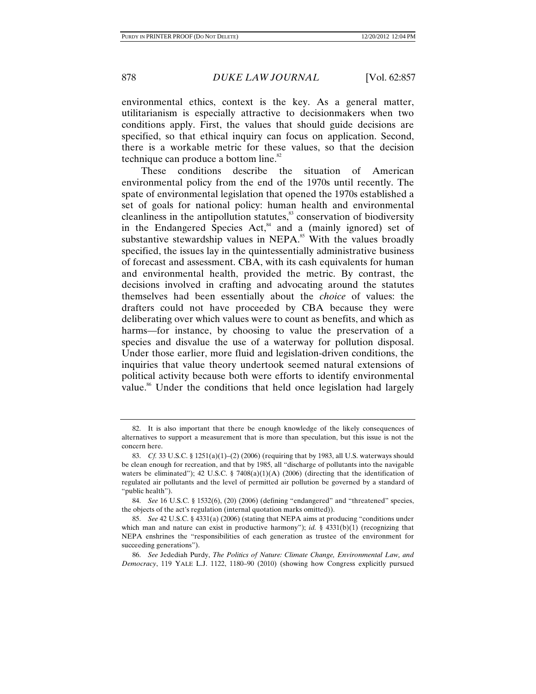environmental ethics, context is the key. As a general matter, utilitarianism is especially attractive to decisionmakers when two conditions apply. First, the values that should guide decisions are specified, so that ethical inquiry can focus on application. Second, there is a workable metric for these values, so that the decision technique can produce a bottom line.<sup>82</sup>

These conditions describe the situation of American environmental policy from the end of the 1970s until recently. The spate of environmental legislation that opened the 1970s established a set of goals for national policy: human health and environmental cleanliness in the antipollution statutes,<sup>83</sup> conservation of biodiversity in the Endangered Species Act, $^{84}$  and a (mainly ignored) set of substantive stewardship values in NEPA. $85$  With the values broadly specified, the issues lay in the quintessentially administrative business of forecast and assessment. CBA, with its cash equivalents for human and environmental health, provided the metric. By contrast, the decisions involved in crafting and advocating around the statutes themselves had been essentially about the *choice* of values: the drafters could not have proceeded by CBA because they were deliberating over which values were to count as benefits, and which as harms—for instance, by choosing to value the preservation of a species and disvalue the use of a waterway for pollution disposal. Under those earlier, more fluid and legislation-driven conditions, the inquiries that value theory undertook seemed natural extensions of political activity because both were efforts to identify environmental value.<sup>86</sup> Under the conditions that held once legislation had largely

 <sup>82.</sup> It is also important that there be enough knowledge of the likely consequences of alternatives to support a measurement that is more than speculation, but this issue is not the concern here.

 <sup>83.</sup> *Cf.* 33 U.S.C. § 1251(a)(1)–(2) (2006) (requiring that by 1983, all U.S. waterways should be clean enough for recreation, and that by 1985, all "discharge of pollutants into the navigable waters be eliminated"); 42 U.S.C. § 7408(a)(1)(A) (2006) (directing that the identification of regulated air pollutants and the level of permitted air pollution be governed by a standard of "public health").

 <sup>84.</sup> *See* 16 U.S.C. § 1532(6), (20) (2006) (defining "endangered" and "threatened" species, the objects of the act's regulation (internal quotation marks omitted)).

 <sup>85.</sup> *See* 42 U.S.C. § 4331(a) (2006) (stating that NEPA aims at producing "conditions under which man and nature can exist in productive harmony"); *id.* § 4331(b)(1) (recognizing that NEPA enshrines the "responsibilities of each generation as trustee of the environment for succeeding generations").

 <sup>86.</sup> *See* Jedediah Purdy, *The Politics of Nature: Climate Change, Environmental Law, and Democracy*, 119 YALE L.J. 1122, 1180–90 (2010) (showing how Congress explicitly pursued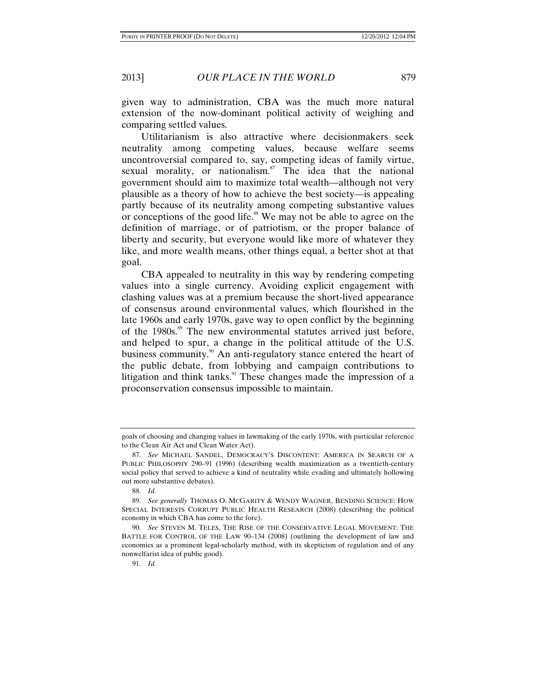given way to administration, CBA was the much more natural extension of the now-dominant political activity of weighing and comparing settled values.

Utilitarianism is also attractive where decisionmakers seek neutrality among competing values, because welfare seems uncontroversial compared to, say, competing ideas of family virtue, sexual morality, or nationalism.<sup>87</sup> The idea that the national government should aim to maximize total wealth—although not very plausible as a theory of how to achieve the best society—is appealing partly because of its neutrality among competing substantive values or conceptions of the good life.<sup>88</sup> We may not be able to agree on the definition of marriage, or of patriotism, or the proper balance of liberty and security, but everyone would like more of whatever they like, and more wealth means, other things equal, a better shot at that goal.

CBA appealed to neutrality in this way by rendering competing values into a single currency. Avoiding explicit engagement with clashing values was at a premium because the short-lived appearance of consensus around environmental values, which flourished in the late 1960s and early 1970s, gave way to open conflict by the beginning of the 1980s.<sup>89</sup> The new environmental statutes arrived just before, and helped to spur, a change in the political attitude of the U.S. business community.<sup>90</sup> An anti-regulatory stance entered the heart of the public debate, from lobbying and campaign contributions to litigation and think tanks. $91$  These changes made the impression of a proconservation consensus impossible to maintain.

goals of choosing and changing values in lawmaking of the early 1970s, with particular reference to the Clean Air Act and Clean Water Act).

 <sup>87.</sup> *See* MICHAEL SANDEL, DEMOCRACY'S DISCONTENT: AMERICA IN SEARCH OF A PUBLIC PHILOSOPHY 290–91 (1996) (describing wealth maximization as a twentieth-century social policy that served to achieve a kind of neutrality while evading and ultimately hollowing out more substantive debates).

 <sup>88.</sup> *Id.*

 <sup>89.</sup> *See generally* THOMAS O. MCGARITY & WENDY WAGNER, BENDING SCIENCE: HOW SPECIAL INTERESTS CORRUPT PUBLIC HEALTH RESEARCH (2008) (describing the political economy in which CBA has come to the fore).

 <sup>90.</sup> *See* STEVEN M. TELES, THE RISE OF THE CONSERVATIVE LEGAL MOVEMENT: THE BATTLE FOR CONTROL OF THE LAW 90–134 (2008) (outlining the development of law and economics as a prominent legal-scholarly method, with its skepticism of regulation and of any nonwelfarist idea of public good).

 <sup>91.</sup> *Id.*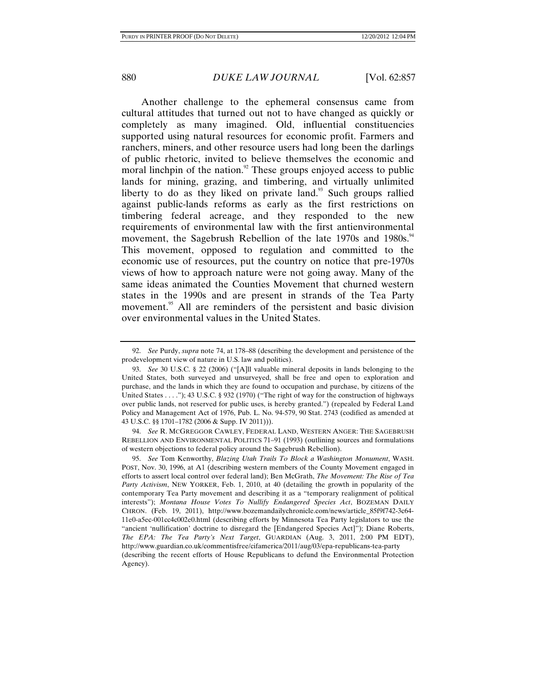Another challenge to the ephemeral consensus came from cultural attitudes that turned out not to have changed as quickly or completely as many imagined. Old, influential constituencies supported using natural resources for economic profit. Farmers and ranchers, miners, and other resource users had long been the darlings of public rhetoric, invited to believe themselves the economic and moral linchpin of the nation. $92$  These groups enjoyed access to public lands for mining, grazing, and timbering, and virtually unlimited liberty to do as they liked on private land. $93$  Such groups rallied against public-lands reforms as early as the first restrictions on timbering federal acreage, and they responded to the new requirements of environmental law with the first antienvironmental movement, the Sagebrush Rebellion of the late 1970s and 1980s.<sup>94</sup> This movement, opposed to regulation and committed to the economic use of resources, put the country on notice that pre-1970s views of how to approach nature were not going away. Many of the same ideas animated the Counties Movement that churned western states in the 1990s and are present in strands of the Tea Party movement.<sup>95</sup> All are reminders of the persistent and basic division over environmental values in the United States.

 94. *See* R. MCGREGGOR CAWLEY, FEDERAL LAND, WESTERN ANGER: THE SAGEBRUSH REBELLION AND ENVIRONMENTAL POLITICS 71–91 (1993) (outlining sources and formulations of western objections to federal policy around the Sagebrush Rebellion).

 95. *See* Tom Kenworthy, *Blazing Utah Trails To Block a Washington Monument*, WASH. POST, Nov. 30, 1996, at A1 (describing western members of the County Movement engaged in efforts to assert local control over federal land); Ben McGrath, *The Movement: The Rise of Tea Party Activism*, NEW YORKER, Feb. 1, 2010, at 40 (detailing the growth in popularity of the contemporary Tea Party movement and describing it as a "temporary realignment of political interests"); *Montana House Votes To Nullify Endangered Species Act*, BOZEMAN DAILY CHRON. (Feb. 19, 2011), http://www.bozemandailychronicle.com/news/article\_85f9f742-3c64- 11e0-a5ec-001cc4c002e0.html (describing efforts by Minnesota Tea Party legislators to use the "ancient 'nullification' doctrine to disregard the [Endangered Species Act]"); Diane Roberts, *The EPA: The Tea Party's Next Target*, GUARDIAN (Aug. 3, 2011, 2:00 PM EDT), http://www.guardian.co.uk/commentisfree/cifamerica/2011/aug/03/epa-republicans-tea-party (describing the recent efforts of House Republicans to defund the Environmental Protection Agency).

 <sup>92.</sup> *See* Purdy, *supra* note 74, at 178–88 (describing the development and persistence of the prodevelopment view of nature in U.S. law and politics).

 <sup>93.</sup> *See* 30 U.S.C. § 22 (2006) ("[A]ll valuable mineral deposits in lands belonging to the United States, both surveyed and unsurveyed, shall be free and open to exploration and purchase, and the lands in which they are found to occupation and purchase, by citizens of the United States . . . ."); 43 U.S.C. § 932 (1970) ("The right of way for the construction of highways over public lands, not reserved for public uses, is hereby granted.") (repealed by Federal Land Policy and Management Act of 1976, Pub. L. No. 94-579, 90 Stat. 2743 (codified as amended at 43 U.S.C. §§ 1701–1782 (2006 & Supp. IV 2011))).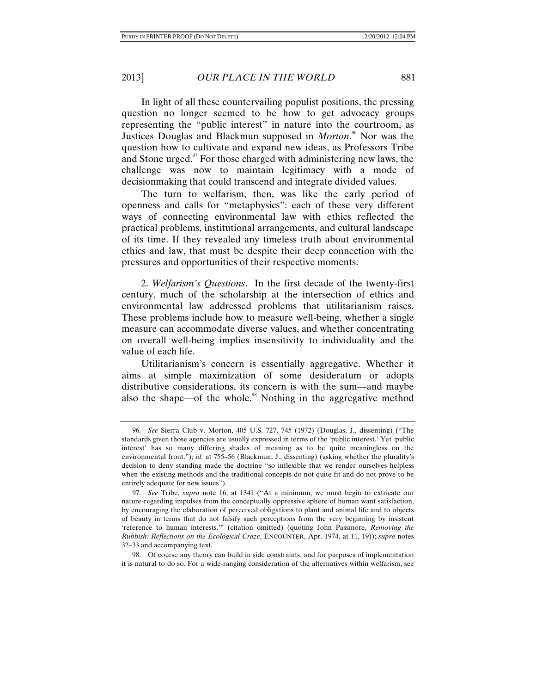In light of all these countervailing populist positions, the pressing question no longer seemed to be how to get advocacy groups representing the "public interest" in nature into the courtroom, as Justices Douglas and Blackmun supposed in *Morton*.<sup>96</sup> Nor was the question how to cultivate and expand new ideas, as Professors Tribe and Stone urged.<sup>97</sup> For those charged with administering new laws, the challenge was now to maintain legitimacy with a mode of decisionmaking that could transcend and integrate divided values.

The turn to welfarism, then, was like the early period of openness and calls for "metaphysics": each of these very different ways of connecting environmental law with ethics reflected the practical problems, institutional arrangements, and cultural landscape of its time. If they revealed any timeless truth about environmental ethics and law, that must be despite their deep connection with the pressures and opportunities of their respective moments.

2. *Welfarism's Questions*. In the first decade of the twenty-first century, much of the scholarship at the intersection of ethics and environmental law addressed problems that utilitarianism raises. These problems include how to measure well-being, whether a single measure can accommodate diverse values, and whether concentrating on overall well-being implies insensitivity to individuality and the value of each life.

Utilitarianism's concern is essentially aggregative. Whether it aims at simple maximization of some desideratum or adopts distributive considerations, its concern is with the sum—and maybe also the shape—of the whole.<sup>98</sup> Nothing in the aggregative method

 <sup>96.</sup> *See* Sierra Club v. Morton, 405 U.S. 727, 745 (1972) (Douglas, J., dissenting) ("The standards given those agencies are usually expressed in terms of the 'public interest.' Yet 'public interest' has so many differing shades of meaning as to be quite meaningless on the environmental front."); *id.* at 755–56 (Blackmun, J., dissenting) (asking whether the plurality's decision to deny standing made the doctrine "so inflexible that we render ourselves helpless when the existing methods and the traditional concepts do not quite fit and do not prove to be entirely adequate for new issues").

 <sup>97.</sup> *See* Tribe, *supra* note 16, at 1341 ("At a minimum, we must begin to extricate our nature-regarding impulses from the conceptually oppressive sphere of human want satisfaction, by encouraging the elaboration of perceived obligations to plant and animal life and to objects of beauty in terms that do not falsify such perceptions from the very beginning by insistent 'reference to human interests.'" (citation omitted) (quoting John Passmore, *Removing the Rubbish: Reflections on the Ecological Craze*, ENCOUNTER, Apr. 1974, at 11, 19)); *supra* notes 32–33 and accompanying text.

 <sup>98.</sup> Of course any theory can build in side constraints, and for purposes of implementation it is natural to do so. For a wide-ranging consideration of the alternatives within welfarism, see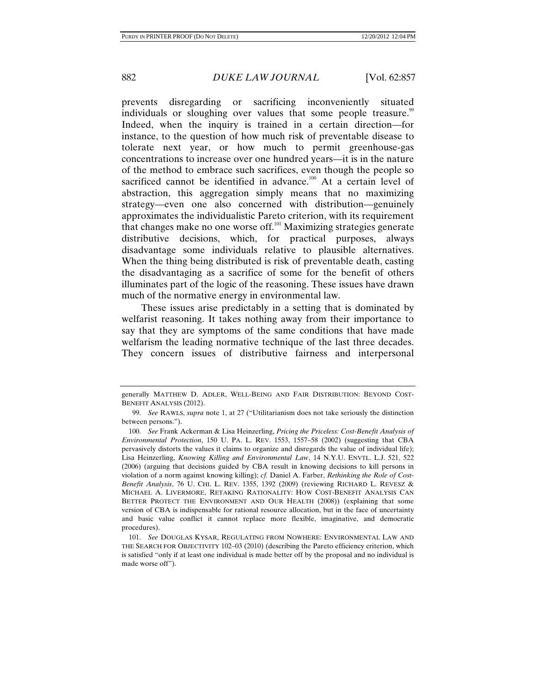prevents disregarding or sacrificing inconveniently situated individuals or sloughing over values that some people treasure.<sup>99</sup> Indeed, when the inquiry is trained in a certain direction—for instance, to the question of how much risk of preventable disease to tolerate next year, or how much to permit greenhouse-gas concentrations to increase over one hundred years—it is in the nature of the method to embrace such sacrifices, even though the people so sacrificed cannot be identified in advance.<sup>100</sup> At a certain level of abstraction, this aggregation simply means that no maximizing strategy—even one also concerned with distribution—genuinely approximates the individualistic Pareto criterion, with its requirement that changes make no one worse off.<sup>101</sup> Maximizing strategies generate distributive decisions, which, for practical purposes, always disadvantage some individuals relative to plausible alternatives. When the thing being distributed is risk of preventable death, casting the disadvantaging as a sacrifice of some for the benefit of others illuminates part of the logic of the reasoning. These issues have drawn much of the normative energy in environmental law.

These issues arise predictably in a setting that is dominated by welfarist reasoning. It takes nothing away from their importance to say that they are symptoms of the same conditions that have made welfarism the leading normative technique of the last three decades. They concern issues of distributive fairness and interpersonal

generally MATTHEW D. ADLER, WELL-BEING AND FAIR DISTRIBUTION: BEYOND COST-BENEFIT ANALYSIS (2012).

 <sup>99.</sup> *See* RAWLS, *supra* note 1, at 27 ("Utilitarianism does not take seriously the distinction between persons.").

 <sup>100.</sup> *See* Frank Ackerman & Lisa Heinzerling, *Pricing the Priceless: Cost-Benefit Analysis of Environmental Protection*, 150 U. PA. L. REV. 1553, 1557–58 (2002) (suggesting that CBA pervasively distorts the values it claims to organize and disregards the value of individual life); Lisa Heinzerling, *Knowing Killing and Environmental Law*, 14 N.Y.U. ENVTL. L.J. 521, 522 (2006) (arguing that decisions guided by CBA result in knowing decisions to kill persons in violation of a norm against knowing killing); *cf.* Daniel A. Farber, *Rethinking the Role of Cost-Benefit Analysis*, 76 U. CHI. L. REV. 1355, 1392 (2009) (reviewing RICHARD L. REVESZ & MICHAEL A. LIVERMORE, RETAKING RATIONALITY: HOW COST-BENEFIT ANALYSIS CAN BETTER PROTECT THE ENVIRONMENT AND OUR HEALTH (2008)) (explaining that some version of CBA is indispensable for rational resource allocation, but in the face of uncertainty and basic value conflict it cannot replace more flexible, imaginative, and democratic procedures).

 <sup>101.</sup> *See* DOUGLAS KYSAR, REGULATING FROM NOWHERE: ENVIRONMENTAL LAW AND THE SEARCH FOR OBJECTIVITY 102–03 (2010) (describing the Pareto efficiency criterion, which is satisfied "only if at least one individual is made better off by the proposal and no individual is made worse off").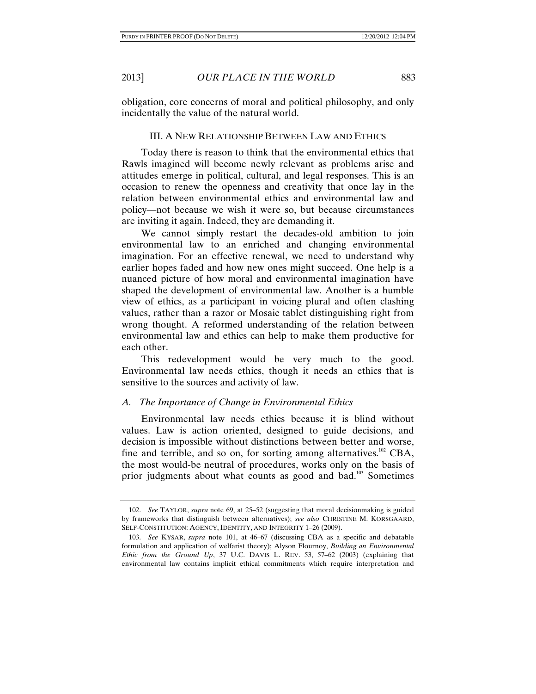obligation, core concerns of moral and political philosophy, and only incidentally the value of the natural world.

#### III. A NEW RELATIONSHIP BETWEEN LAW AND ETHICS

Today there is reason to think that the environmental ethics that Rawls imagined will become newly relevant as problems arise and attitudes emerge in political, cultural, and legal responses. This is an occasion to renew the openness and creativity that once lay in the relation between environmental ethics and environmental law and policy—not because we wish it were so, but because circumstances are inviting it again. Indeed, they are demanding it.

We cannot simply restart the decades-old ambition to join environmental law to an enriched and changing environmental imagination. For an effective renewal, we need to understand why earlier hopes faded and how new ones might succeed. One help is a nuanced picture of how moral and environmental imagination have shaped the development of environmental law. Another is a humble view of ethics, as a participant in voicing plural and often clashing values, rather than a razor or Mosaic tablet distinguishing right from wrong thought. A reformed understanding of the relation between environmental law and ethics can help to make them productive for each other.

This redevelopment would be very much to the good. Environmental law needs ethics, though it needs an ethics that is sensitive to the sources and activity of law.

#### *A. The Importance of Change in Environmental Ethics*

Environmental law needs ethics because it is blind without values. Law is action oriented, designed to guide decisions, and decision is impossible without distinctions between better and worse, fine and terrible, and so on, for sorting among alternatives.<sup>102</sup> CBA, the most would-be neutral of procedures, works only on the basis of prior judgments about what counts as good and bad.<sup>103</sup> Sometimes

 <sup>102.</sup> *See* TAYLOR, *supra* note 69, at 25–52 (suggesting that moral decisionmaking is guided by frameworks that distinguish between alternatives); *see also* CHRISTINE M. KORSGAARD, SELF-CONSTITUTION: AGENCY, IDENTITY, AND INTEGRITY 1–26 (2009).

 <sup>103.</sup> *See* KYSAR, *supra* note 101, at 46–67 (discussing CBA as a specific and debatable formulation and application of welfarist theory); Alyson Flournoy, *Building an Environmental Ethic from the Ground Up*, 37 U.C. DAVIS L. REV. 53, 57–62 (2003) (explaining that environmental law contains implicit ethical commitments which require interpretation and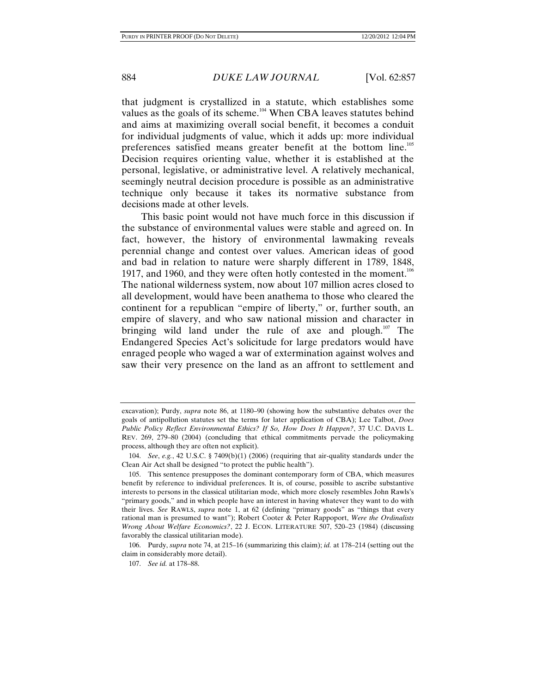that judgment is crystallized in a statute, which establishes some values as the goals of its scheme.<sup>104</sup> When CBA leaves statutes behind and aims at maximizing overall social benefit, it becomes a conduit for individual judgments of value, which it adds up: more individual preferences satisfied means greater benefit at the bottom line.105 Decision requires orienting value, whether it is established at the personal, legislative, or administrative level. A relatively mechanical, seemingly neutral decision procedure is possible as an administrative technique only because it takes its normative substance from decisions made at other levels.

This basic point would not have much force in this discussion if the substance of environmental values were stable and agreed on. In fact, however, the history of environmental lawmaking reveals perennial change and contest over values. American ideas of good and bad in relation to nature were sharply different in 1789, 1848, 1917, and 1960, and they were often hotly contested in the moment.<sup>106</sup> The national wilderness system, now about 107 million acres closed to all development, would have been anathema to those who cleared the continent for a republican "empire of liberty," or, further south, an empire of slavery, and who saw national mission and character in bringing wild land under the rule of axe and plough.<sup>107</sup> The Endangered Species Act's solicitude for large predators would have enraged people who waged a war of extermination against wolves and saw their very presence on the land as an affront to settlement and

excavation); Purdy, *supra* note 86, at 1180–90 (showing how the substantive debates over the goals of antipollution statutes set the terms for later application of CBA); Lee Talbot, *Does Public Policy Reflect Environmental Ethics? If So, How Does It Happen?*, 37 U.C. DAVIS L. REV. 269, 279–80 (2004) (concluding that ethical commitments pervade the policymaking process, although they are often not explicit).

 <sup>104.</sup> *See*, *e.g.*, 42 U.S.C. § 7409(b)(1) (2006) (requiring that air-quality standards under the Clean Air Act shall be designed "to protect the public health").

 <sup>105.</sup> This sentence presupposes the dominant contemporary form of CBA, which measures benefit by reference to individual preferences. It is, of course, possible to ascribe substantive interests to persons in the classical utilitarian mode, which more closely resembles John Rawls's "primary goods," and in which people have an interest in having whatever they want to do with their lives. *See* RAWLS, *supra* note 1, at 62 (defining "primary goods" as "things that every rational man is presumed to want"); Robert Cooter & Peter Rappoport, *Were the Ordinalists Wrong About Welfare Economics?*, 22 J. ECON. LITERATURE 507, 520–23 (1984) (discussing favorably the classical utilitarian mode).

 <sup>106.</sup> Purdy, *supra* note 74, at 215–16 (summarizing this claim); *id.* at 178–214 (setting out the claim in considerably more detail).

 <sup>107.</sup> *See id.* at 178–88.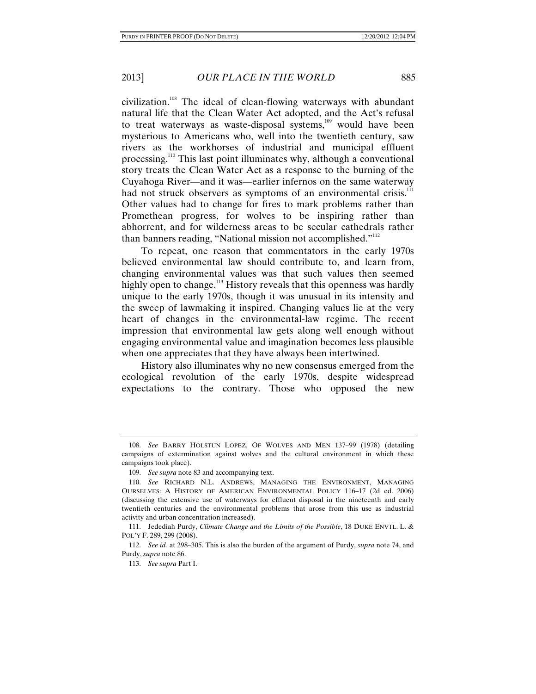civilization.108 The ideal of clean-flowing waterways with abundant natural life that the Clean Water Act adopted, and the Act's refusal to treat waterways as waste-disposal systems, $109$  would have been mysterious to Americans who, well into the twentieth century, saw rivers as the workhorses of industrial and municipal effluent processing.110 This last point illuminates why, although a conventional story treats the Clean Water Act as a response to the burning of the Cuyahoga River—and it was—earlier infernos on the same waterway had not struck observers as symptoms of an environmental crisis.<sup>111</sup> Other values had to change for fires to mark problems rather than Promethean progress, for wolves to be inspiring rather than abhorrent, and for wilderness areas to be secular cathedrals rather than banners reading, "National mission not accomplished."<sup>112</sup>

To repeat, one reason that commentators in the early 1970s believed environmental law should contribute to, and learn from, changing environmental values was that such values then seemed highly open to change.<sup>113</sup> History reveals that this openness was hardly unique to the early 1970s, though it was unusual in its intensity and the sweep of lawmaking it inspired. Changing values lie at the very heart of changes in the environmental-law regime. The recent impression that environmental law gets along well enough without engaging environmental value and imagination becomes less plausible when one appreciates that they have always been intertwined.

History also illuminates why no new consensus emerged from the ecological revolution of the early 1970s, despite widespread expectations to the contrary. Those who opposed the new

 <sup>108.</sup> *See* BARRY HOLSTUN LOPEZ, OF WOLVES AND MEN 137–99 (1978) (detailing campaigns of extermination against wolves and the cultural environment in which these campaigns took place).

 <sup>109.</sup> *See supra* note 83 and accompanying text.

 <sup>110.</sup> *See* RICHARD N.L. ANDREWS, MANAGING THE ENVIRONMENT, MANAGING OURSELVES: A HISTORY OF AMERICAN ENVIRONMENTAL POLICY 116–17 (2d ed. 2006) (discussing the extensive use of waterways for effluent disposal in the nineteenth and early twentieth centuries and the environmental problems that arose from this use as industrial activity and urban concentration increased).

 <sup>111.</sup> Jedediah Purdy, *Climate Change and the Limits of the Possible*, 18 DUKE ENVTL. L. & POL'Y F. 289, 299 (2008).

 <sup>112.</sup> *See id.* at 298–305. This is also the burden of the argument of Purdy, *supra* note 74, and Purdy, *supra* note 86.

 <sup>113.</sup> *See supra* Part I.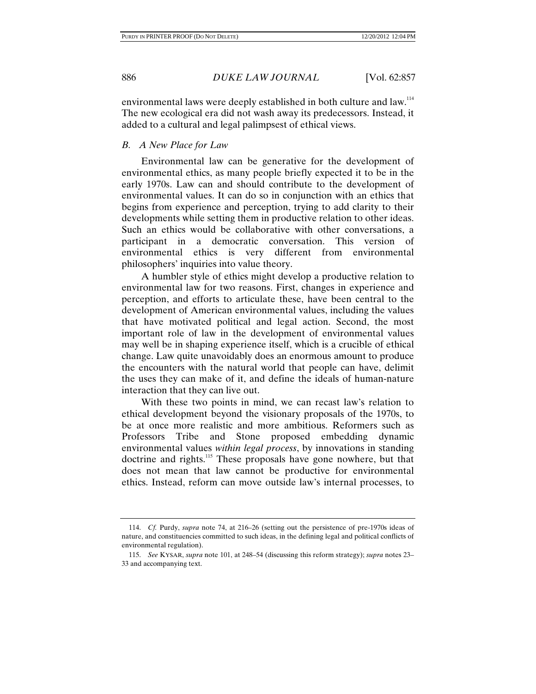environmental laws were deeply established in both culture and law.<sup>114</sup> The new ecological era did not wash away its predecessors. Instead, it added to a cultural and legal palimpsest of ethical views.

### *B. A New Place for Law*

Environmental law can be generative for the development of environmental ethics, as many people briefly expected it to be in the early 1970s. Law can and should contribute to the development of environmental values. It can do so in conjunction with an ethics that begins from experience and perception, trying to add clarity to their developments while setting them in productive relation to other ideas. Such an ethics would be collaborative with other conversations, a participant in a democratic conversation. This version of environmental ethics is very different from environmental philosophers' inquiries into value theory.

A humbler style of ethics might develop a productive relation to environmental law for two reasons. First, changes in experience and perception, and efforts to articulate these, have been central to the development of American environmental values, including the values that have motivated political and legal action. Second, the most important role of law in the development of environmental values may well be in shaping experience itself, which is a crucible of ethical change. Law quite unavoidably does an enormous amount to produce the encounters with the natural world that people can have, delimit the uses they can make of it, and define the ideals of human-nature interaction that they can live out.

With these two points in mind, we can recast law's relation to ethical development beyond the visionary proposals of the 1970s, to be at once more realistic and more ambitious. Reformers such as Professors Tribe and Stone proposed embedding dynamic environmental values *within legal process*, by innovations in standing doctrine and rights.<sup>115</sup> These proposals have gone nowhere, but that does not mean that law cannot be productive for environmental ethics. Instead, reform can move outside law's internal processes, to

 <sup>114.</sup> *Cf.* Purdy, *supra* note 74, at 216–26 (setting out the persistence of pre-1970s ideas of nature, and constituencies committed to such ideas, in the defining legal and political conflicts of environmental regulation).

 <sup>115.</sup> *See* KYSAR, *supra* note 101, at 248–54 (discussing this reform strategy); *supra* notes 23– 33 and accompanying text.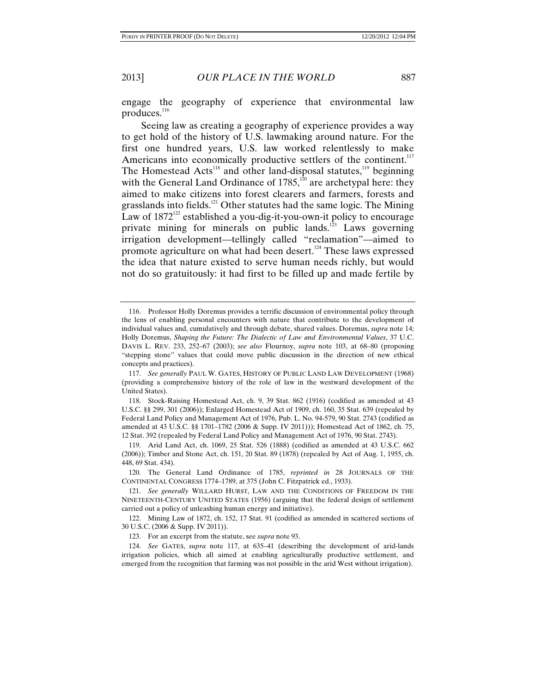engage the geography of experience that environmental law produces.<sup>116</sup>

Seeing law as creating a geography of experience provides a way to get hold of the history of U.S. lawmaking around nature. For the first one hundred years, U.S. law worked relentlessly to make Americans into economically productive settlers of the continent.<sup>117</sup> The Homestead  $Acts^{118}$  and other land-disposal statutes,<sup>119</sup> beginning with the General Land Ordinance of  $1785$ ,<sup>120</sup> are archetypal here: they aimed to make citizens into forest clearers and farmers, forests and grasslands into fields.<sup>121</sup> Other statutes had the same logic. The Mining Law of  $1872^{122}$  established a you-dig-it-you-own-it policy to encourage private mining for minerals on public lands.<sup>123</sup> Laws governing irrigation development—tellingly called "reclamation"—aimed to promote agriculture on what had been desert.<sup>124</sup> These laws expressed the idea that nature existed to serve human needs richly, but would not do so gratuitously: it had first to be filled up and made fertile by

 <sup>116.</sup> Professor Holly Doremus provides a terrific discussion of environmental policy through the lens of enabling personal encounters with nature that contribute to the development of individual values and, cumulatively and through debate, shared values. Doremus, *supra* note 14; Holly Doremus, *Shaping the Future: The Dialectic of Law and Environmental Values*, 37 U.C. DAVIS L. REV. 233, 252–67 (2003); *see also* Flournoy, *supra* note 103, at 68–80 (proposing "stepping stone" values that could move public discussion in the direction of new ethical concepts and practices).

 <sup>117.</sup> *See generally* PAUL W. GATES, HISTORY OF PUBLIC LAND LAW DEVELOPMENT (1968) (providing a comprehensive history of the role of law in the westward development of the United States).

 <sup>118.</sup> Stock-Raising Homestead Act, ch. 9, 39 Stat. 862 (1916) (codified as amended at 43 U.S.C. §§ 299, 301 (2006)); Enlarged Homestead Act of 1909, ch. 160, 35 Stat. 639 (repealed by Federal Land Policy and Management Act of 1976, Pub. L. No. 94-579, 90 Stat. 2743 (codified as amended at 43 U.S.C. §§ 1701–1782 (2006 & Supp. IV 2011))); Homestead Act of 1862, ch. 75, 12 Stat. 392 (repealed by Federal Land Policy and Management Act of 1976, 90 Stat. 2743).

 <sup>119.</sup> Arid Land Act, ch. 1069, 25 Stat. 526 (1888) (codified as amended at 43 U.S.C. 662 (2006)); Timber and Stone Act, ch. 151, 20 Stat. 89 (1878) (repealed by Act of Aug. 1, 1955, ch. 448, 69 Stat. 434).

 <sup>120.</sup> The General Land Ordinance of 1785, *reprinted in* 28 JOURNALS OF THE CONTINENTAL CONGRESS 1774–1789, at 375 (John C. Fitzpatrick ed., 1933).

 <sup>121.</sup> *See generally* WILLARD HURST, LAW AND THE CONDITIONS OF FREEDOM IN THE NINETEENTH-CENTURY UNITED STATES (1956) (arguing that the federal design of settlement carried out a policy of unleashing human energy and initiative).

 <sup>122.</sup> Mining Law of 1872, ch. 152, 17 Stat. 91 (codified as amended in scattered sections of 30 U.S.C. (2006 & Supp. IV 2011)).

 <sup>123.</sup> For an excerpt from the statute, see *supra* note 93.

 <sup>124.</sup> *See* GATES, *supra* note 117, at 635–41 (describing the development of arid-lands irrigation policies, which all aimed at enabling agriculturally productive settlement, and emerged from the recognition that farming was not possible in the arid West without irrigation).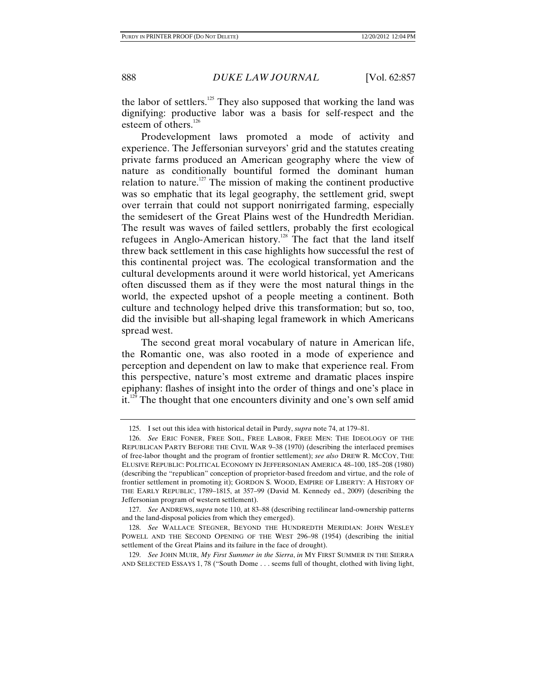the labor of settlers. $125$  They also supposed that working the land was dignifying: productive labor was a basis for self-respect and the esteem of others.<sup>126</sup>

Prodevelopment laws promoted a mode of activity and experience. The Jeffersonian surveyors' grid and the statutes creating private farms produced an American geography where the view of nature as conditionally bountiful formed the dominant human relation to nature.<sup>127</sup> The mission of making the continent productive was so emphatic that its legal geography, the settlement grid, swept over terrain that could not support nonirrigated farming, especially the semidesert of the Great Plains west of the Hundredth Meridian. The result was waves of failed settlers, probably the first ecological refugees in Anglo-American history.128 The fact that the land itself threw back settlement in this case highlights how successful the rest of this continental project was. The ecological transformation and the cultural developments around it were world historical, yet Americans often discussed them as if they were the most natural things in the world, the expected upshot of a people meeting a continent. Both culture and technology helped drive this transformation; but so, too, did the invisible but all-shaping legal framework in which Americans spread west.

The second great moral vocabulary of nature in American life, the Romantic one, was also rooted in a mode of experience and perception and dependent on law to make that experience real. From this perspective, nature's most extreme and dramatic places inspire epiphany: flashes of insight into the order of things and one's place in it.<sup>129</sup> The thought that one encounters divinity and one's own self amid

 <sup>125.</sup> I set out this idea with historical detail in Purdy, *supra* note 74, at 179–81.

 <sup>126.</sup> *See* ERIC FONER, FREE SOIL, FREE LABOR, FREE MEN: THE IDEOLOGY OF THE REPUBLICAN PARTY BEFORE THE CIVIL WAR 9–38 (1970) (describing the interlaced premises of free-labor thought and the program of frontier settlement); *see also* DREW R. MCCOY, THE ELUSIVE REPUBLIC: POLITICAL ECONOMY IN JEFFERSONIAN AMERICA 48–100, 185–208 (1980) (describing the "republican" conception of proprietor-based freedom and virtue, and the role of frontier settlement in promoting it); GORDON S. WOOD, EMPIRE OF LIBERTY: A HISTORY OF THE EARLY REPUBLIC, 1789–1815, at 357–99 (David M. Kennedy ed., 2009) (describing the Jeffersonian program of western settlement).

 <sup>127.</sup> *See* ANDREWS, *supra* note 110, at 83–88 (describing rectilinear land-ownership patterns and the land-disposal policies from which they emerged).

 <sup>128.</sup> *See* WALLACE STEGNER, BEYOND THE HUNDREDTH MERIDIAN: JOHN WESLEY POWELL AND THE SECOND OPENING OF THE WEST 296–98 (1954) (describing the initial settlement of the Great Plains and its failure in the face of drought).

 <sup>129.</sup> *See* JOHN MUIR, *My First Summer in the Sierra*, *in* MY FIRST SUMMER IN THE SIERRA AND SELECTED ESSAYS 1, 78 ("South Dome . . . seems full of thought, clothed with living light,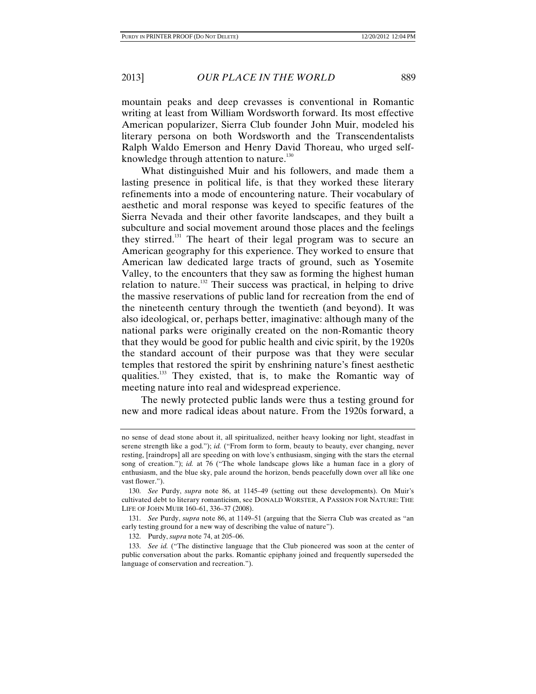mountain peaks and deep crevasses is conventional in Romantic writing at least from William Wordsworth forward. Its most effective American popularizer, Sierra Club founder John Muir, modeled his literary persona on both Wordsworth and the Transcendentalists Ralph Waldo Emerson and Henry David Thoreau, who urged selfknowledge through attention to nature.<sup>130</sup>

What distinguished Muir and his followers, and made them a lasting presence in political life, is that they worked these literary refinements into a mode of encountering nature. Their vocabulary of aesthetic and moral response was keyed to specific features of the Sierra Nevada and their other favorite landscapes, and they built a subculture and social movement around those places and the feelings they stirred.<sup>131</sup> The heart of their legal program was to secure an American geography for this experience. They worked to ensure that American law dedicated large tracts of ground, such as Yosemite Valley, to the encounters that they saw as forming the highest human relation to nature.<sup>132</sup> Their success was practical, in helping to drive the massive reservations of public land for recreation from the end of the nineteenth century through the twentieth (and beyond). It was also ideological, or, perhaps better, imaginative: although many of the national parks were originally created on the non-Romantic theory that they would be good for public health and civic spirit, by the 1920s the standard account of their purpose was that they were secular temples that restored the spirit by enshrining nature's finest aesthetic qualities.133 They existed, that is, to make the Romantic way of meeting nature into real and widespread experience.

The newly protected public lands were thus a testing ground for new and more radical ideas about nature. From the 1920s forward, a

no sense of dead stone about it, all spiritualized, neither heavy looking nor light, steadfast in serene strength like a god."); *id.* ("From form to form, beauty to beauty, ever changing, never resting, [raindrops] all are speeding on with love's enthusiasm, singing with the stars the eternal song of creation."); *id.* at 76 ("The whole landscape glows like a human face in a glory of enthusiasm, and the blue sky, pale around the horizon, bends peacefully down over all like one vast flower.").

 <sup>130.</sup> *See* Purdy, *supra* note 86, at 1145–49 (setting out these developments). On Muir's cultivated debt to literary romanticism, see DONALD WORSTER, A PASSION FOR NATURE: THE LIFE OF JOHN MUIR 160–61, 336–37 (2008).

 <sup>131.</sup> *See* Purdy, *supra* note 86, at 1149–51 (arguing that the Sierra Club was created as "an early testing ground for a new way of describing the value of nature").

 <sup>132.</sup> Purdy, *supra* note 74, at 205–06.

 <sup>133.</sup> *See id.* ("The distinctive language that the Club pioneered was soon at the center of public conversation about the parks. Romantic epiphany joined and frequently superseded the language of conservation and recreation.").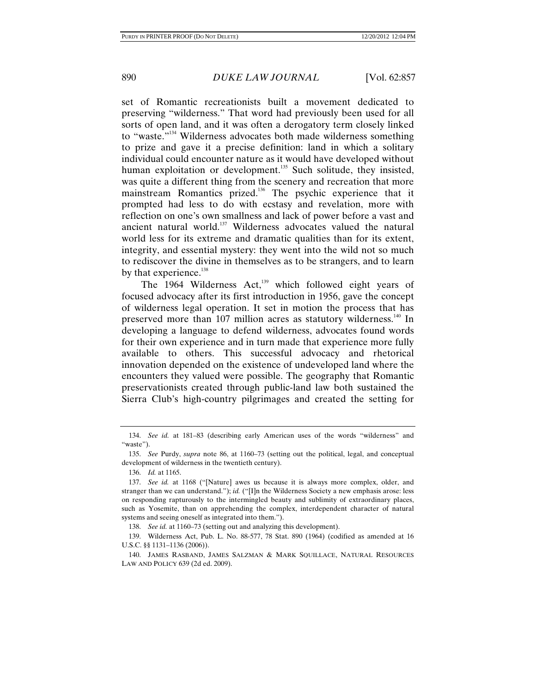set of Romantic recreationists built a movement dedicated to preserving "wilderness." That word had previously been used for all sorts of open land, and it was often a derogatory term closely linked to "waste."<sup>134</sup> Wilderness advocates both made wilderness something to prize and gave it a precise definition: land in which a solitary individual could encounter nature as it would have developed without human exploitation or development.<sup>135</sup> Such solitude, they insisted, was quite a different thing from the scenery and recreation that more mainstream Romantics prized.<sup>136</sup> The psychic experience that it prompted had less to do with ecstasy and revelation, more with reflection on one's own smallness and lack of power before a vast and ancient natural world.<sup>137</sup> Wilderness advocates valued the natural world less for its extreme and dramatic qualities than for its extent, integrity, and essential mystery: they went into the wild not so much to rediscover the divine in themselves as to be strangers, and to learn by that experience.<sup>138</sup>

The 1964 Wilderness  $Act<sub>139</sub>$  which followed eight years of focused advocacy after its first introduction in 1956, gave the concept of wilderness legal operation. It set in motion the process that has preserved more than 107 million acres as statutory wilderness.<sup>140</sup> In developing a language to defend wilderness, advocates found words for their own experience and in turn made that experience more fully available to others. This successful advocacy and rhetorical innovation depended on the existence of undeveloped land where the encounters they valued were possible. The geography that Romantic preservationists created through public-land law both sustained the Sierra Club's high-country pilgrimages and created the setting for

 <sup>134.</sup> *See id.* at 181–83 (describing early American uses of the words "wilderness" and "waste").

 <sup>135.</sup> *See* Purdy, *supra* note 86, at 1160–73 (setting out the political, legal, and conceptual development of wilderness in the twentieth century).

 <sup>136.</sup> *Id.* at 1165.

 <sup>137.</sup> *See id.* at 1168 ("[Nature] awes us because it is always more complex, older, and stranger than we can understand."); *id.* ("[I]n the Wilderness Society a new emphasis arose: less on responding rapturously to the intermingled beauty and sublimity of extraordinary places, such as Yosemite, than on apprehending the complex, interdependent character of natural systems and seeing oneself as integrated into them.").

 <sup>138.</sup> *See id.* at 1160–73 (setting out and analyzing this development).

 <sup>139.</sup> Wilderness Act, Pub. L. No. 88-577, 78 Stat. 890 (1964) (codified as amended at 16 U.S.C. §§ 1131–1136 (2006)).

 <sup>140.</sup> JAMES RASBAND, JAMES SALZMAN & MARK SQUILLACE, NATURAL RESOURCES LAW AND POLICY 639 (2d ed. 2009).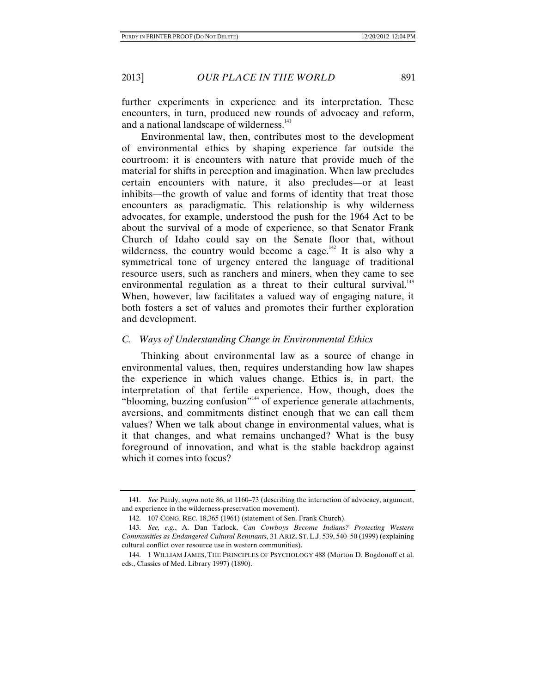further experiments in experience and its interpretation. These encounters, in turn, produced new rounds of advocacy and reform, and a national landscape of wilderness.<sup>141</sup>

Environmental law, then, contributes most to the development of environmental ethics by shaping experience far outside the courtroom: it is encounters with nature that provide much of the material for shifts in perception and imagination. When law precludes certain encounters with nature, it also precludes—or at least inhibits—the growth of value and forms of identity that treat those encounters as paradigmatic. This relationship is why wilderness advocates, for example, understood the push for the 1964 Act to be about the survival of a mode of experience, so that Senator Frank Church of Idaho could say on the Senate floor that, without wilderness, the country would become a cage.<sup>142</sup> It is also why a symmetrical tone of urgency entered the language of traditional resource users, such as ranchers and miners, when they came to see environmental regulation as a threat to their cultural survival.<sup>143</sup> When, however, law facilitates a valued way of engaging nature, it both fosters a set of values and promotes their further exploration and development.

### *C. Ways of Understanding Change in Environmental Ethics*

Thinking about environmental law as a source of change in environmental values, then, requires understanding how law shapes the experience in which values change. Ethics is, in part, the interpretation of that fertile experience. How, though, does the "blooming, buzzing confusion"<sup>144</sup> of experience generate attachments, aversions, and commitments distinct enough that we can call them values? When we talk about change in environmental values, what is it that changes, and what remains unchanged? What is the busy foreground of innovation, and what is the stable backdrop against which it comes into focus?

 <sup>141.</sup> *See* Purdy, *supra* note 86, at 1160–73 (describing the interaction of advocacy, argument, and experience in the wilderness-preservation movement).

 <sup>142. 107</sup> CONG. REC. 18,365 (1961) (statement of Sen. Frank Church).

 <sup>143.</sup> *See, e.g.*, A. Dan Tarlock, *Can Cowboys Become Indians? Protecting Western Communities as Endangered Cultural Remnants*, 31 ARIZ. ST. L.J. 539, 540–50 (1999) (explaining cultural conflict over resource use in western communities).

 <sup>144. 1</sup> WILLIAM JAMES, THE PRINCIPLES OF PSYCHOLOGY 488 (Morton D. Bogdonoff et al. eds., Classics of Med. Library 1997) (1890).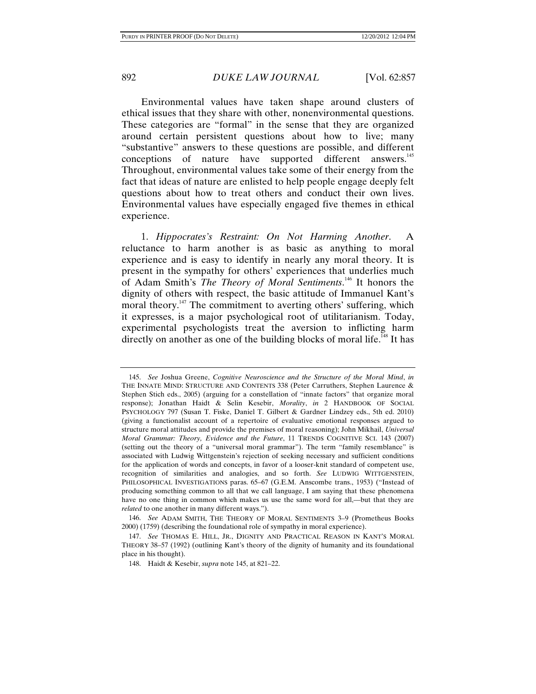Environmental values have taken shape around clusters of ethical issues that they share with other, nonenvironmental questions. These categories are "formal" in the sense that they are organized around certain persistent questions about how to live; many "substantive" answers to these questions are possible, and different conceptions of nature have supported different answers.<sup>145</sup> Throughout, environmental values take some of their energy from the fact that ideas of nature are enlisted to help people engage deeply felt questions about how to treat others and conduct their own lives. Environmental values have especially engaged five themes in ethical experience.

1. *Hippocrates's Restraint: On Not Harming Another*. A reluctance to harm another is as basic as anything to moral experience and is easy to identify in nearly any moral theory. It is present in the sympathy for others' experiences that underlies much of Adam Smith's *The Theory of Moral Sentiments*. 146 It honors the dignity of others with respect, the basic attitude of Immanuel Kant's moral theory.<sup>147</sup> The commitment to averting others' suffering, which it expresses, is a major psychological root of utilitarianism. Today, experimental psychologists treat the aversion to inflicting harm directly on another as one of the building blocks of moral life.<sup>148</sup> It has

 <sup>145.</sup> *See* Joshua Greene, *Cognitive Neuroscience and the Structure of the Moral Mind*, *in* THE INNATE MIND: STRUCTURE AND CONTENTS 338 (Peter Carruthers, Stephen Laurence & Stephen Stich eds., 2005) (arguing for a constellation of "innate factors" that organize moral response); Jonathan Haidt & Selin Kesebir, *Morality*, *in* 2 HANDBOOK OF SOCIAL PSYCHOLOGY 797 (Susan T. Fiske, Daniel T. Gilbert & Gardner Lindzey eds., 5th ed. 2010) (giving a functionalist account of a repertoire of evaluative emotional responses argued to structure moral attitudes and provide the premises of moral reasoning); John Mikhail, *Universal Moral Grammar: Theory, Evidence and the Future*, 11 TRENDS COGNITIVE SCI. 143 (2007) (setting out the theory of a "universal moral grammar"). The term "family resemblance" is associated with Ludwig Wittgenstein's rejection of seeking necessary and sufficient conditions for the application of words and concepts, in favor of a looser-knit standard of competent use, recognition of similarities and analogies, and so forth. *See* LUDWIG WITTGENSTEIN, PHILOSOPHICAL INVESTIGATIONS paras. 65–67 (G.E.M. Anscombe trans., 1953) ("Instead of producing something common to all that we call language, I am saying that these phenomena have no one thing in common which makes us use the same word for all,—but that they are *related* to one another in many different ways.").

 <sup>146.</sup> *See* ADAM SMITH, THE THEORY OF MORAL SENTIMENTS 3–9 (Prometheus Books 2000) (1759) (describing the foundational role of sympathy in moral experience).

 <sup>147.</sup> *See* THOMAS E. HILL, JR., DIGNITY AND PRACTICAL REASON IN KANT'S MORAL THEORY 38–57 (1992) (outlining Kant's theory of the dignity of humanity and its foundational place in his thought).

 <sup>148.</sup> Haidt & Kesebir, *supra* note 145, at 821–22.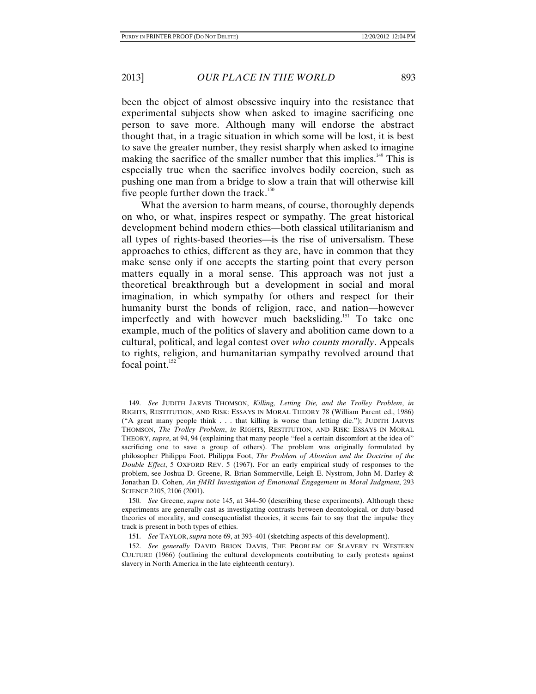been the object of almost obsessive inquiry into the resistance that experimental subjects show when asked to imagine sacrificing one person to save more. Although many will endorse the abstract thought that, in a tragic situation in which some will be lost, it is best to save the greater number, they resist sharply when asked to imagine making the sacrifice of the smaller number that this implies.<sup>149</sup> This is especially true when the sacrifice involves bodily coercion, such as pushing one man from a bridge to slow a train that will otherwise kill five people further down the track.<sup>150</sup>

What the aversion to harm means, of course, thoroughly depends on who, or what, inspires respect or sympathy. The great historical development behind modern ethics—both classical utilitarianism and all types of rights-based theories—is the rise of universalism. These approaches to ethics, different as they are, have in common that they make sense only if one accepts the starting point that every person matters equally in a moral sense. This approach was not just a theoretical breakthrough but a development in social and moral imagination, in which sympathy for others and respect for their humanity burst the bonds of religion, race, and nation—however imperfectly and with however much backsliding.<sup>151</sup> To take one example, much of the politics of slavery and abolition came down to a cultural, political, and legal contest over *who counts morally*. Appeals to rights, religion, and humanitarian sympathy revolved around that focal point. $152$ 

 <sup>149.</sup> *See* JUDITH JARVIS THOMSON, *Killing, Letting Die, and the Trolley Problem*, *in* RIGHTS, RESTITUTION, AND RISK: ESSAYS IN MORAL THEORY 78 (William Parent ed., 1986) ("A great many people think . . . that killing is worse than letting die."); JUDITH JARVIS THOMSON, *The Trolley Problem*, *in* RIGHTS, RESTITUTION, AND RISK: ESSAYS IN MORAL THEORY, *supra*, at 94, 94 (explaining that many people "feel a certain discomfort at the idea of" sacrificing one to save a group of others). The problem was originally formulated by philosopher Philippa Foot. Philippa Foot, *The Problem of Abortion and the Doctrine of the Double Effect*, 5 OXFORD REV. 5 (1967). For an early empirical study of responses to the problem, see Joshua D. Greene, R. Brian Sommerville, Leigh E. Nystrom, John M. Darley & Jonathan D. Cohen, *An fMRI Investigation of Emotional Engagement in Moral Judgment*, 293 SCIENCE 2105, 2106 (2001).

 <sup>150.</sup> *See* Greene, *supra* note 145, at 344–50 (describing these experiments). Although these experiments are generally cast as investigating contrasts between deontological, or duty-based theories of morality, and consequentialist theories, it seems fair to say that the impulse they track is present in both types of ethics.

 <sup>151.</sup> *See* TAYLOR, *supra* note 69, at 393–401 (sketching aspects of this development).

 <sup>152.</sup> *See generally* DAVID BRION DAVIS, THE PROBLEM OF SLAVERY IN WESTERN CULTURE (1966) (outlining the cultural developments contributing to early protests against slavery in North America in the late eighteenth century).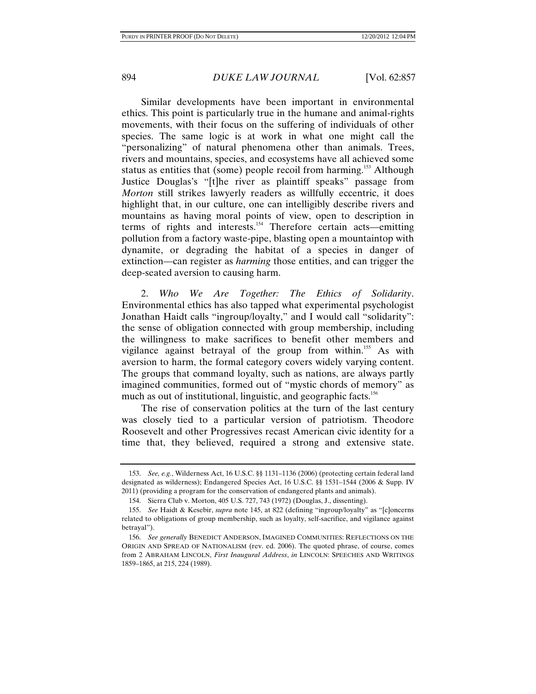Similar developments have been important in environmental ethics. This point is particularly true in the humane and animal-rights movements, with their focus on the suffering of individuals of other species. The same logic is at work in what one might call the "personalizing" of natural phenomena other than animals. Trees, rivers and mountains, species, and ecosystems have all achieved some status as entities that (some) people recoil from harming.<sup>153</sup> Although Justice Douglas's "[t]he river as plaintiff speaks" passage from *Morton* still strikes lawyerly readers as willfully eccentric, it does highlight that, in our culture, one can intelligibly describe rivers and mountains as having moral points of view, open to description in terms of rights and interests.154 Therefore certain acts—emitting pollution from a factory waste-pipe, blasting open a mountaintop with dynamite, or degrading the habitat of a species in danger of extinction—can register as *harming* those entities, and can trigger the deep-seated aversion to causing harm.

2. *Who We Are Together: The Ethics of Solidarity*. Environmental ethics has also tapped what experimental psychologist Jonathan Haidt calls "ingroup/loyalty," and I would call "solidarity": the sense of obligation connected with group membership, including the willingness to make sacrifices to benefit other members and vigilance against betrayal of the group from within.<sup>155</sup> As with aversion to harm, the formal category covers widely varying content. The groups that command loyalty, such as nations, are always partly imagined communities, formed out of "mystic chords of memory" as much as out of institutional, linguistic, and geographic facts.<sup>156</sup>

The rise of conservation politics at the turn of the last century was closely tied to a particular version of patriotism. Theodore Roosevelt and other Progressives recast American civic identity for a time that, they believed, required a strong and extensive state.

 <sup>153.</sup> *See, e.g.*, Wilderness Act, 16 U.S.C. §§ 1131–1136 (2006) (protecting certain federal land designated as wilderness); Endangered Species Act, 16 U.S.C. §§ 1531–1544 (2006 & Supp. IV 2011) (providing a program for the conservation of endangered plants and animals).

 <sup>154.</sup> Sierra Club v. Morton, 405 U.S. 727, 743 (1972) (Douglas, J., dissenting).

 <sup>155.</sup> *See* Haidt & Kesebir, *supra* note 145, at 822 (defining "ingroup/loyalty" as "[c]oncerns related to obligations of group membership, such as loyalty, self-sacrifice, and vigilance against betrayal").

 <sup>156.</sup> *See generally* BENEDICT ANDERSON, IMAGINED COMMUNITIES: REFLECTIONS ON THE ORIGIN AND SPREAD OF NATIONALISM (rev. ed. 2006). The quoted phrase, of course, comes from 2 ABRAHAM LINCOLN, *First Inaugural Address*, *in* LINCOLN: SPEECHES AND WRITINGS 1859–1865, at 215, 224 (1989).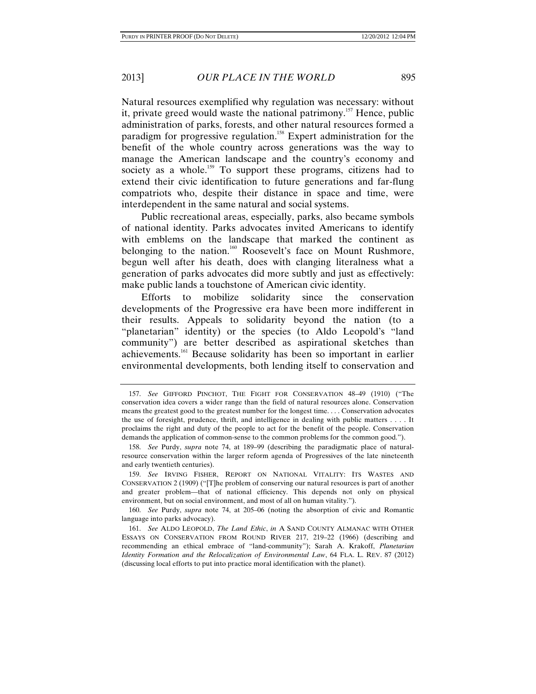Natural resources exemplified why regulation was necessary: without it, private greed would waste the national patrimony.<sup>157</sup> Hence, public administration of parks, forests, and other natural resources formed a paradigm for progressive regulation.<sup>158</sup> Expert administration for the benefit of the whole country across generations was the way to manage the American landscape and the country's economy and society as a whole.<sup>159</sup> To support these programs, citizens had to extend their civic identification to future generations and far-flung compatriots who, despite their distance in space and time, were interdependent in the same natural and social systems.

Public recreational areas, especially, parks, also became symbols of national identity. Parks advocates invited Americans to identify with emblems on the landscape that marked the continent as belonging to the nation.<sup>160</sup> Roosevelt's face on Mount Rushmore, begun well after his death, does with clanging literalness what a generation of parks advocates did more subtly and just as effectively: make public lands a touchstone of American civic identity.

Efforts to mobilize solidarity since the conservation developments of the Progressive era have been more indifferent in their results. Appeals to solidarity beyond the nation (to a "planetarian" identity) or the species (to Aldo Leopold's "land community") are better described as aspirational sketches than achievements.161 Because solidarity has been so important in earlier environmental developments, both lending itself to conservation and

 <sup>157.</sup> *See* GIFFORD PINCHOT, THE FIGHT FOR CONSERVATION 48–49 (1910) ("The conservation idea covers a wider range than the field of natural resources alone. Conservation means the greatest good to the greatest number for the longest time. . . . Conservation advocates the use of foresight, prudence, thrift, and intelligence in dealing with public matters . . . . It proclaims the right and duty of the people to act for the benefit of the people. Conservation demands the application of common-sense to the common problems for the common good.").

 <sup>158.</sup> *See* Purdy, *supra* note 74, at 189–99 (describing the paradigmatic place of naturalresource conservation within the larger reform agenda of Progressives of the late nineteenth and early twentieth centuries).

 <sup>159.</sup> *See* IRVING FISHER, REPORT ON NATIONAL VITALITY: ITS WASTES AND CONSERVATION 2 (1909) ("[T]he problem of conserving our natural resources is part of another and greater problem—that of national efficiency. This depends not only on physical environment, but on social environment, and most of all on human vitality.").

 <sup>160.</sup> *See* Purdy, *supra* note 74, at 205–06 (noting the absorption of civic and Romantic language into parks advocacy).

 <sup>161.</sup> *See* ALDO LEOPOLD, *The Land Ethic*, *in* A SAND COUNTY ALMANAC WITH OTHER ESSAYS ON CONSERVATION FROM ROUND RIVER 217, 219–22 (1966) (describing and recommending an ethical embrace of "land-community"); Sarah A. Krakoff, *Planetarian Identity Formation and the Relocalization of Environmental Law*, 64 FLA. L. REV. 87 (2012) (discussing local efforts to put into practice moral identification with the planet).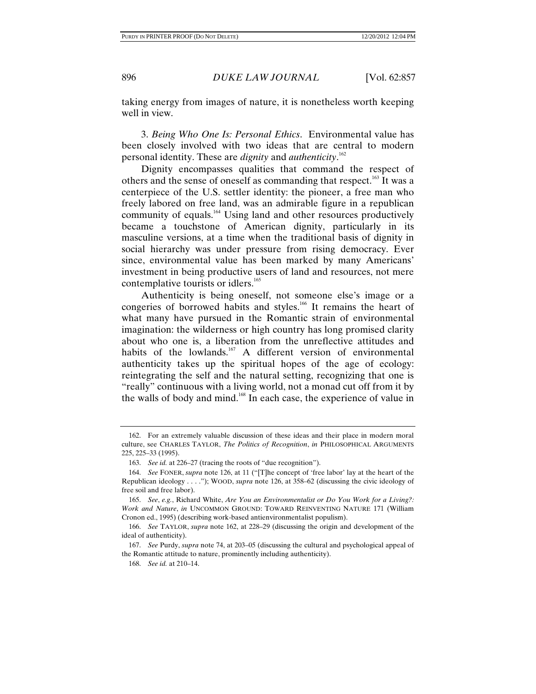taking energy from images of nature, it is nonetheless worth keeping well in view.

3. *Being Who One Is: Personal Ethics*. Environmental value has been closely involved with two ideas that are central to modern personal identity. These are *dignity* and *authenticity*. 162

Dignity encompasses qualities that command the respect of others and the sense of oneself as commanding that respect.<sup>163</sup> It was a centerpiece of the U.S. settler identity: the pioneer, a free man who freely labored on free land, was an admirable figure in a republican community of equals.<sup>164</sup> Using land and other resources productively became a touchstone of American dignity, particularly in its masculine versions, at a time when the traditional basis of dignity in social hierarchy was under pressure from rising democracy. Ever since, environmental value has been marked by many Americans' investment in being productive users of land and resources, not mere contemplative tourists or idlers.<sup>165</sup>

Authenticity is being oneself, not someone else's image or a congeries of borrowed habits and styles.<sup>166</sup> It remains the heart of what many have pursued in the Romantic strain of environmental imagination: the wilderness or high country has long promised clarity about who one is, a liberation from the unreflective attitudes and habits of the lowlands.<sup>167</sup> A different version of environmental authenticity takes up the spiritual hopes of the age of ecology: reintegrating the self and the natural setting, recognizing that one is "really" continuous with a living world, not a monad cut off from it by the walls of body and mind.<sup>168</sup> In each case, the experience of value in

 <sup>162.</sup> For an extremely valuable discussion of these ideas and their place in modern moral culture, see CHARLES TAYLOR, *The Politics of Recognition*, *in* PHILOSOPHICAL ARGUMENTS 225, 225–33 (1995).

 <sup>163.</sup> *See id.* at 226–27 (tracing the roots of "due recognition").

 <sup>164.</sup> *See* FONER, *supra* note 126, at 11 ("[T]he concept of 'free labor' lay at the heart of the Republican ideology . . . ."); WOOD, *supra* note 126, at 358–62 (discussing the civic ideology of free soil and free labor).

 <sup>165.</sup> *See*, *e.g.*, Richard White, *Are You an Environmentalist or Do You Work for a Living?: Work and Nature*, *in* UNCOMMON GROUND: TOWARD REINVENTING NATURE 171 (William Cronon ed., 1995) (describing work-based antienvironmentalist populism).

 <sup>166.</sup> *See* TAYLOR, *supra* note 162, at 228–29 (discussing the origin and development of the ideal of authenticity).

 <sup>167.</sup> *See* Purdy, *supra* note 74, at 203–05 (discussing the cultural and psychological appeal of the Romantic attitude to nature, prominently including authenticity).

 <sup>168.</sup> *See id.* at 210–14.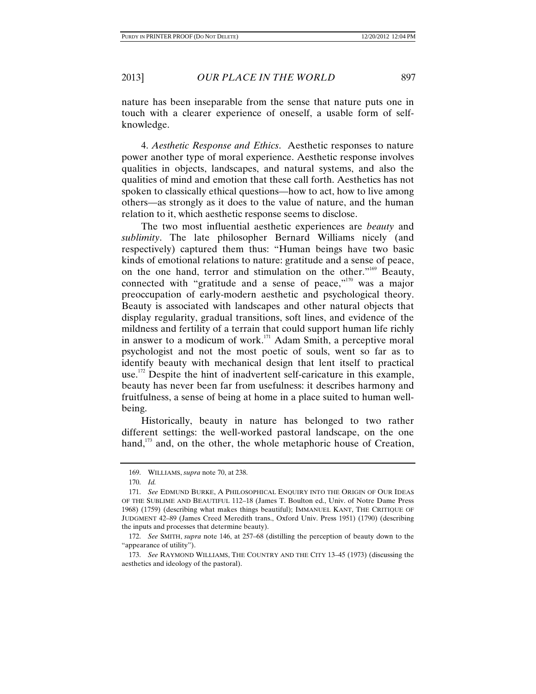nature has been inseparable from the sense that nature puts one in touch with a clearer experience of oneself, a usable form of selfknowledge.

4. *Aesthetic Response and Ethics*. Aesthetic responses to nature power another type of moral experience. Aesthetic response involves qualities in objects, landscapes, and natural systems, and also the qualities of mind and emotion that these call forth. Aesthetics has not spoken to classically ethical questions—how to act, how to live among others—as strongly as it does to the value of nature, and the human relation to it, which aesthetic response seems to disclose.

The two most influential aesthetic experiences are *beauty* and *sublimity*. The late philosopher Bernard Williams nicely (and respectively) captured them thus: "Human beings have two basic kinds of emotional relations to nature: gratitude and a sense of peace, on the one hand, terror and stimulation on the other."169 Beauty, connected with "gratitude and a sense of peace," $170$  was a major preoccupation of early-modern aesthetic and psychological theory. Beauty is associated with landscapes and other natural objects that display regularity, gradual transitions, soft lines, and evidence of the mildness and fertility of a terrain that could support human life richly in answer to a modicum of work.<sup>171</sup> Adam Smith, a perceptive moral psychologist and not the most poetic of souls, went so far as to identify beauty with mechanical design that lent itself to practical use.<sup>172</sup> Despite the hint of inadvertent self-caricature in this example, beauty has never been far from usefulness: it describes harmony and fruitfulness, a sense of being at home in a place suited to human wellbeing.

Historically, beauty in nature has belonged to two rather different settings: the well-worked pastoral landscape, on the one hand,<sup>173</sup> and, on the other, the whole metaphoric house of Creation,

 <sup>169.</sup> WILLIAMS, *supra* note 70, at 238.

 <sup>170.</sup> *Id.*

 <sup>171.</sup> *See* EDMUND BURKE, A PHILOSOPHICAL ENQUIRY INTO THE ORIGIN OF OUR IDEAS OF THE SUBLIME AND BEAUTIFUL 112–18 (James T. Boulton ed., Univ. of Notre Dame Press 1968) (1759) (describing what makes things beautiful); IMMANUEL KANT, THE CRITIQUE OF JUDGMENT 42–89 (James Creed Meredith trans., Oxford Univ. Press 1951) (1790) (describing the inputs and processes that determine beauty).

 <sup>172.</sup> *See* SMITH, *supra* note 146, at 257–68 (distilling the perception of beauty down to the "appearance of utility").

 <sup>173.</sup> *See* RAYMOND WILLIAMS, THE COUNTRY AND THE CITY 13–45 (1973) (discussing the aesthetics and ideology of the pastoral).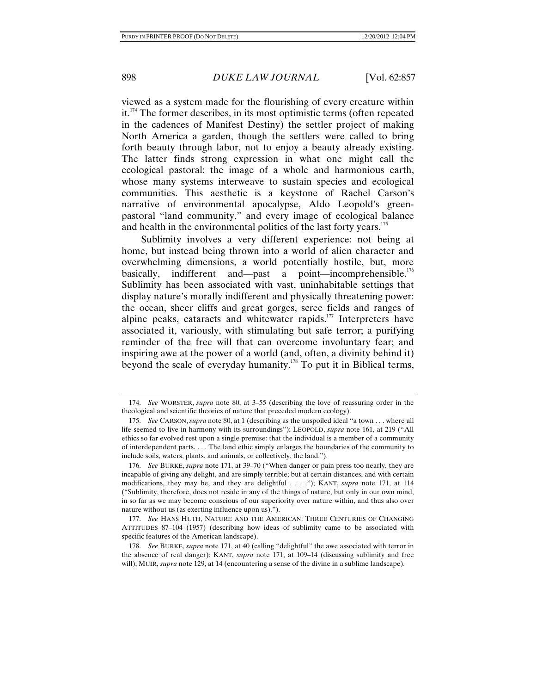viewed as a system made for the flourishing of every creature within it.<sup>174</sup> The former describes, in its most optimistic terms (often repeated in the cadences of Manifest Destiny) the settler project of making North America a garden, though the settlers were called to bring forth beauty through labor, not to enjoy a beauty already existing. The latter finds strong expression in what one might call the ecological pastoral: the image of a whole and harmonious earth, whose many systems interweave to sustain species and ecological communities. This aesthetic is a keystone of Rachel Carson's narrative of environmental apocalypse, Aldo Leopold's greenpastoral "land community," and every image of ecological balance and health in the environmental politics of the last forty years.<sup>175</sup>

Sublimity involves a very different experience: not being at home, but instead being thrown into a world of alien character and overwhelming dimensions, a world potentially hostile, but, more basically, indifferent and—past a point—incomprehensible.<sup>176</sup> Sublimity has been associated with vast, uninhabitable settings that display nature's morally indifferent and physically threatening power: the ocean, sheer cliffs and great gorges, scree fields and ranges of alpine peaks, cataracts and whitewater rapids.<sup>177</sup> Interpreters have associated it, variously, with stimulating but safe terror; a purifying reminder of the free will that can overcome involuntary fear; and inspiring awe at the power of a world (and, often, a divinity behind it) beyond the scale of everyday humanity.178 To put it in Biblical terms,

 <sup>174.</sup> *See* WORSTER, *supra* note 80, at 3–55 (describing the love of reassuring order in the theological and scientific theories of nature that preceded modern ecology).

 <sup>175.</sup> *See* CARSON, *supra* note 80, at 1 (describing as the unspoiled ideal "a town . . . where all life seemed to live in harmony with its surroundings"); LEOPOLD, *supra* note 161, at 219 ("All ethics so far evolved rest upon a single premise: that the individual is a member of a community of interdependent parts. . . . The land ethic simply enlarges the boundaries of the community to include soils, waters, plants, and animals, or collectively, the land.").

 <sup>176.</sup> *See* BURKE, *supra* note 171, at 39–70 ("When danger or pain press too nearly, they are incapable of giving any delight, and are simply terrible; but at certain distances, and with certain modifications, they may be, and they are delightful . . . ."); KANT, *supra* note 171, at 114 ("Sublimity, therefore, does not reside in any of the things of nature, but only in our own mind, in so far as we may become conscious of our superiority over nature within, and thus also over nature without us (as exerting influence upon us).").

 <sup>177.</sup> *See* HANS HUTH, NATURE AND THE AMERICAN: THREE CENTURIES OF CHANGING ATTITUDES 87–104 (1957) (describing how ideas of sublimity came to be associated with specific features of the American landscape).

 <sup>178.</sup> *See* BURKE, *supra* note 171, at 40 (calling "delightful" the awe associated with terror in the absence of real danger); KANT, *supra* note 171, at 109–14 (discussing sublimity and free will); MUIR, *supra* note 129, at 14 (encountering a sense of the divine in a sublime landscape).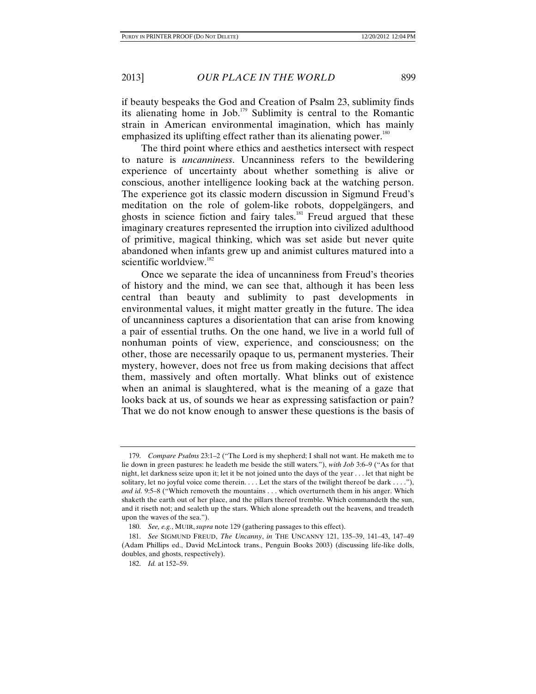if beauty bespeaks the God and Creation of Psalm 23, sublimity finds its alienating home in Job.179 Sublimity is central to the Romantic strain in American environmental imagination, which has mainly emphasized its uplifting effect rather than its alienating power.<sup>180</sup>

The third point where ethics and aesthetics intersect with respect to nature is *uncanniness*. Uncanniness refers to the bewildering experience of uncertainty about whether something is alive or conscious, another intelligence looking back at the watching person. The experience got its classic modern discussion in Sigmund Freud's meditation on the role of golem-like robots, doppelgängers, and ghosts in science fiction and fairy tales.<sup>181</sup> Freud argued that these imaginary creatures represented the irruption into civilized adulthood of primitive, magical thinking, which was set aside but never quite abandoned when infants grew up and animist cultures matured into a scientific worldview.<sup>182</sup>

Once we separate the idea of uncanniness from Freud's theories of history and the mind, we can see that, although it has been less central than beauty and sublimity to past developments in environmental values, it might matter greatly in the future. The idea of uncanniness captures a disorientation that can arise from knowing a pair of essential truths. On the one hand, we live in a world full of nonhuman points of view, experience, and consciousness; on the other, those are necessarily opaque to us, permanent mysteries. Their mystery, however, does not free us from making decisions that affect them, massively and often mortally. What blinks out of existence when an animal is slaughtered, what is the meaning of a gaze that looks back at us, of sounds we hear as expressing satisfaction or pain? That we do not know enough to answer these questions is the basis of

 <sup>179.</sup> *Compare Psalms* 23:1–2 ("The Lord is my shepherd; I shall not want. He maketh me to lie down in green pastures: he leadeth me beside the still waters."), *with Job* 3:6–9 ("As for that night, let darkness seize upon it; let it be not joined unto the days of the year . . . let that night be solitary, let no joyful voice come therein. . . . Let the stars of the twilight thereof be dark . . . ."), *and id.* 9:5–8 ("Which removeth the mountains . . . which overturneth them in his anger. Which shaketh the earth out of her place, and the pillars thereof tremble. Which commandeth the sun, and it riseth not; and sealeth up the stars. Which alone spreadeth out the heavens, and treadeth upon the waves of the sea.").

 <sup>180.</sup> *See, e.g.*, MUIR, *supra* note 129 (gathering passages to this effect).

 <sup>181.</sup> *See* SIGMUND FREUD, *The Uncanny*, *in* THE UNCANNY 121, 135–39, 141–43, 147–49 (Adam Phillips ed., David McLintock trans., Penguin Books 2003) (discussing life-like dolls, doubles, and ghosts, respectively).

 <sup>182.</sup> *Id.* at 152–59.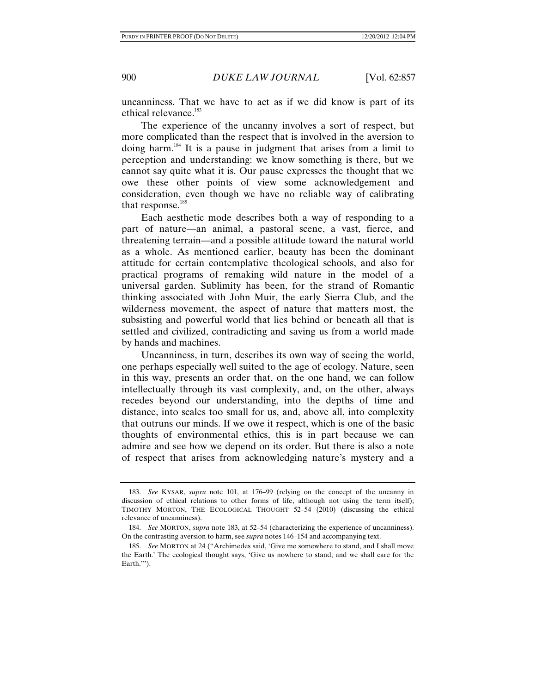uncanniness. That we have to act as if we did know is part of its ethical relevance.<sup>183</sup>

The experience of the uncanny involves a sort of respect, but more complicated than the respect that is involved in the aversion to doing harm.184 It is a pause in judgment that arises from a limit to perception and understanding: we know something is there, but we cannot say quite what it is. Our pause expresses the thought that we owe these other points of view some acknowledgement and consideration, even though we have no reliable way of calibrating that response.<sup>185</sup>

Each aesthetic mode describes both a way of responding to a part of nature—an animal, a pastoral scene, a vast, fierce, and threatening terrain—and a possible attitude toward the natural world as a whole. As mentioned earlier, beauty has been the dominant attitude for certain contemplative theological schools, and also for practical programs of remaking wild nature in the model of a universal garden. Sublimity has been, for the strand of Romantic thinking associated with John Muir, the early Sierra Club, and the wilderness movement, the aspect of nature that matters most, the subsisting and powerful world that lies behind or beneath all that is settled and civilized, contradicting and saving us from a world made by hands and machines.

Uncanniness, in turn, describes its own way of seeing the world, one perhaps especially well suited to the age of ecology. Nature, seen in this way, presents an order that, on the one hand, we can follow intellectually through its vast complexity, and, on the other, always recedes beyond our understanding, into the depths of time and distance, into scales too small for us, and, above all, into complexity that outruns our minds. If we owe it respect, which is one of the basic thoughts of environmental ethics, this is in part because we can admire and see how we depend on its order. But there is also a note of respect that arises from acknowledging nature's mystery and a

 <sup>183.</sup> *See* KYSAR, *supra* note 101, at 176–99 (relying on the concept of the uncanny in discussion of ethical relations to other forms of life, although not using the term itself); TIMOTHY MORTON, THE ECOLOGICAL THOUGHT 52–54 (2010) (discussing the ethical relevance of uncanniness).

 <sup>184.</sup> *See* MORTON, *supra* note 183, at 52–54 (characterizing the experience of uncanniness). On the contrasting aversion to harm, see *supra* notes 146–154 and accompanying text.

 <sup>185.</sup> *See* MORTON at 24 ("Archimedes said, 'Give me somewhere to stand, and I shall move the Earth.' The ecological thought says, 'Give us nowhere to stand, and we shall care for the Earth."").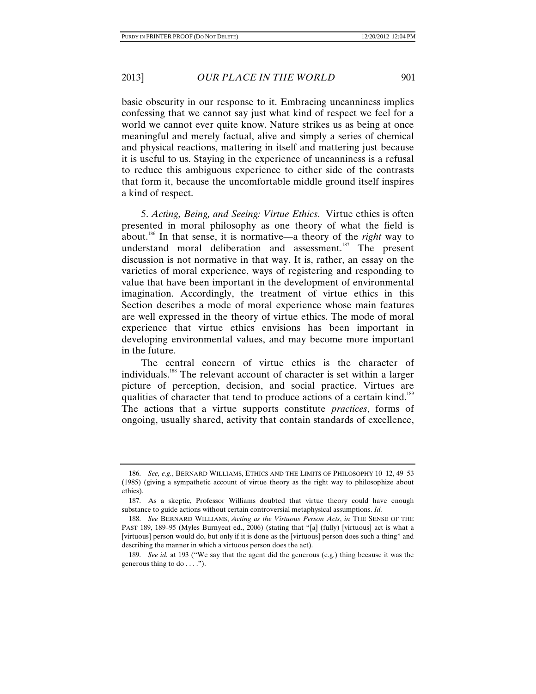basic obscurity in our response to it. Embracing uncanniness implies confessing that we cannot say just what kind of respect we feel for a world we cannot ever quite know. Nature strikes us as being at once meaningful and merely factual, alive and simply a series of chemical and physical reactions, mattering in itself and mattering just because it is useful to us. Staying in the experience of uncanniness is a refusal to reduce this ambiguous experience to either side of the contrasts that form it, because the uncomfortable middle ground itself inspires a kind of respect.

5. *Acting, Being, and Seeing: Virtue Ethics*. Virtue ethics is often presented in moral philosophy as one theory of what the field is about.186 In that sense, it is normative—a theory of the *right* way to understand moral deliberation and assessment.<sup>187</sup> The present discussion is not normative in that way. It is, rather, an essay on the varieties of moral experience, ways of registering and responding to value that have been important in the development of environmental imagination. Accordingly, the treatment of virtue ethics in this Section describes a mode of moral experience whose main features are well expressed in the theory of virtue ethics. The mode of moral experience that virtue ethics envisions has been important in developing environmental values, and may become more important in the future.

The central concern of virtue ethics is the character of individuals.188 The relevant account of character is set within a larger picture of perception, decision, and social practice. Virtues are qualities of character that tend to produce actions of a certain kind.<sup>189</sup> The actions that a virtue supports constitute *practices*, forms of ongoing, usually shared, activity that contain standards of excellence,

 <sup>186.</sup> *See, e.g.*, BERNARD WILLIAMS, ETHICS AND THE LIMITS OF PHILOSOPHY 10–12, 49–53 (1985) (giving a sympathetic account of virtue theory as the right way to philosophize about ethics).

 <sup>187.</sup> As a skeptic, Professor Williams doubted that virtue theory could have enough substance to guide actions without certain controversial metaphysical assumptions. *Id.*

 <sup>188.</sup> *See* BERNARD WILLIAMS, *Acting as the Virtuous Person Acts*, *in* THE SENSE OF THE PAST 189, 189–95 (Myles Burnyeat ed., 2006) (stating that "[a] (fully) [virtuous] act is what a [virtuous] person would do, but only if it is done as the [virtuous] person does such a thing" and describing the manner in which a virtuous person does the act).

 <sup>189.</sup> *See id.* at 193 ("We say that the agent did the generous (e.g.) thing because it was the generous thing to do . . . .").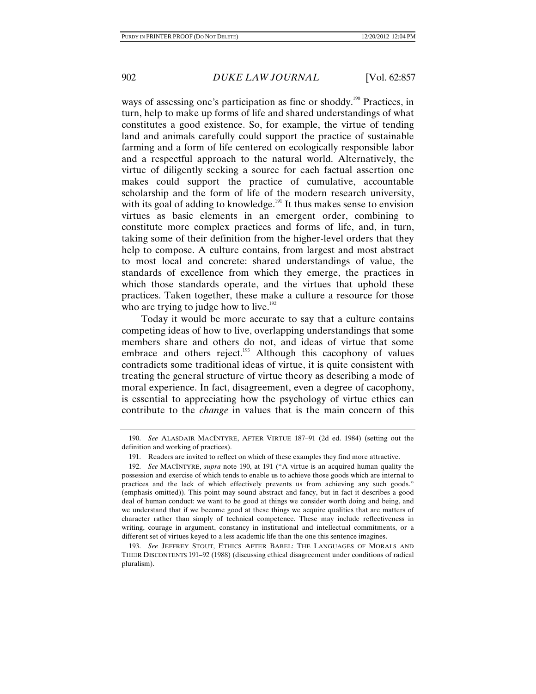ways of assessing one's participation as fine or shoddy.<sup>190</sup> Practices, in turn, help to make up forms of life and shared understandings of what constitutes a good existence. So, for example, the virtue of tending land and animals carefully could support the practice of sustainable farming and a form of life centered on ecologically responsible labor and a respectful approach to the natural world. Alternatively, the virtue of diligently seeking a source for each factual assertion one makes could support the practice of cumulative, accountable scholarship and the form of life of the modern research university, with its goal of adding to knowledge. $191$  It thus makes sense to envision virtues as basic elements in an emergent order, combining to constitute more complex practices and forms of life, and, in turn, taking some of their definition from the higher-level orders that they help to compose. A culture contains, from largest and most abstract to most local and concrete: shared understandings of value, the standards of excellence from which they emerge, the practices in which those standards operate, and the virtues that uphold these practices. Taken together, these make a culture a resource for those who are trying to judge how to live.<sup>192</sup>

Today it would be more accurate to say that a culture contains competing ideas of how to live, overlapping understandings that some members share and others do not, and ideas of virtue that some embrace and others reject.<sup>193</sup> Although this cacophony of values contradicts some traditional ideas of virtue, it is quite consistent with treating the general structure of virtue theory as describing a mode of moral experience. In fact, disagreement, even a degree of cacophony, is essential to appreciating how the psychology of virtue ethics can contribute to the *change* in values that is the main concern of this

 193. *See* JEFFREY STOUT, ETHICS AFTER BABEL: THE LANGUAGES OF MORALS AND THEIR DISCONTENTS 191–92 (1988) (discussing ethical disagreement under conditions of radical pluralism).

 <sup>190.</sup> *See* ALASDAIR MACINTYRE, AFTER VIRTUE 187–91 (2d ed. 1984) (setting out the definition and working of practices).

 <sup>191.</sup> Readers are invited to reflect on which of these examples they find more attractive.

 <sup>192.</sup> *See* MACINTYRE, *supra* note 190, at 191 ("A virtue is an acquired human quality the possession and exercise of which tends to enable us to achieve those goods which are internal to practices and the lack of which effectively prevents us from achieving any such goods." (emphasis omitted)). This point may sound abstract and fancy, but in fact it describes a good deal of human conduct: we want to be good at things we consider worth doing and being, and we understand that if we become good at these things we acquire qualities that are matters of character rather than simply of technical competence. These may include reflectiveness in writing, courage in argument, constancy in institutional and intellectual commitments, or a different set of virtues keyed to a less academic life than the one this sentence imagines.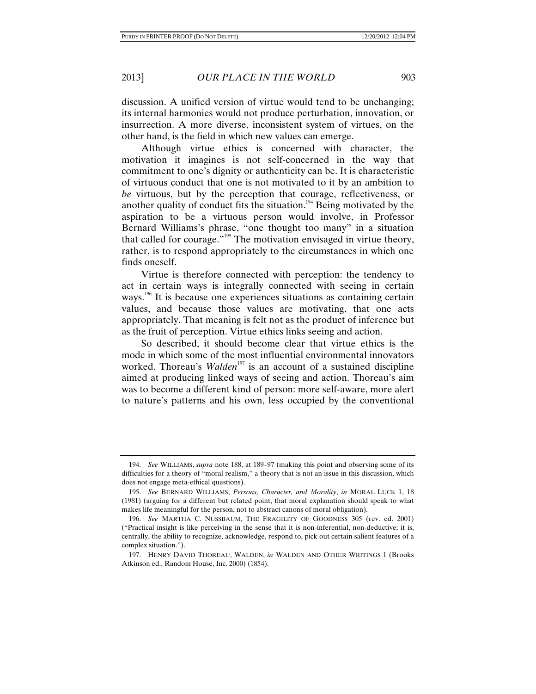discussion. A unified version of virtue would tend to be unchanging; its internal harmonies would not produce perturbation, innovation, or insurrection. A more diverse, inconsistent system of virtues, on the other hand, is the field in which new values can emerge.

Although virtue ethics is concerned with character, the motivation it imagines is not self-concerned in the way that commitment to one's dignity or authenticity can be. It is characteristic of virtuous conduct that one is not motivated to it by an ambition to *be* virtuous, but by the perception that courage, reflectiveness, or another quality of conduct fits the situation.<sup>194</sup> Being motivated by the aspiration to be a virtuous person would involve, in Professor Bernard Williams's phrase, "one thought too many" in a situation that called for courage."195 The motivation envisaged in virtue theory, rather, is to respond appropriately to the circumstances in which one finds oneself.

Virtue is therefore connected with perception: the tendency to act in certain ways is integrally connected with seeing in certain ways.<sup>196</sup> It is because one experiences situations as containing certain values, and because those values are motivating, that one acts appropriately. That meaning is felt not as the product of inference but as the fruit of perception. Virtue ethics links seeing and action.

So described, it should become clear that virtue ethics is the mode in which some of the most influential environmental innovators worked. Thoreau's *Walden*<sup>197</sup> is an account of a sustained discipline aimed at producing linked ways of seeing and action. Thoreau's aim was to become a different kind of person: more self-aware, more alert to nature's patterns and his own, less occupied by the conventional

 <sup>194.</sup> *See* WILLIAMS, *supra* note 188, at 189–97 (making this point and observing some of its difficulties for a theory of "moral realism," a theory that is not an issue in this discussion, which does not engage meta-ethical questions).

 <sup>195.</sup> *See* BERNARD WILLIAMS, *Persons, Character, and Morality*, *in* MORAL LUCK 1, 18 (1981) (arguing for a different but related point, that moral explanation should speak to what makes life meaningful for the person, not to abstract canons of moral obligation).

 <sup>196.</sup> *See* MARTHA C. NUSSBAUM, THE FRAGILITY OF GOODNESS 305 (rev. ed. 2001) ("Practical insight is like perceiving in the sense that it is non-inferential, non-deductive; it is, centrally, the ability to recognize, acknowledge, respond to, pick out certain salient features of a complex situation.").

 <sup>197.</sup> HENRY DAVID THOREAU, WALDEN, *in* WALDEN AND OTHER WRITINGS 1 (Brooks Atkinson ed., Random House, Inc. 2000) (1854).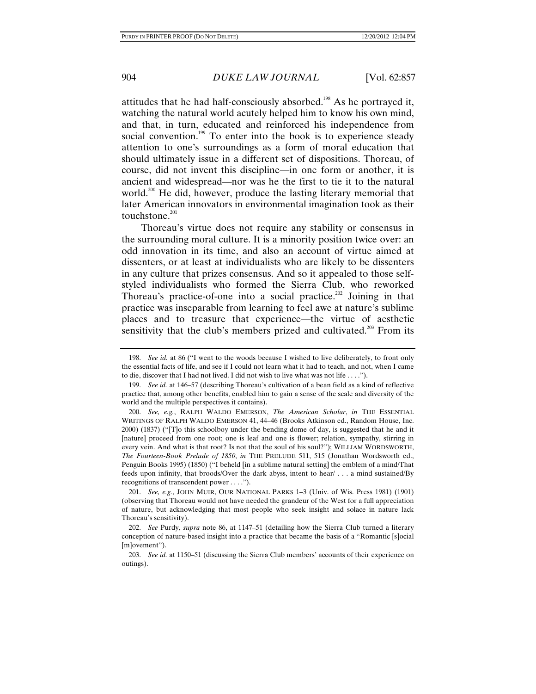attitudes that he had half-consciously absorbed.<sup>198</sup> As he portrayed it, watching the natural world acutely helped him to know his own mind, and that, in turn, educated and reinforced his independence from social convention.<sup>199</sup> To enter into the book is to experience steady attention to one's surroundings as a form of moral education that should ultimately issue in a different set of dispositions. Thoreau, of course, did not invent this discipline—in one form or another, it is ancient and widespread—nor was he the first to tie it to the natural world.<sup>200</sup> He did, however, produce the lasting literary memorial that later American innovators in environmental imagination took as their touchstone. $201$ 

Thoreau's virtue does not require any stability or consensus in the surrounding moral culture. It is a minority position twice over: an odd innovation in its time, and also an account of virtue aimed at dissenters, or at least at individualists who are likely to be dissenters in any culture that prizes consensus. And so it appealed to those selfstyled individualists who formed the Sierra Club, who reworked Thoreau's practice-of-one into a social practice.<sup>202</sup> Joining in that practice was inseparable from learning to feel awe at nature's sublime places and to treasure that experience—the virtue of aesthetic sensitivity that the club's members prized and cultivated.<sup>203</sup> From its

 <sup>198.</sup> *See id.* at 86 ("I went to the woods because I wished to live deliberately, to front only the essential facts of life, and see if I could not learn what it had to teach, and not, when I came to die, discover that I had not lived. I did not wish to live what was not life . . . .").

 <sup>199.</sup> *See id.* at 146–57 (describing Thoreau's cultivation of a bean field as a kind of reflective practice that, among other benefits, enabled him to gain a sense of the scale and diversity of the world and the multiple perspectives it contains).

 <sup>200.</sup> *See, e.g.*, RALPH WALDO EMERSON, *The American Scholar*, *in* THE ESSENTIAL WRITINGS OF RALPH WALDO EMERSON 41, 44–46 (Brooks Atkinson ed., Random House, Inc. 2000) (1837) ("[T]o this schoolboy under the bending dome of day, is suggested that he and it [nature] proceed from one root; one is leaf and one is flower; relation, sympathy, stirring in every vein. And what is that root? Is not that the soul of his soul?"); WILLIAM WORDSWORTH, *The Fourteen-Book Prelude of 1850*, *in* THE PRELUDE 511, 515 (Jonathan Wordsworth ed., Penguin Books 1995) (1850) ("I beheld [in a sublime natural setting] the emblem of a mind/That feeds upon infinity, that broods/Over the dark abyss, intent to hear/ . . . a mind sustained/By recognitions of transcendent power . . . .").

 <sup>201.</sup> *See, e.g.*, JOHN MUIR, OUR NATIONAL PARKS 1–3 (Univ. of Wis. Press 1981) (1901) (observing that Thoreau would not have needed the grandeur of the West for a full appreciation of nature, but acknowledging that most people who seek insight and solace in nature lack Thoreau's sensitivity).

 <sup>202.</sup> *See* Purdy, *supra* note 86, at 1147–51 (detailing how the Sierra Club turned a literary conception of nature-based insight into a practice that became the basis of a "Romantic [s]ocial [m]ovement").

 <sup>203.</sup> *See id.* at 1150–51 (discussing the Sierra Club members' accounts of their experience on outings).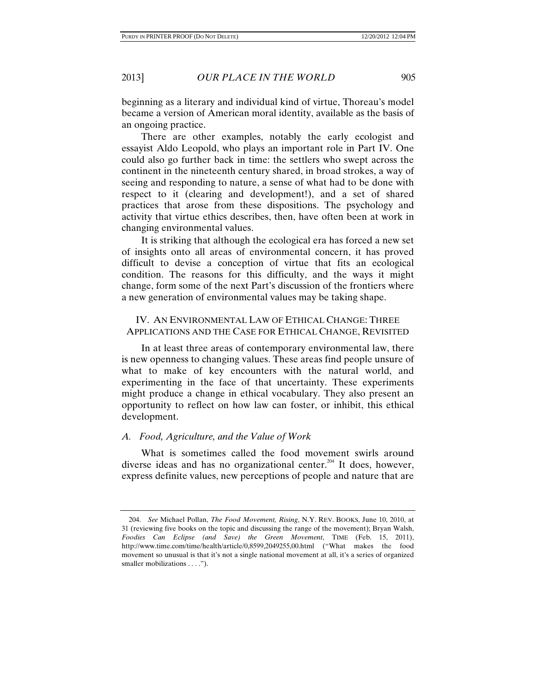beginning as a literary and individual kind of virtue, Thoreau's model became a version of American moral identity, available as the basis of an ongoing practice.

There are other examples, notably the early ecologist and essayist Aldo Leopold, who plays an important role in Part IV. One could also go further back in time: the settlers who swept across the continent in the nineteenth century shared, in broad strokes, a way of seeing and responding to nature, a sense of what had to be done with respect to it (clearing and development!), and a set of shared practices that arose from these dispositions. The psychology and activity that virtue ethics describes, then, have often been at work in changing environmental values.

It is striking that although the ecological era has forced a new set of insights onto all areas of environmental concern, it has proved difficult to devise a conception of virtue that fits an ecological condition. The reasons for this difficulty, and the ways it might change, form some of the next Part's discussion of the frontiers where a new generation of environmental values may be taking shape.

## IV. AN ENVIRONMENTAL LAW OF ETHICAL CHANGE: THREE APPLICATIONS AND THE CASE FOR ETHICAL CHANGE, REVISITED

In at least three areas of contemporary environmental law, there is new openness to changing values. These areas find people unsure of what to make of key encounters with the natural world, and experimenting in the face of that uncertainty. These experiments might produce a change in ethical vocabulary. They also present an opportunity to reflect on how law can foster, or inhibit, this ethical development.

## *A. Food, Agriculture, and the Value of Work*

What is sometimes called the food movement swirls around diverse ideas and has no organizational center.<sup>204</sup> It does, however, express definite values, new perceptions of people and nature that are

 <sup>204.</sup> *See* Michael Pollan, *The Food Movement, Rising*, N.Y. REV. BOOKS, June 10, 2010, at 31 (reviewing five books on the topic and discussing the range of the movement); Bryan Walsh, *Foodies Can Eclipse (and Save) the Green Movement*, TIME (Feb. 15, 2011), http://www.time.com/time/health/article/0,8599,2049255,00.html ("What makes the food movement so unusual is that it's not a single national movement at all, it's a series of organized smaller mobilizations . . . .").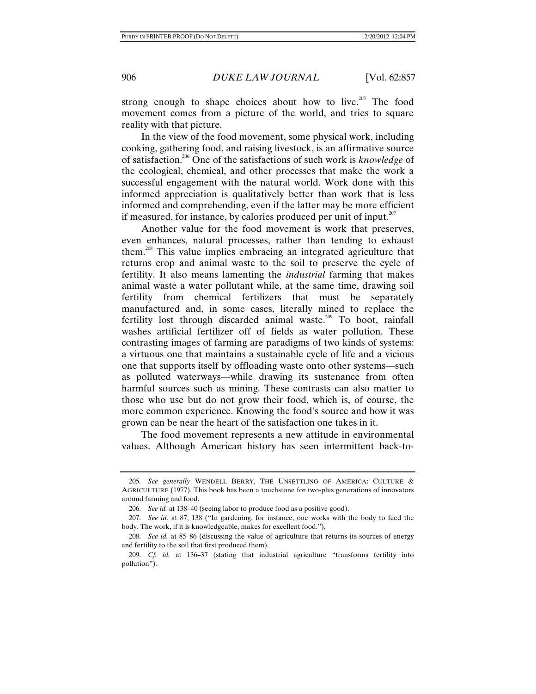strong enough to shape choices about how to live.<sup>205</sup> The food movement comes from a picture of the world, and tries to square reality with that picture.

In the view of the food movement, some physical work, including cooking, gathering food, and raising livestock, is an affirmative source of satisfaction.206 One of the satisfactions of such work is *knowledge* of the ecological, chemical, and other processes that make the work a successful engagement with the natural world. Work done with this informed appreciation is qualitatively better than work that is less informed and comprehending, even if the latter may be more efficient if measured, for instance, by calories produced per unit of input. $207$ 

Another value for the food movement is work that preserves, even enhances, natural processes, rather than tending to exhaust them.208 This value implies embracing an integrated agriculture that returns crop and animal waste to the soil to preserve the cycle of fertility. It also means lamenting the *industrial* farming that makes animal waste a water pollutant while, at the same time, drawing soil fertility from chemical fertilizers that must be separately manufactured and, in some cases, literally mined to replace the fertility lost through discarded animal waste.<sup>209</sup> To boot, rainfall washes artificial fertilizer off of fields as water pollution. These contrasting images of farming are paradigms of two kinds of systems: a virtuous one that maintains a sustainable cycle of life and a vicious one that supports itself by offloading waste onto other systems—such as polluted waterways—while drawing its sustenance from often harmful sources such as mining. These contrasts can also matter to those who use but do not grow their food, which is, of course, the more common experience. Knowing the food's source and how it was grown can be near the heart of the satisfaction one takes in it.

The food movement represents a new attitude in environmental values. Although American history has seen intermittent back-to-

 <sup>205.</sup> *See generally* WENDELL BERRY, THE UNSETTLING OF AMERICA: CULTURE & AGRICULTURE (1977). This book has been a touchstone for two-plus generations of innovators around farming and food.

 <sup>206.</sup> *See id.* at 138–40 (seeing labor to produce food as a positive good).

 <sup>207.</sup> *See id.* at 87, 138 ("In gardening, for instance, one works with the body to feed the body. The work, if it is knowledgeable, makes for excellent food.").

 <sup>208.</sup> *See id.* at 85–86 (discussing the value of agriculture that returns its sources of energy and fertility to the soil that first produced them).

 <sup>209.</sup> *Cf. id.* at 136–37 (stating that industrial agriculture "transforms fertility into pollution").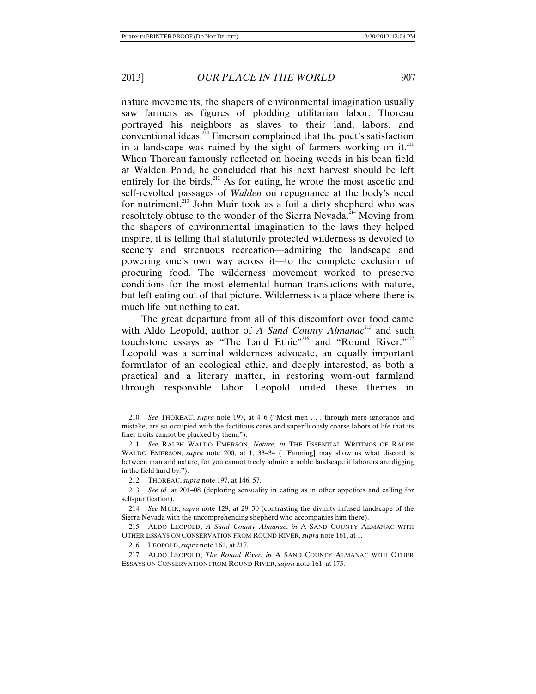nature movements, the shapers of environmental imagination usually saw farmers as figures of plodding utilitarian labor. Thoreau portrayed his neighbors as slaves to their land, labors, and conventional ideas.<sup>210</sup> Emerson complained that the poet's satisfaction in a landscape was ruined by the sight of farmers working on it.<sup>211</sup> When Thoreau famously reflected on hoeing weeds in his bean field at Walden Pond, he concluded that his next harvest should be left entirely for the birds.<sup>212</sup> As for eating, he wrote the most ascetic and self-revolted passages of *Walden* on repugnance at the body's need for nutriment.<sup>213</sup> John Muir took as a foil a dirty shepherd who was resolutely obtuse to the wonder of the Sierra Nevada.<sup> $214$ </sup> Moving from the shapers of environmental imagination to the laws they helped inspire, it is telling that statutorily protected wilderness is devoted to scenery and strenuous recreation—admiring the landscape and powering one's own way across it—to the complete exclusion of procuring food. The wilderness movement worked to preserve conditions for the most elemental human transactions with nature, but left eating out of that picture. Wilderness is a place where there is much life but nothing to eat.

The great departure from all of this discomfort over food came with Aldo Leopold, author of *A Sand County Almanac*<sup>215</sup> and such touchstone essays as "The Land Ethic"<sup>216</sup> and "Round River."<sup>217</sup> Leopold was a seminal wilderness advocate, an equally important formulator of an ecological ethic, and deeply interested, as both a practical and a literary matter, in restoring worn-out farmland through responsible labor. Leopold united these themes in

 <sup>210.</sup> *See* THOREAU, *supra* note 197, at 4–6 ("Most men . . . through mere ignorance and mistake, are so occupied with the factitious cares and superfluously coarse labors of life that its finer fruits cannot be plucked by them.").

 <sup>211.</sup> *See* RALPH WALDO EMERSON, *Nature*, *in* THE ESSENTIAL WRITINGS OF RALPH WALDO EMERSON, *supra* note 200, at 1, 33–34 ("[Farming] may show us what discord is between man and nature, for you cannot freely admire a noble landscape if laborers are digging in the field hard by.").

 <sup>212.</sup> THOREAU, *supra* note 197, at 146–57.

 <sup>213.</sup> *See id.* at 201–08 (deploring sensuality in eating as in other appetites and calling for self-purification).

 <sup>214.</sup> *See* MUIR, *supra* note 129, at 29–30 (contrasting the divinity-infused landscape of the Sierra Nevada with the uncomprehending shepherd who accompanies him there).

 <sup>215.</sup> ALDO LEOPOLD, *A Sand County Almanac*, *in* A SAND COUNTY ALMANAC WITH OTHER ESSAYS ON CONSERVATION FROM ROUND RIVER, *supra* note 161, at 1.

 <sup>216.</sup> LEOPOLD, *supra* note 161, at 217.

 <sup>217.</sup> ALDO LEOPOLD, *The Round River*, *in* A SAND COUNTY ALMANAC WITH OTHER ESSAYS ON CONSERVATION FROM ROUND RIVER, *supra* note 161, at 175.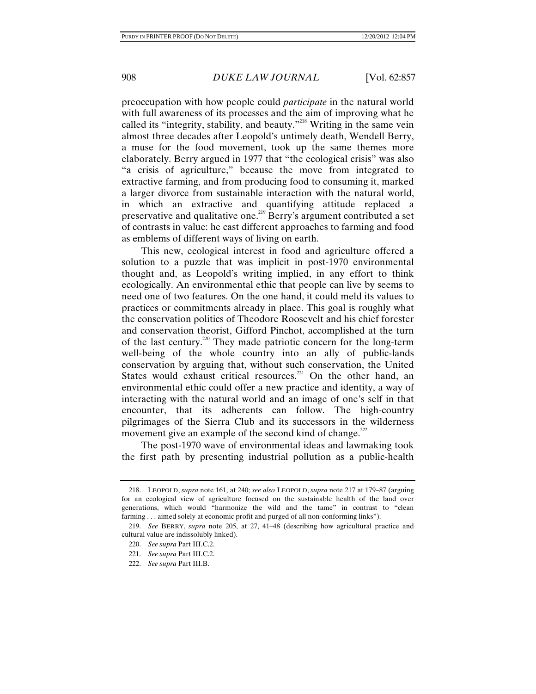preoccupation with how people could *participate* in the natural world with full awareness of its processes and the aim of improving what he called its "integrity, stability, and beauty."<sup>218</sup> Writing in the same vein almost three decades after Leopold's untimely death, Wendell Berry, a muse for the food movement, took up the same themes more elaborately. Berry argued in 1977 that "the ecological crisis" was also "a crisis of agriculture," because the move from integrated to extractive farming, and from producing food to consuming it, marked a larger divorce from sustainable interaction with the natural world, in which an extractive and quantifying attitude replaced a preservative and qualitative one.<sup>219</sup> Berry's argument contributed a set of contrasts in value: he cast different approaches to farming and food as emblems of different ways of living on earth.

This new, ecological interest in food and agriculture offered a solution to a puzzle that was implicit in post-1970 environmental thought and, as Leopold's writing implied, in any effort to think ecologically. An environmental ethic that people can live by seems to need one of two features. On the one hand, it could meld its values to practices or commitments already in place. This goal is roughly what the conservation politics of Theodore Roosevelt and his chief forester and conservation theorist, Gifford Pinchot, accomplished at the turn of the last century.220 They made patriotic concern for the long-term well-being of the whole country into an ally of public-lands conservation by arguing that, without such conservation, the United States would exhaust critical resources.<sup>221</sup> On the other hand, an environmental ethic could offer a new practice and identity, a way of interacting with the natural world and an image of one's self in that encounter, that its adherents can follow. The high-country pilgrimages of the Sierra Club and its successors in the wilderness movement give an example of the second kind of change.<sup>222</sup>

The post-1970 wave of environmental ideas and lawmaking took the first path by presenting industrial pollution as a public-health

 <sup>218.</sup> LEOPOLD, *supra* note 161, at 240; *see also* LEOPOLD, *supra* note 217 at 179–87 (arguing for an ecological view of agriculture focused on the sustainable health of the land over generations, which would "harmonize the wild and the tame" in contrast to "clean farming . . . aimed solely at economic profit and purged of all non-conforming links").

 <sup>219.</sup> *See* BERRY, *supra* note 205, at 27, 41–48 (describing how agricultural practice and cultural value are indissolubly linked).

 <sup>220.</sup> *See supra* Part III.C.2.

 <sup>221.</sup> *See supra* Part III.C.2.

 <sup>222.</sup> *See supra* Part III.B.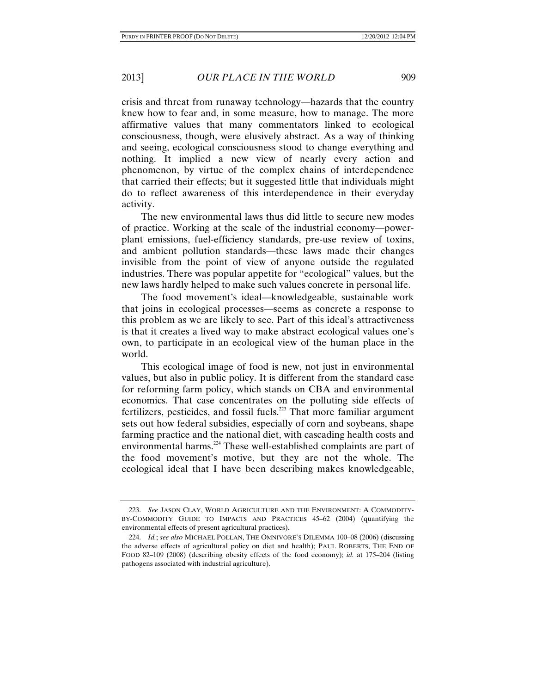crisis and threat from runaway technology—hazards that the country knew how to fear and, in some measure, how to manage. The more affirmative values that many commentators linked to ecological consciousness, though, were elusively abstract. As a way of thinking and seeing, ecological consciousness stood to change everything and nothing. It implied a new view of nearly every action and phenomenon, by virtue of the complex chains of interdependence that carried their effects; but it suggested little that individuals might do to reflect awareness of this interdependence in their everyday activity.

The new environmental laws thus did little to secure new modes of practice. Working at the scale of the industrial economy—powerplant emissions, fuel-efficiency standards, pre-use review of toxins, and ambient pollution standards—these laws made their changes invisible from the point of view of anyone outside the regulated industries. There was popular appetite for "ecological" values, but the new laws hardly helped to make such values concrete in personal life.

The food movement's ideal—knowledgeable, sustainable work that joins in ecological processes—seems as concrete a response to this problem as we are likely to see. Part of this ideal's attractiveness is that it creates a lived way to make abstract ecological values one's own, to participate in an ecological view of the human place in the world.

This ecological image of food is new, not just in environmental values, but also in public policy. It is different from the standard case for reforming farm policy, which stands on CBA and environmental economics. That case concentrates on the polluting side effects of fertilizers, pesticides, and fossil fuels.<sup> $223$ </sup> That more familiar argument sets out how federal subsidies, especially of corn and soybeans, shape farming practice and the national diet, with cascading health costs and environmental harms.<sup>224</sup> These well-established complaints are part of the food movement's motive, but they are not the whole. The ecological ideal that I have been describing makes knowledgeable,

 <sup>223.</sup> *See* JASON CLAY, WORLD AGRICULTURE AND THE ENVIRONMENT: A COMMODITY-BY-COMMODITY GUIDE TO IMPACTS AND PRACTICES 45–62 (2004) (quantifying the environmental effects of present agricultural practices).

 <sup>224.</sup> *Id.*; *see also* MICHAEL POLLAN, THE OMNIVORE'S DILEMMA 100–08 (2006) (discussing the adverse effects of agricultural policy on diet and health); PAUL ROBERTS, THE END OF FOOD 82–109 (2008) (describing obesity effects of the food economy); *id.* at 175–204 (listing pathogens associated with industrial agriculture).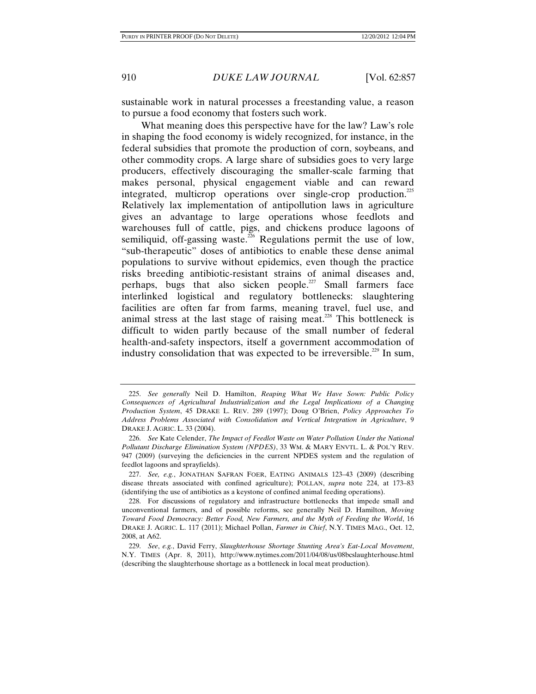sustainable work in natural processes a freestanding value, a reason to pursue a food economy that fosters such work.

What meaning does this perspective have for the law? Law's role in shaping the food economy is widely recognized, for instance, in the federal subsidies that promote the production of corn, soybeans, and other commodity crops. A large share of subsidies goes to very large producers, effectively discouraging the smaller-scale farming that makes personal, physical engagement viable and can reward integrated, multicrop operations over single-crop production.<sup>225</sup> Relatively lax implementation of antipollution laws in agriculture gives an advantage to large operations whose feedlots and warehouses full of cattle, pigs, and chickens produce lagoons of semiliquid, off-gassing waste.<sup>226</sup> Regulations permit the use of low, "sub-therapeutic" doses of antibiotics to enable these dense animal populations to survive without epidemics, even though the practice risks breeding antibiotic-resistant strains of animal diseases and, perhaps, bugs that also sicken people.<sup>227</sup> Small farmers face interlinked logistical and regulatory bottlenecks: slaughtering facilities are often far from farms, meaning travel, fuel use, and animal stress at the last stage of raising meat.<sup>228</sup> This bottleneck is difficult to widen partly because of the small number of federal health-and-safety inspectors, itself a government accommodation of industry consolidation that was expected to be irreversible.<sup>229</sup> In sum,

 <sup>225.</sup> *See generally* Neil D. Hamilton, *Reaping What We Have Sown: Public Policy Consequences of Agricultural Industrialization and the Legal Implications of a Changing Production System*, 45 DRAKE L. REV. 289 (1997); Doug O'Brien, *Policy Approaches To Address Problems Associated with Consolidation and Vertical Integration in Agriculture*, 9 DRAKE J. AGRIC. L. 33 (2004).

 <sup>226.</sup> *See* Kate Celender, *The Impact of Feedlot Waste on Water Pollution Under the National Pollutant Discharge Elimination System (NPDES)*, 33 WM. & MARY ENVTL. L. & POL'Y REV. 947 (2009) (surveying the deficiencies in the current NPDES system and the regulation of feedlot lagoons and sprayfields).

 <sup>227.</sup> *See, e.g.*, JONATHAN SAFRAN FOER, EATING ANIMALS 123–43 (2009) (describing disease threats associated with confined agriculture); POLLAN, *supra* note 224, at 173–83 (identifying the use of antibiotics as a keystone of confined animal feeding operations).

 <sup>228.</sup> For discussions of regulatory and infrastructure bottlenecks that impede small and unconventional farmers, and of possible reforms, see generally Neil D. Hamilton, *Moving Toward Food Democracy: Better Food, New Farmers, and the Myth of Feeding the World*, 16 DRAKE J. AGRIC. L. 117 (2011); Michael Pollan, *Farmer in Chief*, N.Y. TIMES MAG., Oct. 12, 2008, at A62.

 <sup>229.</sup> *See*, *e.g.*, David Ferry, *Slaughterhouse Shortage Stunting Area's Eat-Local Movement*, N.Y. TIMES (Apr. 8, 2011), http://www.nytimes.com/2011/04/08/us/08bcslaughterhouse.html (describing the slaughterhouse shortage as a bottleneck in local meat production).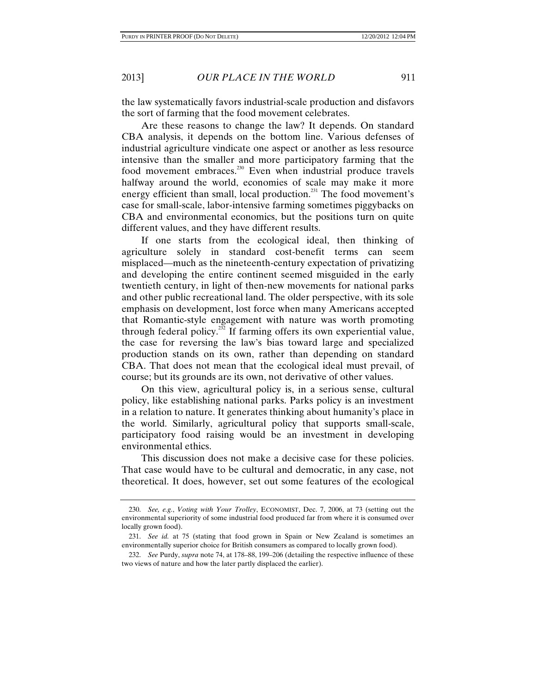the law systematically favors industrial-scale production and disfavors the sort of farming that the food movement celebrates.

Are these reasons to change the law? It depends. On standard CBA analysis, it depends on the bottom line. Various defenses of industrial agriculture vindicate one aspect or another as less resource intensive than the smaller and more participatory farming that the food movement embraces.<sup>230</sup> Even when industrial produce travels halfway around the world, economies of scale may make it more energy efficient than small, local production.<sup>231</sup> The food movement's case for small-scale, labor-intensive farming sometimes piggybacks on CBA and environmental economics, but the positions turn on quite different values, and they have different results.

If one starts from the ecological ideal, then thinking of agriculture solely in standard cost-benefit terms can seem misplaced—much as the nineteenth-century expectation of privatizing and developing the entire continent seemed misguided in the early twentieth century, in light of then-new movements for national parks and other public recreational land. The older perspective, with its sole emphasis on development, lost force when many Americans accepted that Romantic-style engagement with nature was worth promoting through federal policy.<sup> $2\overline{2}$ </sup> If farming offers its own experiential value, the case for reversing the law's bias toward large and specialized production stands on its own, rather than depending on standard CBA. That does not mean that the ecological ideal must prevail, of course; but its grounds are its own, not derivative of other values.

On this view, agricultural policy is, in a serious sense, cultural policy, like establishing national parks. Parks policy is an investment in a relation to nature. It generates thinking about humanity's place in the world. Similarly, agricultural policy that supports small-scale, participatory food raising would be an investment in developing environmental ethics.

This discussion does not make a decisive case for these policies. That case would have to be cultural and democratic, in any case, not theoretical. It does, however, set out some features of the ecological

 <sup>230.</sup> *See, e.g.*, *Voting with Your Trolley*, ECONOMIST, Dec. 7, 2006, at 73 (setting out the environmental superiority of some industrial food produced far from where it is consumed over locally grown food).

 <sup>231.</sup> *See id.* at 75 (stating that food grown in Spain or New Zealand is sometimes an environmentally superior choice for British consumers as compared to locally grown food).

 <sup>232.</sup> *See* Purdy, *supra* note 74, at 178–88, 199–206 (detailing the respective influence of these two views of nature and how the later partly displaced the earlier).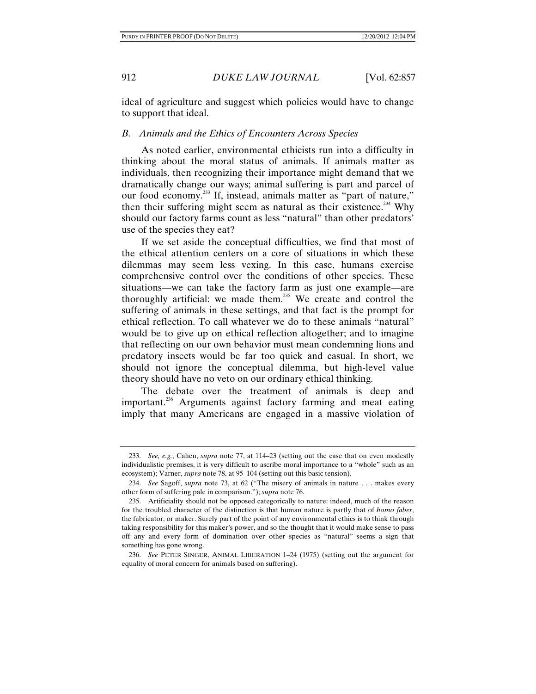ideal of agriculture and suggest which policies would have to change to support that ideal.

### *B. Animals and the Ethics of Encounters Across Species*

As noted earlier, environmental ethicists run into a difficulty in thinking about the moral status of animals. If animals matter as individuals, then recognizing their importance might demand that we dramatically change our ways; animal suffering is part and parcel of our food economy.<sup>233</sup> If, instead, animals matter as "part of nature," then their suffering might seem as natural as their existence.<sup>234</sup> Why should our factory farms count as less "natural" than other predators' use of the species they eat?

If we set aside the conceptual difficulties, we find that most of the ethical attention centers on a core of situations in which these dilemmas may seem less vexing. In this case, humans exercise comprehensive control over the conditions of other species. These situations—we can take the factory farm as just one example—are thoroughly artificial: we made them.<sup>235</sup> We create and control the suffering of animals in these settings, and that fact is the prompt for ethical reflection. To call whatever we do to these animals "natural" would be to give up on ethical reflection altogether; and to imagine that reflecting on our own behavior must mean condemning lions and predatory insects would be far too quick and casual. In short, we should not ignore the conceptual dilemma, but high-level value theory should have no veto on our ordinary ethical thinking.

The debate over the treatment of animals is deep and important.<sup>236</sup> Arguments against factory farming and meat eating imply that many Americans are engaged in a massive violation of

 <sup>233.</sup> *See, e.g.*, Cahen, *supra* note 77, at 114–23 (setting out the case that on even modestly individualistic premises, it is very difficult to ascribe moral importance to a "whole" such as an ecosystem); Varner, *supra* note 78, at 95–104 (setting out this basic tension).

 <sup>234.</sup> *See* Sagoff, *supra* note 73, at 62 ("The misery of animals in nature . . . makes every other form of suffering pale in comparison."); *supra* note 76.

 <sup>235.</sup> Artificiality should not be opposed categorically to nature: indeed, much of the reason for the troubled character of the distinction is that human nature is partly that of *homo faber*, the fabricator, or maker. Surely part of the point of any environmental ethics is to think through taking responsibility for this maker's power, and so the thought that it would make sense to pass off any and every form of domination over other species as "natural" seems a sign that something has gone wrong.

 <sup>236.</sup> *See* PETER SINGER, ANIMAL LIBERATION 1–24 (1975) (setting out the argument for equality of moral concern for animals based on suffering).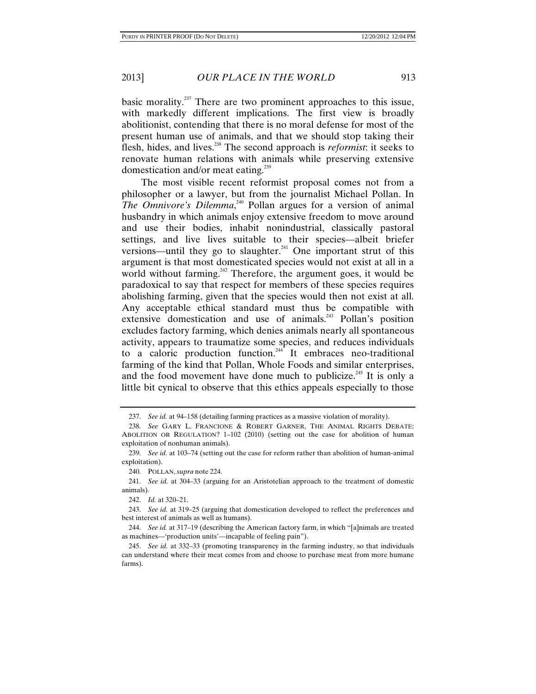basic morality.<sup>237</sup> There are two prominent approaches to this issue, with markedly different implications. The first view is broadly abolitionist, contending that there is no moral defense for most of the present human use of animals, and that we should stop taking their flesh, hides, and lives.238 The second approach is *reformist*: it seeks to renovate human relations with animals while preserving extensive domestication and/or meat eating.<sup>239</sup>

The most visible recent reformist proposal comes not from a philosopher or a lawyer, but from the journalist Michael Pollan. In *The Omnivore's Dilemma*, 240 Pollan argues for a version of animal husbandry in which animals enjoy extensive freedom to move around and use their bodies, inhabit nonindustrial, classically pastoral settings, and live lives suitable to their species—albeit briefer versions—until they go to slaughter.<sup>241</sup> One important strut of this argument is that most domesticated species would not exist at all in a world without farming.<sup>242</sup> Therefore, the argument goes, it would be paradoxical to say that respect for members of these species requires abolishing farming, given that the species would then not exist at all. Any acceptable ethical standard must thus be compatible with extensive domestication and use of animals.<sup>243</sup> Pollan's position excludes factory farming, which denies animals nearly all spontaneous activity, appears to traumatize some species, and reduces individuals to a caloric production function.<sup>244</sup> It embraces neo-traditional farming of the kind that Pollan, Whole Foods and similar enterprises, and the food movement have done much to publicize.<sup>245</sup> It is only a little bit cynical to observe that this ethics appeals especially to those

 <sup>237.</sup> *See id.* at 94–158 (detailing farming practices as a massive violation of morality).

 <sup>238.</sup> *See* GARY L. FRANCIONE & ROBERT GARNER, THE ANIMAL RIGHTS DEBATE: ABOLITION OR REGULATION? 1–102 (2010) (setting out the case for abolition of human exploitation of nonhuman animals).

 <sup>239.</sup> *See id.* at 103–74 (setting out the case for reform rather than abolition of human-animal exploitation).

 <sup>240.</sup> POLLAN, *supra* note 224.

 <sup>241.</sup> *See id.* at 304–33 (arguing for an Aristotelian approach to the treatment of domestic animals).

 <sup>242.</sup> *Id.* at 320–21.

 <sup>243.</sup> *See id.* at 319–25 (arguing that domestication developed to reflect the preferences and best interest of animals as well as humans).

 <sup>244.</sup> *See id.* at 317–19 (describing the American factory farm, in which "[a]nimals are treated as machines—'production units'—incapable of feeling pain").

 <sup>245.</sup> *See id.* at 332–33 (promoting transparency in the farming industry, so that individuals can understand where their meat comes from and choose to purchase meat from more humane farms).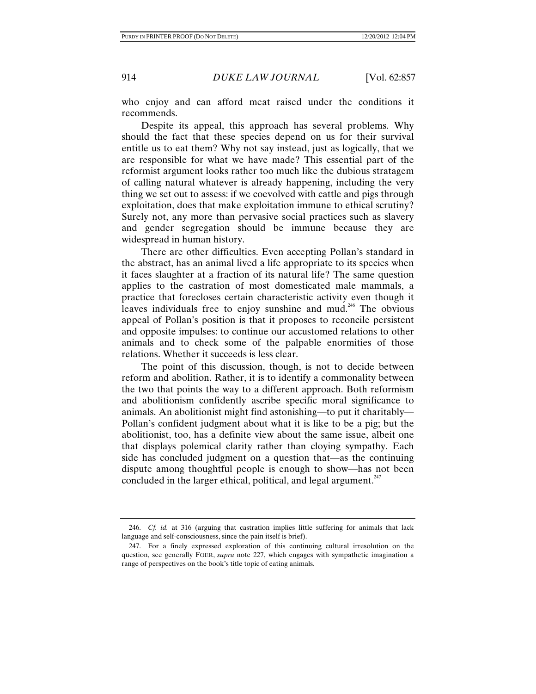who enjoy and can afford meat raised under the conditions it recommends.

Despite its appeal, this approach has several problems. Why should the fact that these species depend on us for their survival entitle us to eat them? Why not say instead, just as logically, that we are responsible for what we have made? This essential part of the reformist argument looks rather too much like the dubious stratagem of calling natural whatever is already happening, including the very thing we set out to assess: if we coevolved with cattle and pigs through exploitation, does that make exploitation immune to ethical scrutiny? Surely not, any more than pervasive social practices such as slavery and gender segregation should be immune because they are widespread in human history.

There are other difficulties. Even accepting Pollan's standard in the abstract, has an animal lived a life appropriate to its species when it faces slaughter at a fraction of its natural life? The same question applies to the castration of most domesticated male mammals, a practice that forecloses certain characteristic activity even though it leaves individuals free to enjoy sunshine and mud.<sup>246</sup> The obvious appeal of Pollan's position is that it proposes to reconcile persistent and opposite impulses: to continue our accustomed relations to other animals and to check some of the palpable enormities of those relations. Whether it succeeds is less clear.

The point of this discussion, though, is not to decide between reform and abolition. Rather, it is to identify a commonality between the two that points the way to a different approach. Both reformism and abolitionism confidently ascribe specific moral significance to animals. An abolitionist might find astonishing—to put it charitably— Pollan's confident judgment about what it is like to be a pig; but the abolitionist, too, has a definite view about the same issue, albeit one that displays polemical clarity rather than cloying sympathy. Each side has concluded judgment on a question that—as the continuing dispute among thoughtful people is enough to show—has not been concluded in the larger ethical, political, and legal argument. $247$ 

 <sup>246.</sup> *Cf. id.* at 316 (arguing that castration implies little suffering for animals that lack language and self-consciousness, since the pain itself is brief).

 <sup>247.</sup> For a finely expressed exploration of this continuing cultural irresolution on the question, see generally FOER, *supra* note 227, which engages with sympathetic imagination a range of perspectives on the book's title topic of eating animals.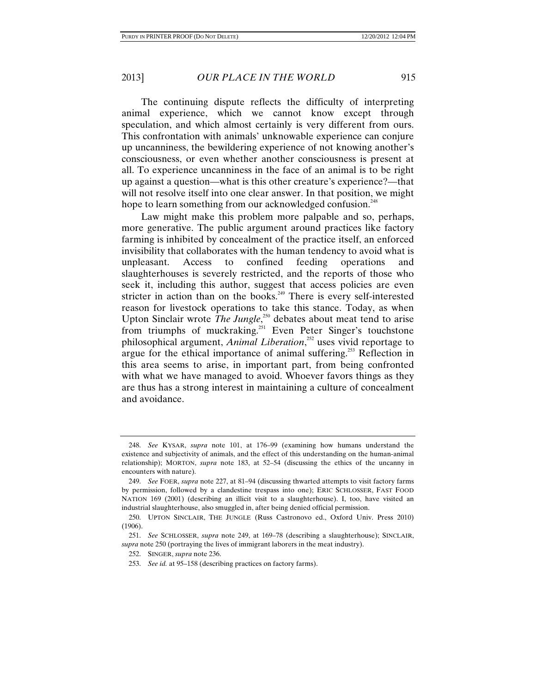The continuing dispute reflects the difficulty of interpreting animal experience, which we cannot know except through speculation, and which almost certainly is very different from ours. This confrontation with animals' unknowable experience can conjure up uncanniness, the bewildering experience of not knowing another's consciousness, or even whether another consciousness is present at all. To experience uncanniness in the face of an animal is to be right up against a question—what is this other creature's experience?—that will not resolve itself into one clear answer. In that position, we might hope to learn something from our acknowledged confusion.<sup>248</sup>

Law might make this problem more palpable and so, perhaps, more generative. The public argument around practices like factory farming is inhibited by concealment of the practice itself, an enforced invisibility that collaborates with the human tendency to avoid what is unpleasant. Access to confined feeding operations and slaughterhouses is severely restricted, and the reports of those who seek it, including this author, suggest that access policies are even stricter in action than on the books.<sup>249</sup> There is every self-interested reason for livestock operations to take this stance. Today, as when Upton Sinclair wrote *The Jungle*,<sup>250</sup> debates about meat tend to arise from triumphs of muckraking.<sup>251</sup> Even Peter Singer's touchstone philosophical argument, *Animal Liberation*, 252 uses vivid reportage to argue for the ethical importance of animal suffering.<sup>253</sup> Reflection in this area seems to arise, in important part, from being confronted with what we have managed to avoid. Whoever favors things as they are thus has a strong interest in maintaining a culture of concealment and avoidance.

 <sup>248.</sup> *See* KYSAR, *supra* note 101, at 176–99 (examining how humans understand the existence and subjectivity of animals, and the effect of this understanding on the human-animal relationship); MORTON, *supra* note 183, at 52–54 (discussing the ethics of the uncanny in encounters with nature).

 <sup>249.</sup> *See* FOER, *supra* note 227, at 81–94 (discussing thwarted attempts to visit factory farms by permission, followed by a clandestine trespass into one); ERIC SCHLOSSER, FAST FOOD NATION 169 (2001) (describing an illicit visit to a slaughterhouse). I, too, have visited an industrial slaughterhouse, also smuggled in, after being denied official permission.

 <sup>250.</sup> UPTON SINCLAIR, THE JUNGLE (Russ Castronovo ed., Oxford Univ. Press 2010) (1906).

 <sup>251.</sup> *See* SCHLOSSER, *supra* note 249, at 169–78 (describing a slaughterhouse); SINCLAIR, *supra* note 250 (portraying the lives of immigrant laborers in the meat industry).

 <sup>252.</sup> SINGER, *supra* note 236.

 <sup>253.</sup> *See id.* at 95–158 (describing practices on factory farms).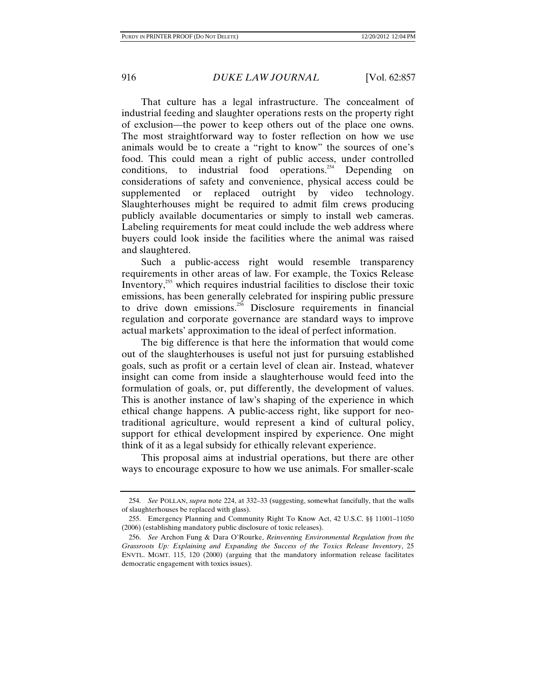That culture has a legal infrastructure. The concealment of industrial feeding and slaughter operations rests on the property right of exclusion—the power to keep others out of the place one owns. The most straightforward way to foster reflection on how we use animals would be to create a "right to know" the sources of one's food. This could mean a right of public access, under controlled conditions, to industrial food operations.<sup>254</sup> Depending on considerations of safety and convenience, physical access could be supplemented or replaced outright by video technology. Slaughterhouses might be required to admit film crews producing publicly available documentaries or simply to install web cameras. Labeling requirements for meat could include the web address where buyers could look inside the facilities where the animal was raised and slaughtered.

Such a public-access right would resemble transparency requirements in other areas of law. For example, the Toxics Release Inventory,255 which requires industrial facilities to disclose their toxic emissions, has been generally celebrated for inspiring public pressure to drive down emissions.<sup>256</sup> Disclosure requirements in financial regulation and corporate governance are standard ways to improve actual markets' approximation to the ideal of perfect information.

The big difference is that here the information that would come out of the slaughterhouses is useful not just for pursuing established goals, such as profit or a certain level of clean air. Instead, whatever insight can come from inside a slaughterhouse would feed into the formulation of goals, or, put differently, the development of values. This is another instance of law's shaping of the experience in which ethical change happens. A public-access right, like support for neotraditional agriculture, would represent a kind of cultural policy, support for ethical development inspired by experience. One might think of it as a legal subsidy for ethically relevant experience.

This proposal aims at industrial operations, but there are other ways to encourage exposure to how we use animals. For smaller-scale

 <sup>254.</sup> *See* POLLAN, *supra* note 224, at 332–33 (suggesting, somewhat fancifully, that the walls of slaughterhouses be replaced with glass).

 <sup>255.</sup> Emergency Planning and Community Right To Know Act, 42 U.S.C. §§ 11001–11050 (2006) (establishing mandatory public disclosure of toxic releases).

 <sup>256.</sup> *See* Archon Fung & Dara O'Rourke, *Reinventing Environmental Regulation from the Grassroots Up: Explaining and Expanding the Success of the Toxics Release Inventory*, 25 ENVTL. MGMT. 115, 120 (2000) (arguing that the mandatory information release facilitates democratic engagement with toxics issues).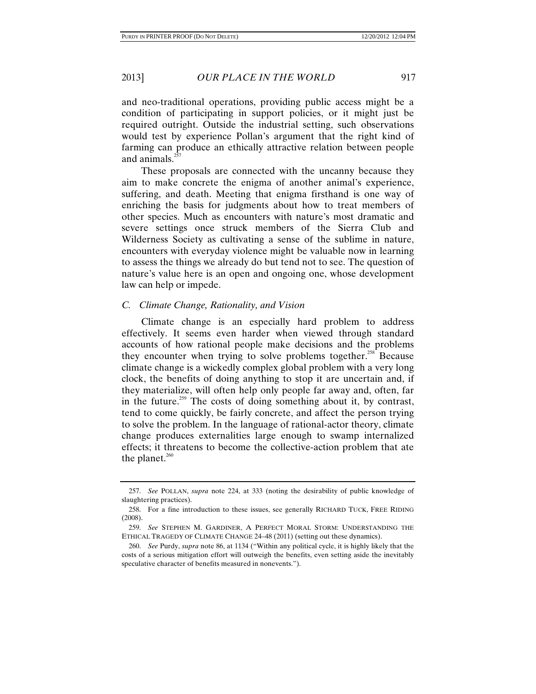and neo-traditional operations, providing public access might be a condition of participating in support policies, or it might just be required outright. Outside the industrial setting, such observations would test by experience Pollan's argument that the right kind of farming can produce an ethically attractive relation between people and animals. $^{25}$ 

These proposals are connected with the uncanny because they aim to make concrete the enigma of another animal's experience, suffering, and death. Meeting that enigma firsthand is one way of enriching the basis for judgments about how to treat members of other species. Much as encounters with nature's most dramatic and severe settings once struck members of the Sierra Club and Wilderness Society as cultivating a sense of the sublime in nature, encounters with everyday violence might be valuable now in learning to assess the things we already do but tend not to see. The question of nature's value here is an open and ongoing one, whose development law can help or impede.

#### *C. Climate Change, Rationality, and Vision*

Climate change is an especially hard problem to address effectively. It seems even harder when viewed through standard accounts of how rational people make decisions and the problems they encounter when trying to solve problems together.<sup>258</sup> Because climate change is a wickedly complex global problem with a very long clock, the benefits of doing anything to stop it are uncertain and, if they materialize, will often help only people far away and, often, far in the future.<sup>259</sup> The costs of doing something about it, by contrast, tend to come quickly, be fairly concrete, and affect the person trying to solve the problem. In the language of rational-actor theory, climate change produces externalities large enough to swamp internalized effects; it threatens to become the collective-action problem that ate the planet. $260$ 

 <sup>257.</sup> *See* POLLAN, *supra* note 224, at 333 (noting the desirability of public knowledge of slaughtering practices).

 <sup>258.</sup> For a fine introduction to these issues, see generally RICHARD TUCK, FREE RIDING (2008).

 <sup>259.</sup> *See* STEPHEN M. GARDINER, A PERFECT MORAL STORM: UNDERSTANDING THE ETHICAL TRAGEDY OF CLIMATE CHANGE 24–48 (2011) (setting out these dynamics).

 <sup>260.</sup> *See* Purdy, *supra* note 86, at 1134 ("Within any political cycle, it is highly likely that the costs of a serious mitigation effort will outweigh the benefits, even setting aside the inevitably speculative character of benefits measured in nonevents.").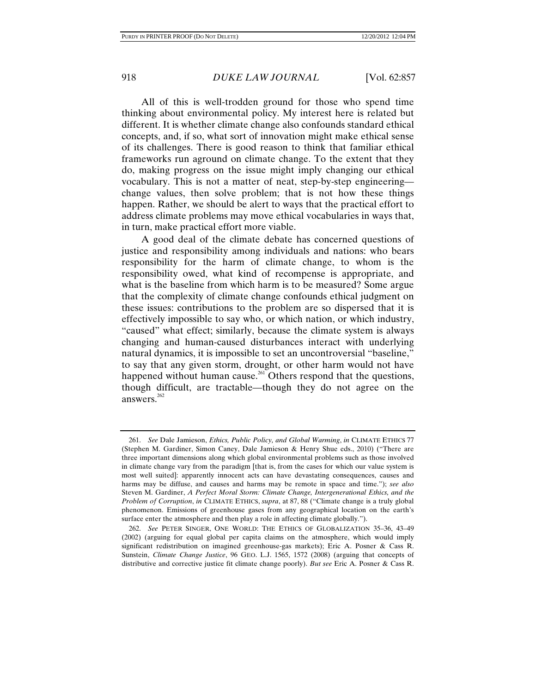All of this is well-trodden ground for those who spend time thinking about environmental policy. My interest here is related but different. It is whether climate change also confounds standard ethical concepts, and, if so, what sort of innovation might make ethical sense of its challenges. There is good reason to think that familiar ethical frameworks run aground on climate change. To the extent that they do, making progress on the issue might imply changing our ethical vocabulary. This is not a matter of neat, step-by-step engineering change values, then solve problem; that is not how these things happen. Rather, we should be alert to ways that the practical effort to address climate problems may move ethical vocabularies in ways that, in turn, make practical effort more viable.

A good deal of the climate debate has concerned questions of justice and responsibility among individuals and nations: who bears responsibility for the harm of climate change, to whom is the responsibility owed, what kind of recompense is appropriate, and what is the baseline from which harm is to be measured? Some argue that the complexity of climate change confounds ethical judgment on these issues: contributions to the problem are so dispersed that it is effectively impossible to say who, or which nation, or which industry, "caused" what effect; similarly, because the climate system is always changing and human-caused disturbances interact with underlying natural dynamics, it is impossible to set an uncontroversial "baseline," to say that any given storm, drought, or other harm would not have happened without human cause.<sup>261</sup> Others respond that the questions, though difficult, are tractable—though they do not agree on the answers. $262$ 

 <sup>261.</sup> *See* Dale Jamieson, *Ethics, Public Policy, and Global Warming*, *in* CLIMATE ETHICS 77 (Stephen M. Gardiner, Simon Caney, Dale Jamieson & Henry Shue eds., 2010) ("There are three important dimensions along which global environmental problems such as those involved in climate change vary from the paradigm [that is, from the cases for which our value system is most well suited]: apparently innocent acts can have devastating consequences, causes and harms may be diffuse, and causes and harms may be remote in space and time."); *see also* Steven M. Gardiner, *A Perfect Moral Storm: Climate Change, Intergenerational Ethics, and the Problem of Corruption*, *in* CLIMATE ETHICS, *supra*, at 87, 88 ("Climate change is a truly global phenomenon. Emissions of greenhouse gases from any geographical location on the earth's surface enter the atmosphere and then play a role in affecting climate globally.").

 <sup>262.</sup> *See* PETER SINGER, ONE WORLD: THE ETHICS OF GLOBALIZATION 35–36, 43–49 (2002) (arguing for equal global per capita claims on the atmosphere, which would imply significant redistribution on imagined greenhouse-gas markets); Eric A. Posner & Cass R. Sunstein, *Climate Change Justice*, 96 GEO. L.J. 1565, 1572 (2008) (arguing that concepts of distributive and corrective justice fit climate change poorly). *But see* Eric A. Posner & Cass R.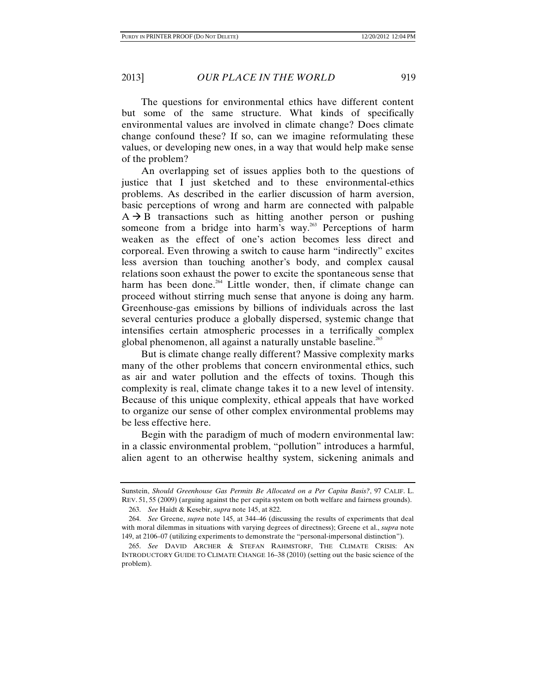The questions for environmental ethics have different content but some of the same structure. What kinds of specifically environmental values are involved in climate change? Does climate change confound these? If so, can we imagine reformulating these values, or developing new ones, in a way that would help make sense of the problem?

An overlapping set of issues applies both to the questions of justice that I just sketched and to these environmental-ethics problems. As described in the earlier discussion of harm aversion, basic perceptions of wrong and harm are connected with palpable  $A \rightarrow B$  transactions such as hitting another person or pushing someone from a bridge into harm's way. $263$  Perceptions of harm weaken as the effect of one's action becomes less direct and corporeal. Even throwing a switch to cause harm "indirectly" excites less aversion than touching another's body, and complex causal relations soon exhaust the power to excite the spontaneous sense that harm has been done.<sup>264</sup> Little wonder, then, if climate change can proceed without stirring much sense that anyone is doing any harm. Greenhouse-gas emissions by billions of individuals across the last several centuries produce a globally dispersed, systemic change that intensifies certain atmospheric processes in a terrifically complex global phenomenon, all against a naturally unstable baseline.<sup>265</sup>

But is climate change really different? Massive complexity marks many of the other problems that concern environmental ethics, such as air and water pollution and the effects of toxins. Though this complexity is real, climate change takes it to a new level of intensity. Because of this unique complexity, ethical appeals that have worked to organize our sense of other complex environmental problems may be less effective here.

Begin with the paradigm of much of modern environmental law: in a classic environmental problem, "pollution" introduces a harmful, alien agent to an otherwise healthy system, sickening animals and

Sunstein, *Should Greenhouse Gas Permits Be Allocated on a Per Capita Basis?*, 97 CALIF. L. REV. 51, 55 (2009) (arguing against the per capita system on both welfare and fairness grounds).

 <sup>263.</sup> *See* Haidt & Kesebir, *supra* note 145, at 822.

 <sup>264.</sup> *See* Greene, *supra* note 145, at 344–46 (discussing the results of experiments that deal with moral dilemmas in situations with varying degrees of directness); Greene et al., *supra* note 149, at 2106–07 (utilizing experiments to demonstrate the "personal-impersonal distinction").

 <sup>265.</sup> *See* DAVID ARCHER & STEFAN RAHMSTORF, THE CLIMATE CRISIS: AN INTRODUCTORY GUIDE TO CLIMATE CHANGE 16–38 (2010) (setting out the basic science of the problem).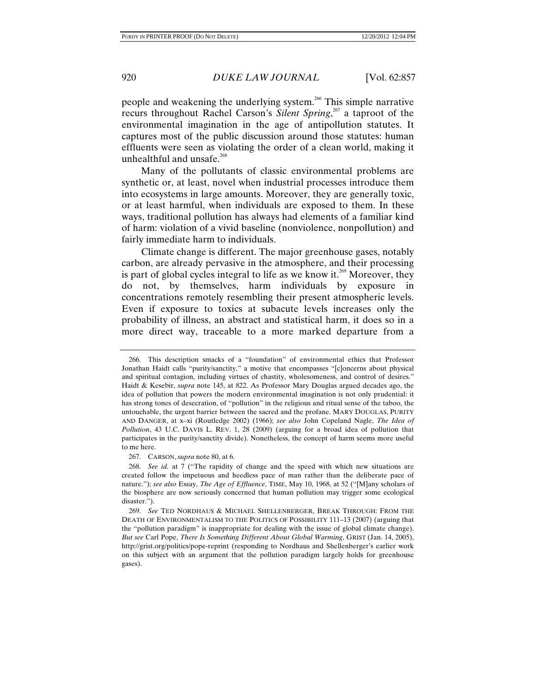people and weakening the underlying system.266 This simple narrative recurs throughout Rachel Carson's *Silent Spring*, 267 a taproot of the environmental imagination in the age of antipollution statutes. It captures most of the public discussion around those statutes: human effluents were seen as violating the order of a clean world, making it unhealthful and unsafe.<sup>268</sup>

Many of the pollutants of classic environmental problems are synthetic or, at least, novel when industrial processes introduce them into ecosystems in large amounts. Moreover, they are generally toxic, or at least harmful, when individuals are exposed to them. In these ways, traditional pollution has always had elements of a familiar kind of harm: violation of a vivid baseline (nonviolence, nonpollution) and fairly immediate harm to individuals.

Climate change is different. The major greenhouse gases, notably carbon, are already pervasive in the atmosphere, and their processing is part of global cycles integral to life as we know it.<sup>269</sup> Moreover, they do not, by themselves, harm individuals by exposure in concentrations remotely resembling their present atmospheric levels. Even if exposure to toxics at subacute levels increases only the probability of illness, an abstract and statistical harm, it does so in a more direct way, traceable to a more marked departure from a

267. CARSON, *supra* note 80, at 6.

 <sup>266.</sup> This description smacks of a "foundation" of environmental ethics that Professor Jonathan Haidt calls "purity/sanctity," a motive that encompasses "[c]oncerns about physical and spiritual contagion, including virtues of chastity, wholesomeness, and control of desires." Haidt & Kesebir, *supra* note 145, at 822. As Professor Mary Douglas argued decades ago, the idea of pollution that powers the modern environmental imagination is not only prudential: it has strong tones of desecration, of "pollution" in the religious and ritual sense of the taboo, the untouchable, the urgent barrier between the sacred and the profane. MARY DOUGLAS, PURITY AND DANGER, at x–xi (Routledge 2002) (1966); *see also* John Copeland Nagle, *The Idea of Pollution*, 43 U.C. DAVIS L. REV. 1, 28 (2009) (arguing for a broad idea of pollution that participates in the purity/sanctity divide). Nonetheless, the concept of harm seems more useful to me here.

 <sup>268.</sup> *See id.* at 7 ("The rapidity of change and the speed with which new situations are created follow the impetuous and heedless pace of man rather than the deliberate pace of nature."); *see also* Essay, *The Age of Effluence*, TIME, May 10, 1968, at 52 ("[M]any scholars of the biosphere are now seriously concerned that human pollution may trigger some ecological disaster.").

 <sup>269.</sup> *See* TED NORDHAUS & MICHAEL SHELLENBERGER, BREAK THROUGH: FROM THE DEATH OF ENVIRONMENTALISM TO THE POLITICS OF POSSIBILITY 111–13 (2007) (arguing that the "pollution paradigm" is inappropriate for dealing with the issue of global climate change). *But see* Carl Pope, *There Is Something Different About Global Warming*, GRIST (Jan. 14, 2005), http://grist.org/politics/pope-reprint (responding to Nordhaus and Shellenberger's earlier work on this subject with an argument that the pollution paradigm largely holds for greenhouse gases).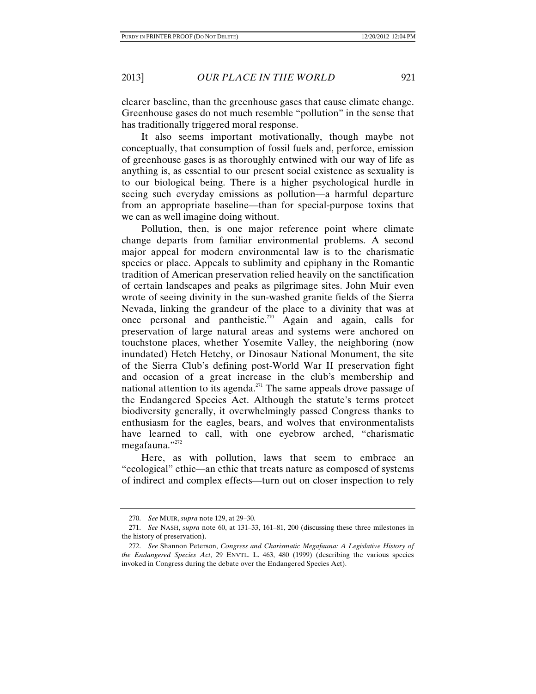clearer baseline, than the greenhouse gases that cause climate change. Greenhouse gases do not much resemble "pollution" in the sense that has traditionally triggered moral response.

It also seems important motivationally, though maybe not conceptually, that consumption of fossil fuels and, perforce, emission of greenhouse gases is as thoroughly entwined with our way of life as anything is, as essential to our present social existence as sexuality is to our biological being. There is a higher psychological hurdle in seeing such everyday emissions as pollution—a harmful departure from an appropriate baseline—than for special-purpose toxins that we can as well imagine doing without.

Pollution, then, is one major reference point where climate change departs from familiar environmental problems. A second major appeal for modern environmental law is to the charismatic species or place. Appeals to sublimity and epiphany in the Romantic tradition of American preservation relied heavily on the sanctification of certain landscapes and peaks as pilgrimage sites. John Muir even wrote of seeing divinity in the sun-washed granite fields of the Sierra Nevada, linking the grandeur of the place to a divinity that was at once personal and pantheistic.<sup>270</sup> Again and again, calls for preservation of large natural areas and systems were anchored on touchstone places, whether Yosemite Valley, the neighboring (now inundated) Hetch Hetchy, or Dinosaur National Monument, the site of the Sierra Club's defining post-World War II preservation fight and occasion of a great increase in the club's membership and national attention to its agenda.<sup>271</sup> The same appeals drove passage of the Endangered Species Act. Although the statute's terms protect biodiversity generally, it overwhelmingly passed Congress thanks to enthusiasm for the eagles, bears, and wolves that environmentalists have learned to call, with one eyebrow arched, "charismatic megafauna."<sup>272</sup>

Here, as with pollution, laws that seem to embrace an "ecological" ethic—an ethic that treats nature as composed of systems of indirect and complex effects—turn out on closer inspection to rely

 <sup>270.</sup> *See* MUIR, *supra* note 129, at 29–30.

 <sup>271.</sup> *See* NASH, *supra* note 60, at 131–33, 161–81, 200 (discussing these three milestones in the history of preservation).

 <sup>272.</sup> *See* Shannon Peterson, *Congress and Charismatic Megafauna: A Legislative History of the Endangered Species Act*, 29 ENVTL. L. 463, 480 (1999) (describing the various species invoked in Congress during the debate over the Endangered Species Act).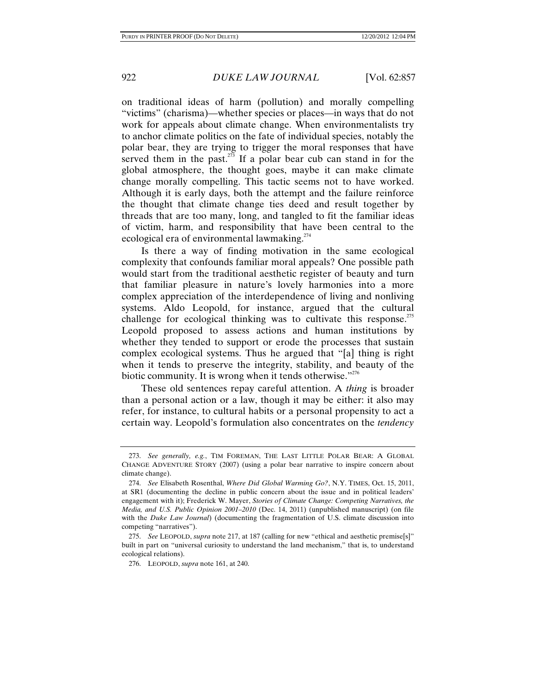on traditional ideas of harm (pollution) and morally compelling "victims" (charisma)—whether species or places—in ways that do not work for appeals about climate change. When environmentalists try to anchor climate politics on the fate of individual species, notably the polar bear, they are trying to trigger the moral responses that have served them in the past. $2^{73}$  If a polar bear cub can stand in for the global atmosphere, the thought goes, maybe it can make climate change morally compelling. This tactic seems not to have worked. Although it is early days, both the attempt and the failure reinforce the thought that climate change ties deed and result together by threads that are too many, long, and tangled to fit the familiar ideas of victim, harm, and responsibility that have been central to the ecological era of environmental lawmaking.<sup>274</sup>

Is there a way of finding motivation in the same ecological complexity that confounds familiar moral appeals? One possible path would start from the traditional aesthetic register of beauty and turn that familiar pleasure in nature's lovely harmonies into a more complex appreciation of the interdependence of living and nonliving systems. Aldo Leopold, for instance, argued that the cultural challenge for ecological thinking was to cultivate this response.<sup>275</sup> Leopold proposed to assess actions and human institutions by whether they tended to support or erode the processes that sustain complex ecological systems. Thus he argued that "[a] thing is right when it tends to preserve the integrity, stability, and beauty of the biotic community. It is wrong when it tends otherwise."<sup>276</sup>

These old sentences repay careful attention. A *thing* is broader than a personal action or a law, though it may be either: it also may refer, for instance, to cultural habits or a personal propensity to act a certain way. Leopold's formulation also concentrates on the *tendency*

 <sup>273.</sup> *See generally, e.g.*, TIM FOREMAN, THE LAST LITTLE POLAR BEAR: A GLOBAL CHANGE ADVENTURE STORY (2007) (using a polar bear narrative to inspire concern about climate change).

 <sup>274.</sup> *See* Elisabeth Rosenthal, *Where Did Global Warming Go?*, N.Y. TIMES, Oct. 15, 2011, at SR1 (documenting the decline in public concern about the issue and in political leaders' engagement with it); Frederick W. Mayer, *Stories of Climate Change: Competing Narratives, the Media, and U.S. Public Opinion 2001–2010* (Dec. 14, 2011) (unpublished manuscript) (on file with the *Duke Law Journal*) (documenting the fragmentation of U.S. climate discussion into competing "narratives").

 <sup>275.</sup> *See* LEOPOLD, *supra* note 217, at 187 (calling for new "ethical and aesthetic premise[s]" built in part on "universal curiosity to understand the land mechanism," that is, to understand ecological relations).

 <sup>276.</sup> LEOPOLD, *supra* note 161, at 240.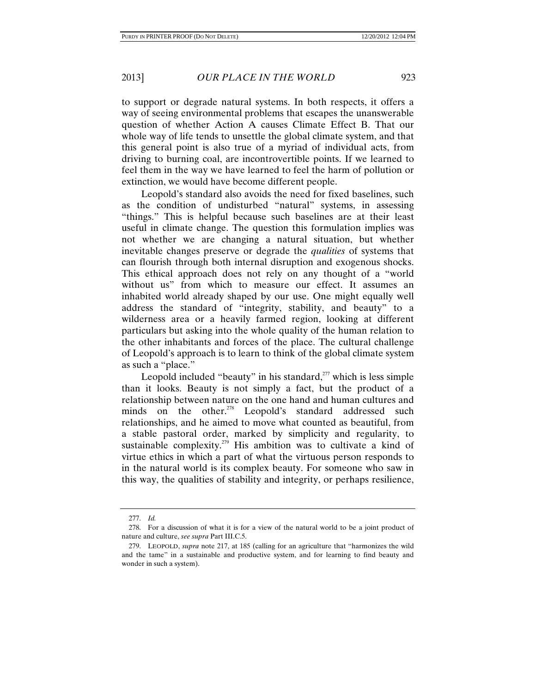to support or degrade natural systems. In both respects, it offers a way of seeing environmental problems that escapes the unanswerable question of whether Action A causes Climate Effect B. That our whole way of life tends to unsettle the global climate system, and that this general point is also true of a myriad of individual acts, from driving to burning coal, are incontrovertible points. If we learned to feel them in the way we have learned to feel the harm of pollution or extinction, we would have become different people.

Leopold's standard also avoids the need for fixed baselines, such as the condition of undisturbed "natural" systems, in assessing "things." This is helpful because such baselines are at their least useful in climate change. The question this formulation implies was not whether we are changing a natural situation, but whether inevitable changes preserve or degrade the *qualities* of systems that can flourish through both internal disruption and exogenous shocks. This ethical approach does not rely on any thought of a "world without us" from which to measure our effect. It assumes an inhabited world already shaped by our use. One might equally well address the standard of "integrity, stability, and beauty" to a wilderness area or a heavily farmed region, looking at different particulars but asking into the whole quality of the human relation to the other inhabitants and forces of the place. The cultural challenge of Leopold's approach is to learn to think of the global climate system as such a "place."

Leopold included "beauty" in his standard, $277$  which is less simple than it looks. Beauty is not simply a fact, but the product of a relationship between nature on the one hand and human cultures and minds on the other.<sup>278</sup> Leopold's standard addressed such relationships, and he aimed to move what counted as beautiful, from a stable pastoral order, marked by simplicity and regularity, to sustainable complexity.<sup>279</sup> His ambition was to cultivate a kind of virtue ethics in which a part of what the virtuous person responds to in the natural world is its complex beauty. For someone who saw in this way, the qualities of stability and integrity, or perhaps resilience,

 <sup>277.</sup> *Id.*

 <sup>278.</sup> For a discussion of what it is for a view of the natural world to be a joint product of nature and culture, *see supra* Part III.C.5.

 <sup>279.</sup> LEOPOLD, *supra* note 217, at 185 (calling for an agriculture that "harmonizes the wild and the tame" in a sustainable and productive system, and for learning to find beauty and wonder in such a system).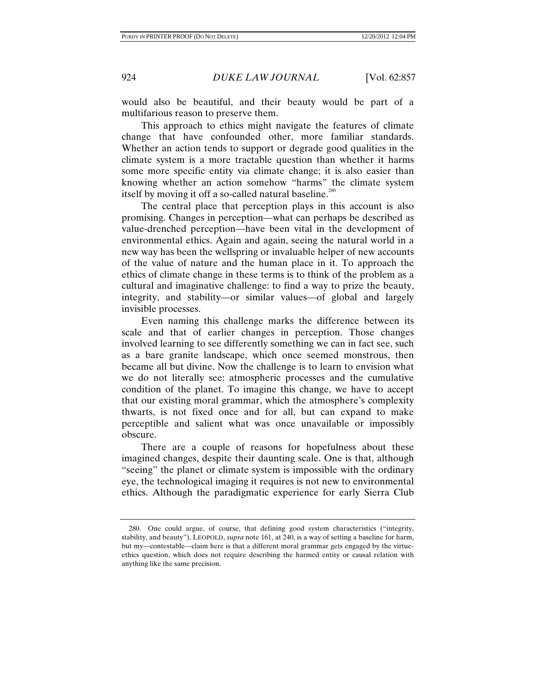would also be beautiful, and their beauty would be part of a multifarious reason to preserve them.

This approach to ethics might navigate the features of climate change that have confounded other, more familiar standards. Whether an action tends to support or degrade good qualities in the climate system is a more tractable question than whether it harms some more specific entity via climate change; it is also easier than knowing whether an action somehow "harms" the climate system itself by moving it off a so-called natural baseline.<sup>280</sup>

The central place that perception plays in this account is also promising. Changes in perception—what can perhaps be described as value-drenched perception—have been vital in the development of environmental ethics. Again and again, seeing the natural world in a new way has been the wellspring or invaluable helper of new accounts of the value of nature and the human place in it. To approach the ethics of climate change in these terms is to think of the problem as a cultural and imaginative challenge: to find a way to prize the beauty, integrity, and stability—or similar values—of global and largely invisible processes.

Even naming this challenge marks the difference between its scale and that of earlier changes in perception. Those changes involved learning to see differently something we can in fact see, such as a bare granite landscape, which once seemed monstrous, then became all but divine. Now the challenge is to learn to envision what we do not literally see: atmospheric processes and the cumulative condition of the planet. To imagine this change, we have to accept that our existing moral grammar, which the atmosphere's complexity thwarts, is not fixed once and for all, but can expand to make perceptible and salient what was once unavailable or impossibly obscure.

There are a couple of reasons for hopefulness about these imagined changes, despite their daunting scale. One is that, although "seeing" the planet or climate system is impossible with the ordinary eye, the technological imaging it requires is not new to environmental ethics. Although the paradigmatic experience for early Sierra Club

 <sup>280.</sup> One could argue, of course, that defining good system characteristics ("integrity, stability, and beauty"), LEOPOLD, *supra* note 161, at 240, is a way of setting a baseline for harm, but my—contestable—claim here is that a different moral grammar gets engaged by the virtueethics question, which does not require describing the harmed entity or causal relation with anything like the same precision.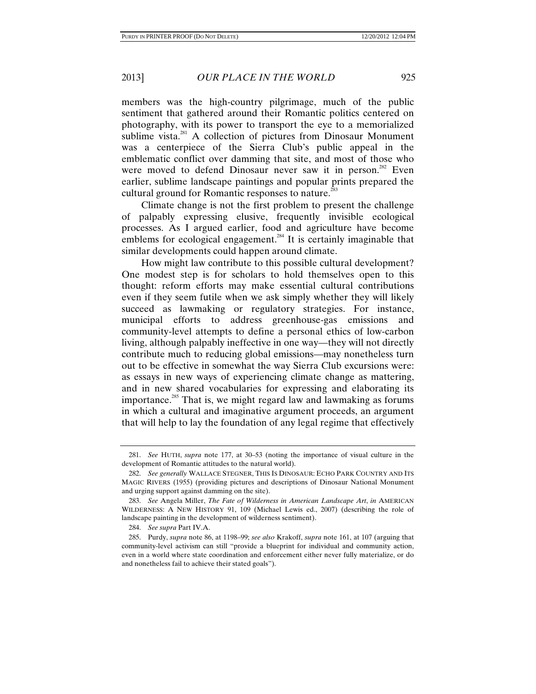members was the high-country pilgrimage, much of the public sentiment that gathered around their Romantic politics centered on photography, with its power to transport the eye to a memorialized sublime vista.<sup>281</sup> A collection of pictures from Dinosaur Monument was a centerpiece of the Sierra Club's public appeal in the emblematic conflict over damming that site, and most of those who were moved to defend Dinosaur never saw it in person.<sup>282</sup> Even earlier, sublime landscape paintings and popular prints prepared the cultural ground for Romantic responses to nature.<sup>283</sup>

Climate change is not the first problem to present the challenge of palpably expressing elusive, frequently invisible ecological processes. As I argued earlier, food and agriculture have become emblems for ecological engagement.<sup>284</sup> It is certainly imaginable that similar developments could happen around climate.

How might law contribute to this possible cultural development? One modest step is for scholars to hold themselves open to this thought: reform efforts may make essential cultural contributions even if they seem futile when we ask simply whether they will likely succeed as lawmaking or regulatory strategies. For instance, municipal efforts to address greenhouse-gas emissions and community-level attempts to define a personal ethics of low-carbon living, although palpably ineffective in one way—they will not directly contribute much to reducing global emissions—may nonetheless turn out to be effective in somewhat the way Sierra Club excursions were: as essays in new ways of experiencing climate change as mattering, and in new shared vocabularies for expressing and elaborating its importance.<sup>285</sup> That is, we might regard law and lawmaking as forums in which a cultural and imaginative argument proceeds, an argument that will help to lay the foundation of any legal regime that effectively

 <sup>281.</sup> *See* HUTH, *supra* note 177, at 30–53 (noting the importance of visual culture in the development of Romantic attitudes to the natural world).

 <sup>282.</sup> *See generally* WALLACE STEGNER, THIS IS DINOSAUR: ECHO PARK COUNTRY AND ITS MAGIC RIVERS (1955) (providing pictures and descriptions of Dinosaur National Monument and urging support against damming on the site).

 <sup>283.</sup> *See* Angela Miller, *The Fate of Wilderness in American Landscape Art*, *in* AMERICAN WILDERNESS: A NEW HISTORY 91, 109 (Michael Lewis ed., 2007) (describing the role of landscape painting in the development of wilderness sentiment).

 <sup>284.</sup> *See supra* Part IV.A.

 <sup>285.</sup> Purdy, *supra* note 86, at 1198–99; *see also* Krakoff, *supra* note 161, at 107 (arguing that community-level activism can still "provide a blueprint for individual and community action, even in a world where state coordination and enforcement either never fully materialize, or do and nonetheless fail to achieve their stated goals").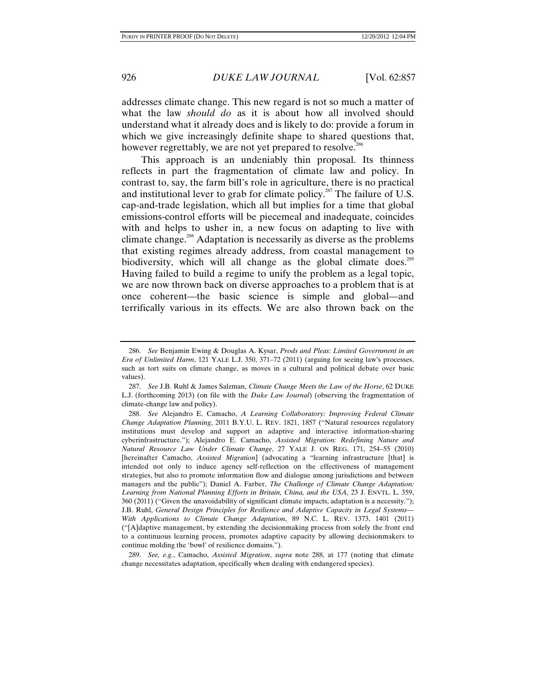addresses climate change. This new regard is not so much a matter of what the law *should do* as it is about how all involved should understand what it already does and is likely to do: provide a forum in which we give increasingly definite shape to shared questions that, however regrettably, we are not yet prepared to resolve.<sup>286</sup>

This approach is an undeniably thin proposal. Its thinness reflects in part the fragmentation of climate law and policy. In contrast to, say, the farm bill's role in agriculture, there is no practical and institutional lever to grab for climate policy.<sup>287</sup> The failure of U.S. cap-and-trade legislation, which all but implies for a time that global emissions-control efforts will be piecemeal and inadequate, coincides with and helps to usher in, a new focus on adapting to live with climate change.<sup>288</sup> Adaptation is necessarily as diverse as the problems that existing regimes already address, from coastal management to biodiversity, which will all change as the global climate does.<sup>289</sup> Having failed to build a regime to unify the problem as a legal topic, we are now thrown back on diverse approaches to a problem that is at once coherent—the basic science is simple and global—and terrifically various in its effects. We are also thrown back on the

 <sup>286.</sup> *See* Benjamin Ewing & Douglas A. Kysar, *Prods and Pleas: Limited Government in an Era of Unlimited Harm*, 121 YALE L.J. 350, 371–72 (2011) (arguing for seeing law's processes, such as tort suits on climate change, as moves in a cultural and political debate over basic values).

 <sup>287.</sup> *See* J.B. Ruhl & James Salzman, *Climate Change Meets the Law of the Horse*, 62 DUKE L.J. (forthcoming 2013) (on file with the *Duke Law Journal*) (observing the fragmentation of climate-change law and policy).

 <sup>288.</sup> *See* Alejandro E. Camacho, *A Learning Collaboratory: Improving Federal Climate Change Adaptation Planning*, 2011 B.Y.U. L. REV. 1821, 1857 ("Natural resources regulatory institutions must develop and support an adaptive and interactive information-sharing cyberinfrastructure."); Alejandro E. Camacho, *Assisted Migration: Redefining Nature and Natural Resource Law Under Climate Change*, 27 YALE J. ON REG. 171, 254–55 (2010) [hereinafter Camacho, *Assisted Migration*] (advocating a "learning infrastructure [that] is intended not only to induce agency self-reflection on the effectiveness of management strategies, but also to promote information flow and dialogue among jurisdictions and between managers and the public"); Daniel A. Farber, *The Challenge of Climate Change Adaptation: Learning from National Planning Efforts in Britain, China, and the USA*, 23 J. ENVTL. L. 359, 360 (2011) ("Given the unavoidability of significant climate impacts, adaptation is a necessity."); J.B. Ruhl, *General Design Principles for Resilience and Adaptive Capacity in Legal Systems— With Applications to Climate Change Adaptation*, 89 N.C. L. REV. 1373, 1401 (2011) ("[A]daptive management, by extending the decisionmaking process from solely the front end to a continuous learning process, promotes adaptive capacity by allowing decisionmakers to continue molding the 'bowl' of resilience domains.").

 <sup>289.</sup> *See, e.g.*, Camacho, *Assisted Migration*, *supra* note 288, at 177 (noting that climate change necessitates adaptation, specifically when dealing with endangered species).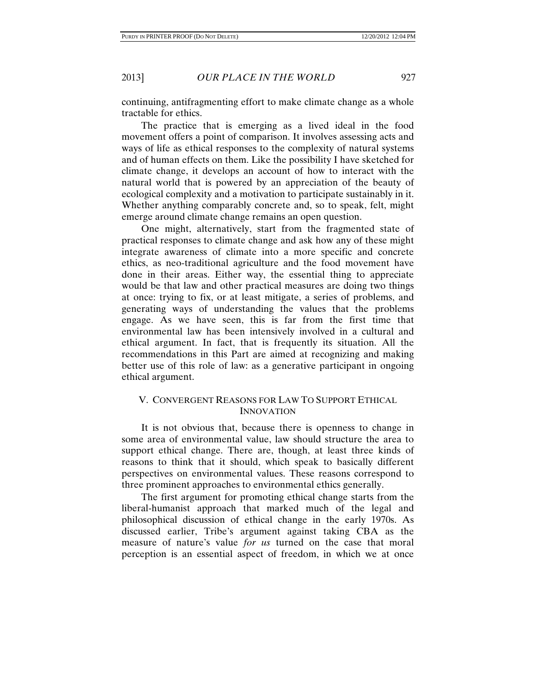continuing, antifragmenting effort to make climate change as a whole tractable for ethics.

The practice that is emerging as a lived ideal in the food movement offers a point of comparison. It involves assessing acts and ways of life as ethical responses to the complexity of natural systems and of human effects on them. Like the possibility I have sketched for climate change, it develops an account of how to interact with the natural world that is powered by an appreciation of the beauty of ecological complexity and a motivation to participate sustainably in it. Whether anything comparably concrete and, so to speak, felt, might emerge around climate change remains an open question.

One might, alternatively, start from the fragmented state of practical responses to climate change and ask how any of these might integrate awareness of climate into a more specific and concrete ethics, as neo-traditional agriculture and the food movement have done in their areas. Either way, the essential thing to appreciate would be that law and other practical measures are doing two things at once: trying to fix, or at least mitigate, a series of problems, and generating ways of understanding the values that the problems engage. As we have seen, this is far from the first time that environmental law has been intensively involved in a cultural and ethical argument. In fact, that is frequently its situation. All the recommendations in this Part are aimed at recognizing and making better use of this role of law: as a generative participant in ongoing ethical argument.

# V. CONVERGENT REASONS FOR LAW TO SUPPORT ETHICAL **INNOVATION**

It is not obvious that, because there is openness to change in some area of environmental value, law should structure the area to support ethical change. There are, though, at least three kinds of reasons to think that it should, which speak to basically different perspectives on environmental values. These reasons correspond to three prominent approaches to environmental ethics generally.

The first argument for promoting ethical change starts from the liberal-humanist approach that marked much of the legal and philosophical discussion of ethical change in the early 1970s. As discussed earlier, Tribe's argument against taking CBA as the measure of nature's value *for us* turned on the case that moral perception is an essential aspect of freedom, in which we at once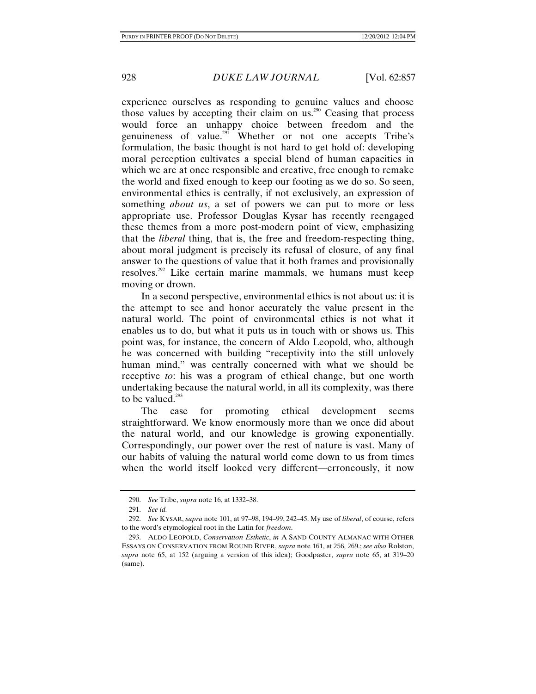experience ourselves as responding to genuine values and choose those values by accepting their claim on  $us.^{290}$  Ceasing that process would force an unhappy choice between freedom and the genuineness of value.<sup>291</sup> Whether or not one accepts Tribe's formulation, the basic thought is not hard to get hold of: developing moral perception cultivates a special blend of human capacities in which we are at once responsible and creative, free enough to remake the world and fixed enough to keep our footing as we do so. So seen, environmental ethics is centrally, if not exclusively, an expression of something *about us*, a set of powers we can put to more or less appropriate use. Professor Douglas Kysar has recently reengaged these themes from a more post-modern point of view, emphasizing that the *liberal* thing, that is, the free and freedom-respecting thing, about moral judgment is precisely its refusal of closure, of any final answer to the questions of value that it both frames and provisionally resolves.<sup>292</sup> Like certain marine mammals, we humans must keep moving or drown.

In a second perspective, environmental ethics is not about us: it is the attempt to see and honor accurately the value present in the natural world. The point of environmental ethics is not what it enables us to do, but what it puts us in touch with or shows us. This point was, for instance, the concern of Aldo Leopold, who, although he was concerned with building "receptivity into the still unlovely human mind," was centrally concerned with what we should be receptive *to*: his was a program of ethical change, but one worth undertaking because the natural world, in all its complexity, was there to be valued. $293$ 

The case for promoting ethical development seems straightforward. We know enormously more than we once did about the natural world, and our knowledge is growing exponentially. Correspondingly, our power over the rest of nature is vast. Many of our habits of valuing the natural world come down to us from times when the world itself looked very different—erroneously, it now

 <sup>290.</sup> *See* Tribe, *supra* note 16, at 1332–38.

 <sup>291.</sup> *See id.*

 <sup>292.</sup> *See* KYSAR, *supra* note 101, at 97–98, 194–99, 242–45. My use of *liberal*, of course, refers to the word's etymological root in the Latin for *freedom*.

 <sup>293.</sup> ALDO LEOPOLD, *Conservation Esthetic*, *in* A SAND COUNTY ALMANAC WITH OTHER ESSAYS ON CONSERVATION FROM ROUND RIVER, *supra* note 161, at 256, 269.; *see also* Rolston, *supra* note 65, at 152 (arguing a version of this idea); Goodpaster, *supra* note 65, at 319–20 (same).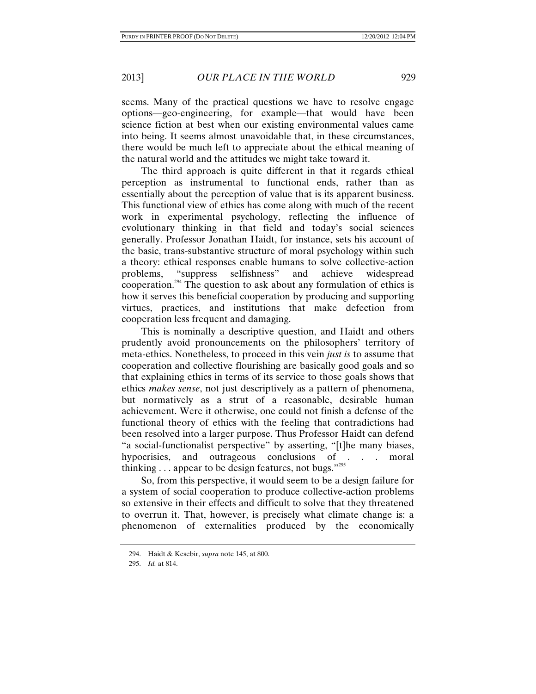seems. Many of the practical questions we have to resolve engage options—geo-engineering, for example—that would have been science fiction at best when our existing environmental values came into being. It seems almost unavoidable that, in these circumstances, there would be much left to appreciate about the ethical meaning of the natural world and the attitudes we might take toward it.

The third approach is quite different in that it regards ethical perception as instrumental to functional ends, rather than as essentially about the perception of value that is its apparent business. This functional view of ethics has come along with much of the recent work in experimental psychology, reflecting the influence of evolutionary thinking in that field and today's social sciences generally. Professor Jonathan Haidt, for instance, sets his account of the basic, trans-substantive structure of moral psychology within such a theory: ethical responses enable humans to solve collective-action problems, "suppress selfishness" and achieve widespread cooperation.<sup>294</sup> The question to ask about any formulation of ethics is how it serves this beneficial cooperation by producing and supporting virtues, practices, and institutions that make defection from cooperation less frequent and damaging.

This is nominally a descriptive question, and Haidt and others prudently avoid pronouncements on the philosophers' territory of meta-ethics. Nonetheless, to proceed in this vein *just is* to assume that cooperation and collective flourishing are basically good goals and so that explaining ethics in terms of its service to those goals shows that ethics *makes sense*, not just descriptively as a pattern of phenomena, but normatively as a strut of a reasonable, desirable human achievement. Were it otherwise, one could not finish a defense of the functional theory of ethics with the feeling that contradictions had been resolved into a larger purpose. Thus Professor Haidt can defend "a social-functionalist perspective" by asserting, "[t]he many biases, hypocrisies, and outrageous conclusions of . . . moral thinking . . . appear to be design features, not bugs."295

So, from this perspective, it would seem to be a design failure for a system of social cooperation to produce collective-action problems so extensive in their effects and difficult to solve that they threatened to overrun it. That, however, is precisely what climate change is: a phenomenon of externalities produced by the economically

 <sup>294.</sup> Haidt & Kesebir, *supra* note 145, at 800.

 <sup>295.</sup> *Id.* at 814.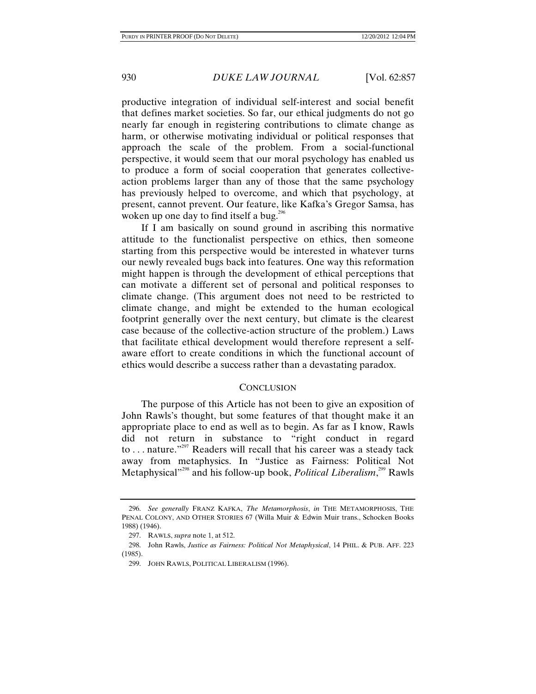productive integration of individual self-interest and social benefit that defines market societies. So far, our ethical judgments do not go nearly far enough in registering contributions to climate change as harm, or otherwise motivating individual or political responses that approach the scale of the problem. From a social-functional perspective, it would seem that our moral psychology has enabled us to produce a form of social cooperation that generates collectiveaction problems larger than any of those that the same psychology has previously helped to overcome, and which that psychology, at present, cannot prevent. Our feature, like Kafka's Gregor Samsa, has woken up one day to find itself a bug.<sup>296</sup>

If I am basically on sound ground in ascribing this normative attitude to the functionalist perspective on ethics, then someone starting from this perspective would be interested in whatever turns our newly revealed bugs back into features. One way this reformation might happen is through the development of ethical perceptions that can motivate a different set of personal and political responses to climate change. (This argument does not need to be restricted to climate change, and might be extended to the human ecological footprint generally over the next century, but climate is the clearest case because of the collective-action structure of the problem.) Laws that facilitate ethical development would therefore represent a selfaware effort to create conditions in which the functional account of ethics would describe a success rather than a devastating paradox.

## CONCLUSION

The purpose of this Article has not been to give an exposition of John Rawls's thought, but some features of that thought make it an appropriate place to end as well as to begin. As far as I know, Rawls did not return in substance to "right conduct in regard to . . . nature."297 Readers will recall that his career was a steady tack away from metaphysics. In "Justice as Fairness: Political Not Metaphysical<sup>1298</sup> and his follow-up book, *Political Liberalism*,<sup>299</sup> Rawls

 <sup>296.</sup> *See generally* FRANZ KAFKA, *The Metamorphosis*, *in* THE METAMORPHOSIS, THE PENAL COLONY, AND OTHER STORIES 67 (Willa Muir & Edwin Muir trans., Schocken Books 1988) (1946).

 <sup>297.</sup> RAWLS, *supra* note 1, at 512.

 <sup>298.</sup> John Rawls, *Justice as Fairness: Political Not Metaphysical*, 14 PHIL. & PUB. AFF. 223 (1985).

 <sup>299.</sup> JOHN RAWLS, POLITICAL LIBERALISM (1996).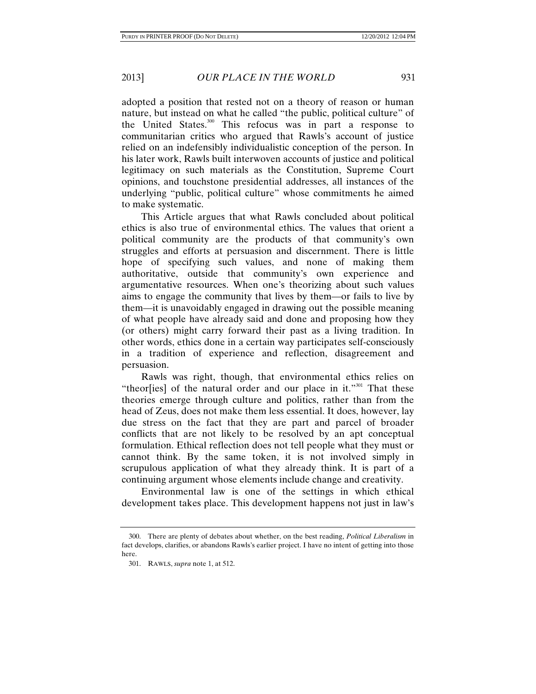adopted a position that rested not on a theory of reason or human nature, but instead on what he called "the public, political culture" of the United States.<sup>300</sup> This refocus was in part a response to communitarian critics who argued that Rawls's account of justice relied on an indefensibly individualistic conception of the person. In his later work, Rawls built interwoven accounts of justice and political legitimacy on such materials as the Constitution, Supreme Court opinions, and touchstone presidential addresses, all instances of the underlying "public, political culture" whose commitments he aimed to make systematic.

This Article argues that what Rawls concluded about political ethics is also true of environmental ethics. The values that orient a political community are the products of that community's own struggles and efforts at persuasion and discernment. There is little hope of specifying such values, and none of making them authoritative, outside that community's own experience and argumentative resources. When one's theorizing about such values aims to engage the community that lives by them—or fails to live by them—it is unavoidably engaged in drawing out the possible meaning of what people have already said and done and proposing how they (or others) might carry forward their past as a living tradition. In other words, ethics done in a certain way participates self-consciously in a tradition of experience and reflection, disagreement and persuasion.

Rawls was right, though, that environmental ethics relies on "theor $[i$ es] of the natural order and our place in it."<sup>301</sup> That these theories emerge through culture and politics, rather than from the head of Zeus, does not make them less essential. It does, however, lay due stress on the fact that they are part and parcel of broader conflicts that are not likely to be resolved by an apt conceptual formulation. Ethical reflection does not tell people what they must or cannot think. By the same token, it is not involved simply in scrupulous application of what they already think. It is part of a continuing argument whose elements include change and creativity.

Environmental law is one of the settings in which ethical development takes place. This development happens not just in law's

 <sup>300.</sup> There are plenty of debates about whether, on the best reading, *Political Liberalism* in fact develops, clarifies, or abandons Rawls's earlier project. I have no intent of getting into those here.

 <sup>301.</sup> RAWLS, *supra* note 1, at 512.